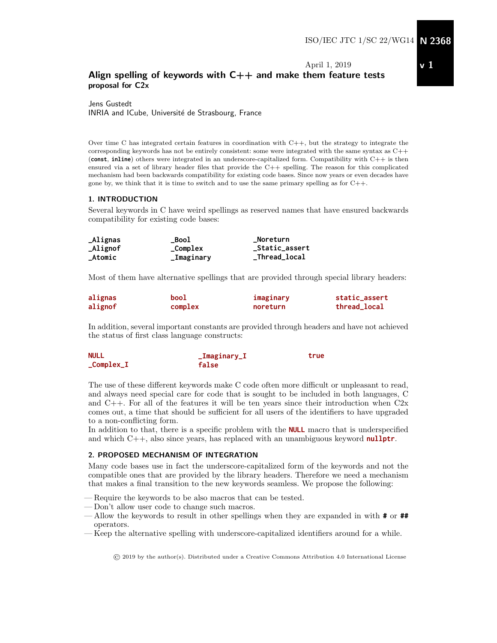# April 1, 2019 Align spelling of keywords with  $C++$  and make them feature tests proposal for C2x

#### Jens Gustedt INRIA and ICube, Université de Strasbourg, France

Over time C has integrated certain features in coordination with C++, but the strategy to integrate the corresponding keywords has not be entirely consistent: some were integrated with the same syntax as C++ (**const**, **inline**) others were integrated in an underscore-capitalized form. Compatibility with C++ is then ensured via a set of library header files that provide the C++ spelling. The reason for this complicated mechanism had been backwards compatibility for existing code bases. Since now years or even decades have gone by, we think that it is time to switch and to use the same primary spelling as for C++.

#### 1. INTRODUCTION

Several keywords in C have weird spellings as reserved names that have ensured backwards compatibility for existing code bases:

| _Alignas | Bool               | _Noreturn      |
|----------|--------------------|----------------|
| _Alignof | $_{\rm \_Complex}$ | _Static_assert |
| _Atomic  | _Imaginary         | _Thread_local  |

Most of them have alternative spellings that are provided through special library headers:

| alignas | bool    | imaginary | static_assert |
|---------|---------|-----------|---------------|
| alignof | complex | noreturn  | thread_local  |

In addition, several important constants are provided through headers and have not achieved the status of first class language constructs:

| <b>NULL</b>           | _Imaginary_I | true |
|-----------------------|--------------|------|
| $_{\rm \_Complex\_I}$ | false        |      |

The use of these different keywords make C code often more difficult or unpleasant to read, and always need special care for code that is sought to be included in both languages, C and  $C_{++}$ . For all of the features it will be ten years since their introduction when  $C_{2x}$ comes out, a time that should be sufficient for all users of the identifiers to have upgraded to a non-conflicting form.

In addition to that, there is a specific problem with the **NULL** macro that is underspecified and which C++, also since years, has replaced with an unambiguous keyword **nullptr**.

#### 2. PROPOSED MECHANISM OF INTEGRATION

Many code bases use in fact the underscore-capitalized form of the keywords and not the compatible ones that are provided by the library headers. Therefore we need a mechanism that makes a final transition to the new keywords seamless. We propose the following:

- Require the keywords to be also macros that can be tested.
- Don't allow user code to change such macros.
- Allow the keywords to result in other spellings when they are expanded in with **#** or **##** operators.
- Keep the alternative spelling with underscore-capitalized identifiers around for a while.

© 2019 by the author(s). Distributed under a Creative Commons Attribution 4.0 International License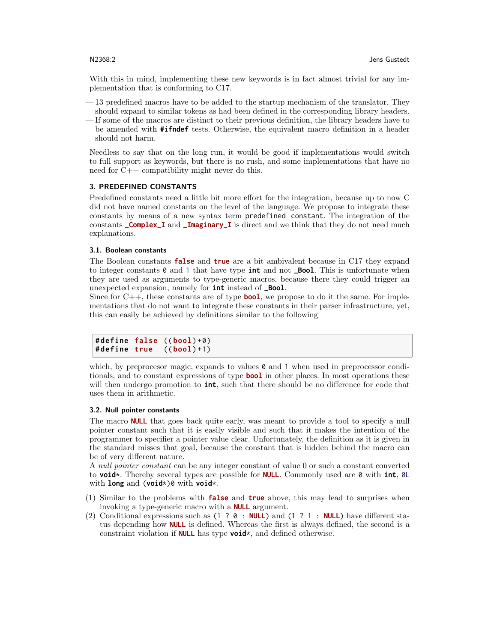With this in mind, implementing these new keywords is in fact almost trivial for any implementation that is conforming to C17.

- 13 predefined macros have to be added to the startup mechanism of the translator. They should expand to similar tokens as had been defined in the corresponding library headers.
- If some of the macros are distinct to their previous definition, the library headers have to be amended with **#ifndef** tests. Otherwise, the equivalent macro definition in a header should not harm.

Needless to say that on the long run, it would be good if implementations would switch to full support as keywords, but there is no rush, and some implementations that have no need for C++ compatibility might never do this.

### 3. PREDEFINED CONSTANTS

Predefined constants need a little bit more effort for the integration, because up to now C did not have named constants on the level of the language. We propose to integrate these constants by means of a new syntax term predefined constant. The integration of the constants **\_Complex\_I** and **\_Imaginary\_I** is direct and we think that they do not need much explanations.

#### 3.1. Boolean constants

The Boolean constants **false** and **true** are a bit ambivalent because in C17 they expand to integer constants 0 and 1 that have type **int** and not **\_Bool**. This is unfortunate when they are used as arguments to type-generic macros, because there they could trigger an unexpected expansion, namely for **int** instead of **\_Bool**.

Since for C++, these constants are of type **bool**, we propose to do it the same. For implementations that do not want to integrate these constants in their parser infrastructure, yet, this can easily be achieved by definitions similar to the following

```
# define false (( bool ) +0)
# define true (( bool ) +1)
```
which, by preprocessor magic, expands to values  $\theta$  and 1 when used in preprocessor conditionals, and to constant expressions of type **bool** in other places. In most operations these will then undergo promotion to **int**, such that there should be no difference for code that uses them in arithmetic.

#### 3.2. Null pointer constants

The macro **NULL** that goes back quite early, was meant to provide a tool to specify a null pointer constant such that it is easily visible and such that it makes the intention of the programmer to specifier a pointer value clear. Unfortunately, the definition as it is given in the standard misses that goal, because the constant that is hidden behind the macro can be of very different nature.

A null pointer constant can be any integer constant of value 0 or such a constant converted to **void**\*. Thereby several types are possible for **NULL**. Commonly used are 0 with **int**, 0L with **long** and (**void**\*)0 with **void**\*.

- (1) Similar to the problems with **false** and **true** above, this may lead to surprises when invoking a type-generic macro with a **NULL** argument.
- (2) Conditional expressions such as (1 ? 0 : **NULL**) and (1 ? 1 : **NULL**) have different status depending how **NULL** is defined. Whereas the first is always defined, the second is a constraint violation if **NULL** has type **void**\*, and defined otherwise.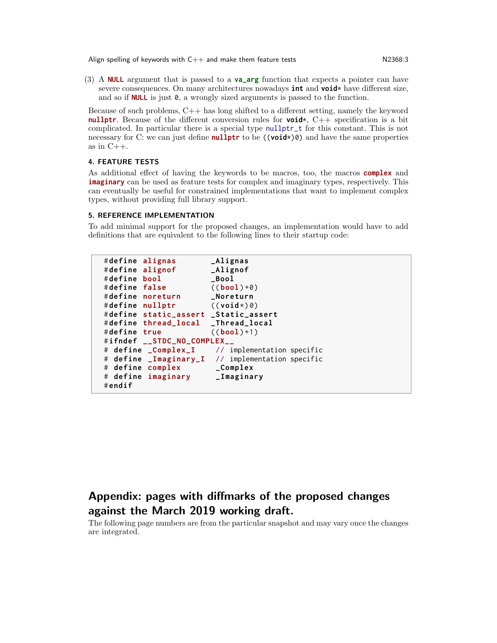Align spelling of keywords with  $C++$  and make them feature tests  $N2368:3$ 

(3) A **NULL** argument that is passed to a **va\_arg** function that expects a pointer can have severe consequences. On many architectures nowadays **int** and **void**\* have different size, and so if **NULL** is just  $\theta$ , a wrongly sized arguments is passed to the function.

Because of such problems, C++ has long shifted to a different setting, namely the keyword **nullptr**. Because of the different conversion rules for **void**\*, C++ specification is a bit complicated. In particular there is a special type nullptr\_t for this constant. This is not necessary for C: we can just define **nullptr** to be ((**void**\*)0) and have the same properties as in C++.

# 4. FEATURE TESTS

As additional effect of having the keywords to be macros, too, the macros **complex** and **imaginary** can be used as feature tests for complex and imaginary types, respectively. This can eventually be useful for constrained implementations that want to implement complex types, without providing full library support.

### 5. REFERENCE IMPLEMENTATION

To add minimal support for the proposed changes, an implementation would have to add definitions that are equivalent to the following lines to their startup code:

| #define alignas<br>#define alignof<br>#define bool<br>#define false<br>#define noreturn<br>#define nullptr $((void*)0)$<br>#define static_assert _Static_assert<br>#define thread_local _Thread_local<br>#define true<br>#ifndef __STDC_NO_COMPLEX__ | _Alignas<br>_Alignof<br>Bool<br>$((bool)+0)$<br>_Noreturn<br>$((bool)+1)$<br># define _Complex_I // implementation specific<br># define _Imaginary_I // implementation specific |
|------------------------------------------------------------------------------------------------------------------------------------------------------------------------------------------------------------------------------------------------------|---------------------------------------------------------------------------------------------------------------------------------------------------------------------------------|
| # define complex<br># define imaginary<br>$#$ endif                                                                                                                                                                                                  | _Complex<br>_Imaginary                                                                                                                                                          |

# Appendix: pages with diffmarks of the proposed changes against the March 2019 working draft.

The following page numbers are from the particular snapshot and may vary once the changes are integrated.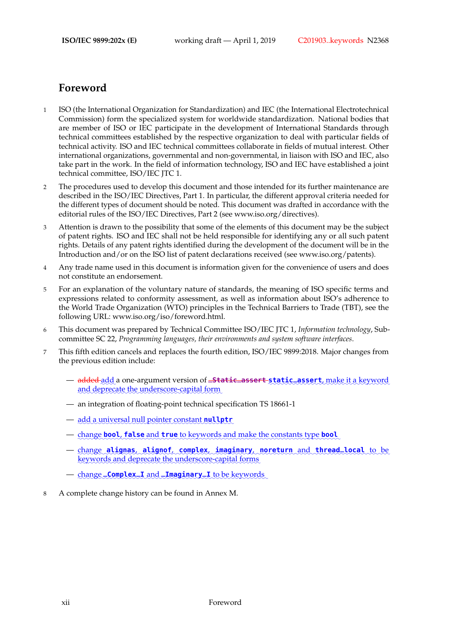# **Foreword**

- 1 ISO (the International Organization for Standardization) and IEC (the International Electrotechnical Commission) form the specialized system for worldwide standardization. National bodies that are member of ISO or IEC participate in the development of International Standards through technical committees established by the respective organization to deal with particular fields of technical activity. ISO and IEC technical committees collaborate in fields of mutual interest. Other international organizations, governmental and non-governmental, in liaison with ISO and IEC, also take part in the work. In the field of information technology, ISO and IEC have established a joint technical committee, ISO/IEC JTC 1.
- 2 The procedures used to develop this document and those intended for its further maintenance are described in the ISO/IEC Directives, Part 1. In particular, the different approval criteria needed for the different types of document should be noted. This document was drafted in accordance with the editorial rules of the ISO/IEC Directives, Part 2 (see www.iso.org/directives).
- 3 Attention is drawn to the possibility that some of the elements of this document may be the subject of patent rights. ISO and IEC shall not be held responsible for identifying any or all such patent rights. Details of any patent rights identified during the development of the document will be in the Introduction and/or on the ISO list of patent declarations received (see www.iso.org/patents).
- 4 Any trade name used in this document is information given for the convenience of users and does not constitute an endorsement.
- 5 For an explanation of the voluntary nature of standards, the meaning of ISO specific terms and expressions related to conformity assessment, as well as information about ISO's adherence to the World Trade Organization (WTO) principles in the Technical Barriers to Trade (TBT), see the following URL: www.iso.org/iso/foreword.html.
- 6 This document was prepared by Technical Committee ISO/IEC JTC 1, *Information technology*, Subcommittee SC 22, *Programming languages, their environments and system software interfaces*.
- 7 This fifth edition cancels and replaces the fourth edition, ISO/IEC 9899:2018. Major changes from the previous edition include:
	- a<del>dded add</del> a one-argument version of **\_Static\_assert\_static\_assert**, make it a keyword and deprecate the underscore-capital form
	- an integration of floating-point technical specification TS 18661-1
	- <u>add a universal null pointer constant</u> nullptr
	- $-$  change **bool**, **false** and **true** to keywords and make the constants type **bool**
	- $-$  change alignas, alignof, complex, imaginary, noreturn and thread local to be keywords and deprecate the underscore-capital forms
	- $-$  change  $-$  **Complex**  $\Box$  and  $\Box$  **Imaginary**  $\Box$  to be keywords
- 8 A complete change history can be found in Annex M.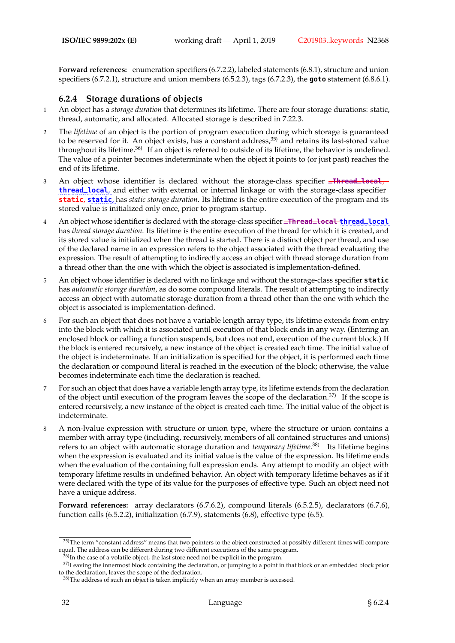**Forward references:** enumeration specifiers (6.7.2.2), labeled statements (6.8.1), structure and union specifiers (6.7.2.1), structure and union members (6.5.2.3), tags (6.7.2.3), the **goto** statement (6.8.6.1).

# **6.2.4 Storage durations of objects**

- 1 An object has a *storage duration* that determines its lifetime. There are four storage durations: static, thread, automatic, and allocated. Allocated storage is described in 7.22.3.
- 2 The *lifetime* of an object is the portion of program execution during which storage is guaranteed to be reserved for it. An object exists, has a constant address,<sup>35)</sup> and retains its last-stored value throughout its lifetime.36) If an object is referred to outside of its lifetime, the behavior is undefined. The value of a pointer becomes indeterminate when the object it points to (or just past) reaches the end of its lifetime.
- <sup>3</sup> An object whose identifier is declared without the storage-class specifier **\_Thread\_local**, thread\_local, and either with external or internal linkage or with the storage-class specifier  ${\sf static}, {\sf static}$  has *static storage duration*. Its lifetime is the entire execution of the program and its stored value is initialized only once, prior to program startup.
- 4 An object whose identifier is declared with the storage-class specifier **\_Thread\_local** thread\_local has *thread storage duration*. Its lifetime is the entire execution of the thread for which it is created, and its stored value is initialized when the thread is started. There is a distinct object per thread, and use of the declared name in an expression refers to the object associated with the thread evaluating the expression. The result of attempting to indirectly access an object with thread storage duration from a thread other than the one with which the object is associated is implementation-defined.
- 5 An object whose identifier is declared with no linkage and without the storage-class specifier **static** has *automatic storage duration*, as do some compound literals. The result of attempting to indirectly access an object with automatic storage duration from a thread other than the one with which the object is associated is implementation-defined.
- 6 For such an object that does not have a variable length array type, its lifetime extends from entry into the block with which it is associated until execution of that block ends in any way. (Entering an enclosed block or calling a function suspends, but does not end, execution of the current block.) If the block is entered recursively, a new instance of the object is created each time. The initial value of the object is indeterminate. If an initialization is specified for the object, it is performed each time the declaration or compound literal is reached in the execution of the block; otherwise, the value becomes indeterminate each time the declaration is reached.
- 7 For such an object that does have a variable length array type, its lifetime extends from the declaration of the object until execution of the program leaves the scope of the declaration. $37$  If the scope is entered recursively, a new instance of the object is created each time. The initial value of the object is indeterminate.
- 8 A non-lvalue expression with structure or union type, where the structure or union contains a member with array type (including, recursively, members of all contained structures and unions) refers to an object with automatic storage duration and *temporary lifetime*. 38) Its lifetime begins when the expression is evaluated and its initial value is the value of the expression. Its lifetime ends when the evaluation of the containing full expression ends. Any attempt to modify an object with temporary lifetime results in undefined behavior. An object with temporary lifetime behaves as if it were declared with the type of its value for the purposes of effective type. Such an object need not have a unique address.

**Forward references:** array declarators (6.7.6.2), compound literals (6.5.2.5), declarators (6.7.6), function calls  $(6.5.2.2)$ , initialization  $(6.7.9)$ , statements  $(6.8)$ , effective type  $(6.5)$ .

<sup>35)</sup>The term "constant address" means that two pointers to the object constructed at possibly different times will compare equal. The address can be different during two different executions of the same program.

 $^{36}$ In the case of a volatile object, the last store need not be explicit in the program.

<sup>37)</sup>Leaving the innermost block containing the declaration, or jumping to a point in that block or an embedded block prior to the declaration, leaves the scope of the declaration.

<sup>38)</sup>The address of such an object is taken implicitly when an array member is accessed.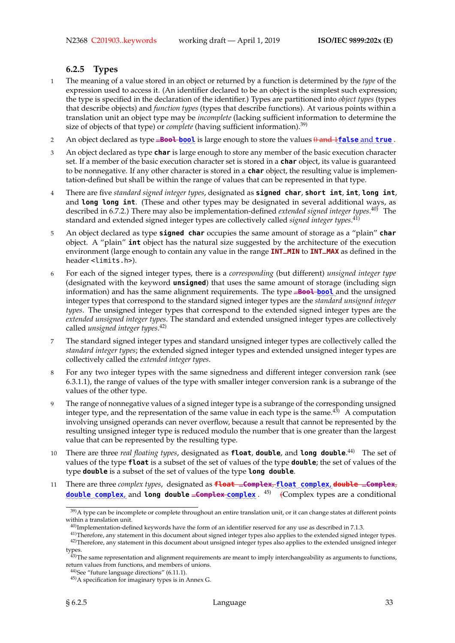# **6.2.5 Types**

- 1 The meaning of a value stored in an object or returned by a function is determined by the *type* of the expression used to access it. (An identifier declared to be an object is the simplest such expression; the type is specified in the declaration of the identifier.) Types are partitioned into *object types* (types that describe objects) and *function types* (types that describe functions). At various points within a translation unit an object type may be *incomplete* (lacking sufficient information to determine the size of objects of that type) or *complete* (having sufficient information).39)
- 2 An object declared as type **\_Bool** bool is large enough to store the values <del>0 and 1 false</del> and true.
- 3 An object declared as type **char** is large enough to store any member of the basic execution character set. If a member of the basic execution character set is stored in a **char** object, its value is guaranteed to be nonnegative. If any other character is stored in a **char** object, the resulting value is implementation-defined but shall be within the range of values that can be represented in that type.
- 4 There are five *standard signed integer types*, designated as **signed char**, **short int**, **int**, **long int**, and **long long int**. (These and other types may be designated in several additional ways, as described in 6.7.2.) There may also be implementation-defined *extended signed integer types*. 40) The standard and extended signed integer types are collectively called *signed integer types*. 41)
- 5 An object declared as type **signed char** occupies the same amount of storage as a "plain" **char** object. A "plain" **int** object has the natural size suggested by the architecture of the execution environment (large enough to contain any value in the range **INT\_MIN** to **INT\_MAX** as defined in the header <limits.h>).
- 6 For each of the signed integer types, there is a *corresponding* (but different) *unsigned integer type* (designated with the keyword **unsigned**) that uses the same amount of storage (including sign information) and has the same alignment requirements. The type **\_Bool bool** and the unsigned integer types that correspond to the standard signed integer types are the *standard unsigned integer types*. The unsigned integer types that correspond to the extended signed integer types are the *extended unsigned integer types*. The standard and extended unsigned integer types are collectively called *unsigned integer types*. 42)
- 7 The standard signed integer types and standard unsigned integer types are collectively called the *standard integer types*; the extended signed integer types and extended unsigned integer types are collectively called the *extended integer types*.
- 8 For any two integer types with the same signedness and different integer conversion rank (see 6.3.1.1), the range of values of the type with smaller integer conversion rank is a subrange of the values of the other type.
- 9 The range of nonnegative values of a signed integer type is a subrange of the corresponding unsigned integer type, and the representation of the same value in each type is the same.<sup>43</sup>) A computation involving unsigned operands can never overflow, because a result that cannot be represented by the resulting unsigned integer type is reduced modulo the number that is one greater than the largest value that can be represented by the resulting type.
- 10 There are three *real floating types*, designated as **float**, **double**, and **long double**. 44) The set of values of the type **float** is a subset of the set of values of the type **double**; the set of values of the type **double** is a subset of the set of values of the type **long double**.
- 11 There are three *complex types*, designated as **float \_Complex**, **float complex**, **double** \_Complex,  $\frac{double\ complex}{odd}$  and  $\text{long double} = \text{Complex} \cdot \text{complex}$  . 45) (Complex types are a conditional

<sup>&</sup>lt;sup>39)</sup>A type can be incomplete or complete throughout an entire translation unit, or it can change states at different points within a translation unit.

<sup>40)</sup>Implementation-defined keywords have the form of an identifier reserved for any use as described in 7.1.3.

<sup>41)</sup>Therefore, any statement in this document about signed integer types also applies to the extended signed integer types. 42)Therefore, any statement in this document about unsigned integer types also applies to the extended unsigned integer types.

 $^{43}$ )The same representation and alignment requirements are meant to imply interchangeability as arguments to functions, return values from functions, and members of unions.

 $44$ )See "future language directions" (6.11.1).

<sup>45)</sup>A specification for imaginary types is in Annex G.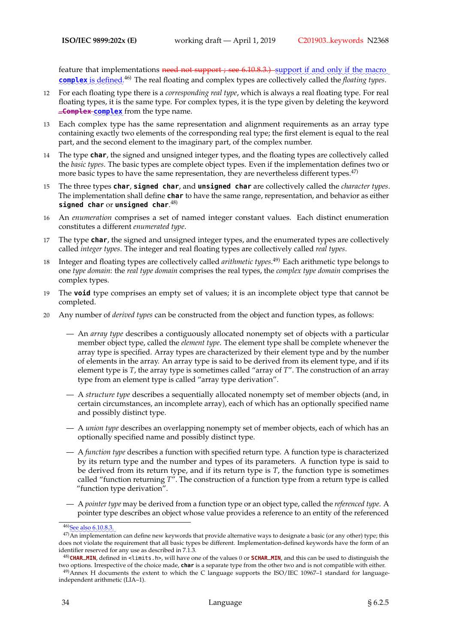feature that implementations need not support ; see 6.10.8.3.) support if and only if the macro complex is defined.<sup>46)</sup> The real floating and complex types are collectively called the *floating types*.

- 12 For each floating type there is a *corresponding real type*, which is always a real floating type. For real floating types, it is the same type. For complex types, it is the type given by deleting the keyword **Ecomplex complex** from the type name.
- 13 Each complex type has the same representation and alignment requirements as an array type containing exactly two elements of the corresponding real type; the first element is equal to the real part, and the second element to the imaginary part, of the complex number.
- 14 The type **char**, the signed and unsigned integer types, and the floating types are collectively called the *basic types*. The basic types are complete object types. Even if the implementation defines two or more basic types to have the same representation, they are nevertheless different types.<sup>47)</sup>
- 15 The three types **char**, **signed char**, and **unsigned char** are collectively called the *character types*. The implementation shall define **char** to have the same range, representation, and behavior as either **signed char** or **unsigned char**. 48)
- 16 An *enumeration* comprises a set of named integer constant values. Each distinct enumeration constitutes a different *enumerated type*.
- 17 The type **char**, the signed and unsigned integer types, and the enumerated types are collectively called *integer types*. The integer and real floating types are collectively called *real types*.
- 18 Integer and floating types are collectively called *arithmetic types*. 49) Each arithmetic type belongs to one *type domain*: the *real type domain* comprises the real types, the *complex type domain* comprises the complex types.
- 19 The **void** type comprises an empty set of values; it is an incomplete object type that cannot be completed.
- 20 Any number of *derived types* can be constructed from the object and function types, as follows:
	- An *array type* describes a contiguously allocated nonempty set of objects with a particular member object type, called the *element type*. The element type shall be complete whenever the array type is specified. Array types are characterized by their element type and by the number of elements in the array. An array type is said to be derived from its element type, and if its element type is *T*, the array type is sometimes called "array of *T*". The construction of an array type from an element type is called "array type derivation".
	- A *structure type* describes a sequentially allocated nonempty set of member objects (and, in certain circumstances, an incomplete array), each of which has an optionally specified name and possibly distinct type.
	- A *union type* describes an overlapping nonempty set of member objects, each of which has an optionally specified name and possibly distinct type.
	- A *function type* describes a function with specified return type. A function type is characterized by its return type and the number and types of its parameters. A function type is said to be derived from its return type, and if its return type is *T*, the function type is sometimes called "function returning *T*". The construction of a function type from a return type is called "function type derivation".
	- A *pointer type* may be derived from a function type or an object type, called the *referenced type*. A pointer type describes an object whose value provides a reference to an entity of the referenced

 $\frac{46}{2}$ See also 6.10.8.3.

and the case of the cases.<br><sup>47</sup>) An implementation can define new keywords that provide alternative ways to designate a basic (or any other) type; this does not violate the requirement that all basic types be different. Implementation-defined keywords have the form of an identifier reserved for any use as described in 7.1.3.

<sup>48)</sup>**CHAR\_MIN**, defined in <limits.h>, will have one of the values 0 or **SCHAR\_MIN**, and this can be used to distinguish the two options. Irrespective of the choice made, **char** is a separate type from the other two and is not compatible with either.

<sup>49)</sup>Annex H documents the extent to which the C language supports the ISO/IEC 10967–1 standard for languageindependent arithmetic (LIA–1).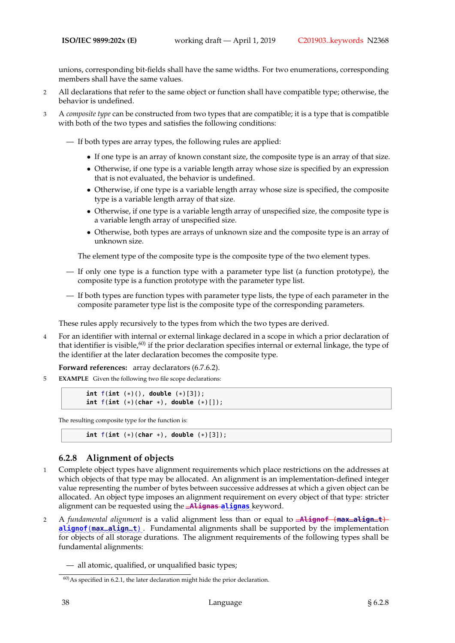unions, corresponding bit-fields shall have the same widths. For two enumerations, corresponding members shall have the same values.

- 2 All declarations that refer to the same object or function shall have compatible type; otherwise, the behavior is undefined.
- 3 A *composite type* can be constructed from two types that are compatible; it is a type that is compatible with both of the two types and satisfies the following conditions:
	- If both types are array types, the following rules are applied:
		- If one type is an array of known constant size, the composite type is an array of that size.
		- Otherwise, if one type is a variable length array whose size is specified by an expression that is not evaluated, the behavior is undefined.
		- Otherwise, if one type is a variable length array whose size is specified, the composite type is a variable length array of that size.
		- Otherwise, if one type is a variable length array of unspecified size, the composite type is a variable length array of unspecified size.
		- Otherwise, both types are arrays of unknown size and the composite type is an array of unknown size.

The element type of the composite type is the composite type of the two element types.

- If only one type is a function type with a parameter type list (a function prototype), the composite type is a function prototype with the parameter type list.
- If both types are function types with parameter type lists, the type of each parameter in the composite parameter type list is the composite type of the corresponding parameters.

These rules apply recursively to the types from which the two types are derived.

4 For an identifier with internal or external linkage declared in a scope in which a prior declaration of that identifier is visible,<sup>60)</sup> if the prior declaration specifies internal or external linkage, the type of the identifier at the later declaration becomes the composite type.

**Forward references:** array declarators (6.7.6.2).

5 **EXAMPLE** Given the following two file scope declarations:

```
int f(int (*)(), double (*)[3]);
int f(int (*)(char *), double (*)[]);
```
The resulting composite type for the function is:

```
int f(int (*)(char *), double (*)[3]);
```
# **6.2.8 Alignment of objects**

- 1 Complete object types have alignment requirements which place restrictions on the addresses at which objects of that type may be allocated. An alignment is an implementation-defined integer value representing the number of bytes between successive addresses at which a given object can be allocated. An object type imposes an alignment requirement on every object of that type: stricter alignment can be requested using the **\_Alignas** alignas keyword.
- <sup>2</sup> A *fundamental alignment* is a valid alignment less than or equal to **\_Alignof** (**max\_align\_t**) alignof(max\_align\_t). Fundamental alignments shall be supported by the implementation for objects of all storage durations. The alignment requirements of the following types shall be fundamental alignments:

— all atomic, qualified, or unqualified basic types;

 $^{60)}$ As specified in 6.2.1, the later declaration might hide the prior declaration.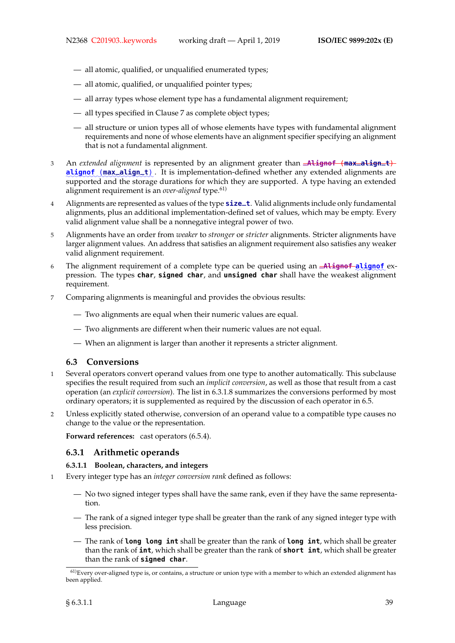- all atomic, qualified, or unqualified enumerated types;
- all atomic, qualified, or unqualified pointer types;
- all array types whose element type has a fundamental alignment requirement;
- all types specified in Clause 7 as complete object types;
- all structure or union types all of whose elements have types with fundamental alignment requirements and none of whose elements have an alignment specifier specifying an alignment that is not a fundamental alignment.
- <sup>3</sup> An *extended alignment* is represented by an alignment greater than **\_Alignof** (**max\_align\_t**) **alignof** (**max\_align\_t**). It is implementation-defined whether any extended alignments are supported and the storage durations for which they are supported. A type having an extended alignment requirement is an *over-aligned* type.<sup>61)</sup>
- <sup>4</sup> Alignments are represented as values of the type **size\_t**. Valid alignments include only fundamental alignments, plus an additional implementation-defined set of values, which may be empty. Every valid alignment value shall be a nonnegative integral power of two.
- 5 Alignments have an order from *weaker* to *stronger* or *stricter* alignments. Stricter alignments have larger alignment values. An address that satisfies an alignment requirement also satisfies any weaker valid alignment requirement.
- 6 The alignment requirement of a complete type can be queried using an **\_Alignof** alignof expression. The types **char**, **signed char**, and **unsigned char** shall have the weakest alignment requirement.
- 7 Comparing alignments is meaningful and provides the obvious results:
	- Two alignments are equal when their numeric values are equal.
	- Two alignments are different when their numeric values are not equal.
	- When an alignment is larger than another it represents a stricter alignment.

# **6.3 Conversions**

- 1 Several operators convert operand values from one type to another automatically. This subclause specifies the result required from such an *implicit conversion*, as well as those that result from a cast operation (an *explicit conversion*). The list in 6.3.1.8 summarizes the conversions performed by most ordinary operators; it is supplemented as required by the discussion of each operator in 6.5.
- 2 Unless explicitly stated otherwise, conversion of an operand value to a compatible type causes no change to the value or the representation.

**Forward references:** cast operators (6.5.4).

# **6.3.1 Arithmetic operands**

# **6.3.1.1 Boolean, characters, and integers**

- 1 Every integer type has an *integer conversion rank* defined as follows:
	- No two signed integer types shall have the same rank, even if they have the same representation.
	- The rank of a signed integer type shall be greater than the rank of any signed integer type with less precision.
	- The rank of **long long int** shall be greater than the rank of **long int**, which shall be greater than the rank of **int**, which shall be greater than the rank of **short int**, which shall be greater than the rank of **signed char**.

<sup>61)</sup>Every over-aligned type is, or contains, a structure or union type with a member to which an extended alignment has been applied.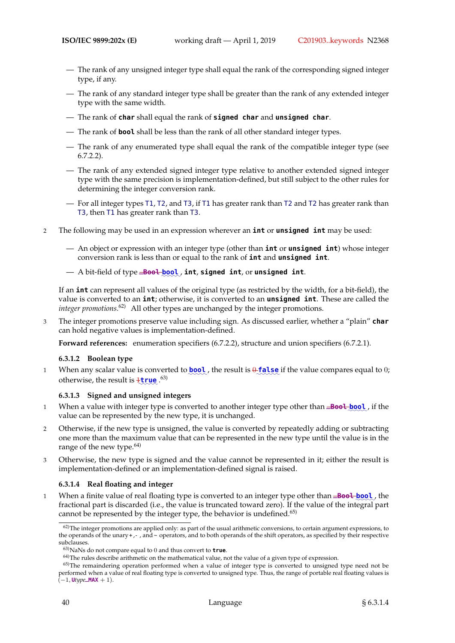- The rank of any unsigned integer type shall equal the rank of the corresponding signed integer type, if any.
- The rank of any standard integer type shall be greater than the rank of any extended integer type with the same width.
- The rank of **char** shall equal the rank of **signed char** and **unsigned char**.
- The rank of **bool** shall be less than the rank of all other standard integer types.
- The rank of any enumerated type shall equal the rank of the compatible integer type (see 6.7.2.2).
- The rank of any extended signed integer type relative to another extended signed integer type with the same precision is implementation-defined, but still subject to the other rules for determining the integer conversion rank.
- For all integer types T1, T2, and T3, if T1 has greater rank than T2 and T2 has greater rank than T3, then T1 has greater rank than T3.
- 2 The following may be used in an expression wherever an **int** or **unsigned int** may be used:
	- An object or expression with an integer type (other than **int** or **unsigned int**) whose integer conversion rank is less than or equal to the rank of **int** and **unsigned int**.
	- A bit-field of type **\_Bool** ✿✿✿✿✿ **bool** , **int**, **signed int**, or **unsigned int**.

If an **int** can represent all values of the original type (as restricted by the width, for a bit-field), the value is converted to an **int**; otherwise, it is converted to an **unsigned int**. These are called the *integer promotions*. 62) All other types are unchanged by the integer promotions.

3 The integer promotions preserve value including sign. As discussed earlier, whether a "plain" **char** can hold negative values is implementation-defined.

**Forward references:** enumeration specifiers (6.7.2.2), structure and union specifiers (6.7.2.1).

# **6.3.1.2 Boolean type**

1 When any scalar value is converted to **bool** , the result is  $\theta$  **false** if the value compares equal to 0; otherwise, the result is  $\frac{1 \text{true}}{2}$ .<sup>63)</sup>

# **6.3.1.3 Signed and unsigned integers**

- 1 When a value with integer type is converted to another integer type other than **Bool** bool, if the value can be represented by the new type, it is unchanged.
- 2 Otherwise, if the new type is unsigned, the value is converted by repeatedly adding or subtracting one more than the maximum value that can be represented in the new type until the value is in the range of the new type.<sup>64)</sup>
- 3 Otherwise, the new type is signed and the value cannot be represented in it; either the result is implementation-defined or an implementation-defined signal is raised.

# **6.3.1.4 Real floating and integer**

1 When a finite value of real floating type is converted to an integer type other than **\_Bool** bool , the fractional part is discarded (i.e., the value is truncated toward zero). If the value of the integral part cannot be represented by the integer type, the behavior is undefined.<sup> $65)$ </sup>

<sup>62)</sup>The integer promotions are applied only: as part of the usual arithmetic conversions, to certain argument expressions, to the operands of the unary+,- , and~ operators, and to both operands of the shift operators, as specified by their respective subclauses.

<sup>63)</sup>NaNs do not compare equal to 0 and thus convert to **true**.

<sup>&</sup>lt;sup>64)</sup>The rules describe arithmetic on the mathematical value, not the value of a given type of expression.

<sup>&</sup>lt;sup>65)</sup>The remaindering operation performed when a value of integer type is converted to unsigned type need not be performed when a value of real floating type is converted to unsigned type. Thus, the range of portable real floating values is  $(-1, \text{Utype\_MAX} + 1).$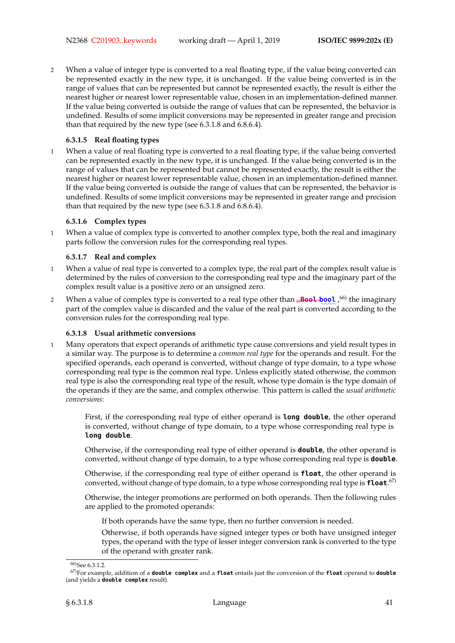2 When a value of integer type is converted to a real floating type, if the value being converted can be represented exactly in the new type, it is unchanged. If the value being converted is in the range of values that can be represented but cannot be represented exactly, the result is either the nearest higher or nearest lower representable value, chosen in an implementation-defined manner. If the value being converted is outside the range of values that can be represented, the behavior is undefined. Results of some implicit conversions may be represented in greater range and precision than that required by the new type (see 6.3.1.8 and 6.8.6.4).

# **6.3.1.5 Real floating types**

1 When a value of real floating type is converted to a real floating type, if the value being converted can be represented exactly in the new type, it is unchanged. If the value being converted is in the range of values that can be represented but cannot be represented exactly, the result is either the nearest higher or nearest lower representable value, chosen in an implementation-defined manner. If the value being converted is outside the range of values that can be represented, the behavior is undefined. Results of some implicit conversions may be represented in greater range and precision than that required by the new type (see 6.3.1.8 and 6.8.6.4).

# **6.3.1.6 Complex types**

1 When a value of complex type is converted to another complex type, both the real and imaginary parts follow the conversion rules for the corresponding real types.

# **6.3.1.7 Real and complex**

- 1 When a value of real type is converted to a complex type, the real part of the complex result value is determined by the rules of conversion to the corresponding real type and the imaginary part of the complex result value is a positive zero or an unsigned zero.
- 2 When a value of complex type is converted to a real type other than **\_Bool\_bool** ,<sup>66)</sup> the imaginary part of the complex value is discarded and the value of the real part is converted according to the conversion rules for the corresponding real type.

# **6.3.1.8 Usual arithmetic conversions**

1 Many operators that expect operands of arithmetic type cause conversions and yield result types in a similar way. The purpose is to determine a *common real type* for the operands and result. For the specified operands, each operand is converted, without change of type domain, to a type whose corresponding real type is the common real type. Unless explicitly stated otherwise, the common real type is also the corresponding real type of the result, whose type domain is the type domain of the operands if they are the same, and complex otherwise. This pattern is called the *usual arithmetic conversions*:

First, if the corresponding real type of either operand is **long double**, the other operand is converted, without change of type domain, to a type whose corresponding real type is **long double**.

Otherwise, if the corresponding real type of either operand is **double**, the other operand is converted, without change of type domain, to a type whose corresponding real type is **double**.

Otherwise, if the corresponding real type of either operand is **float**, the other operand is converted, without change of type domain, to a type whose corresponding real type is **float**. 67)

Otherwise, the integer promotions are performed on both operands. Then the following rules are applied to the promoted operands:

If both operands have the same type, then no further conversion is needed.

Otherwise, if both operands have signed integer types or both have unsigned integer types, the operand with the type of lesser integer conversion rank is converted to the type of the operand with greater rank.

<sup>66)</sup>See 6.3.1.2.

<sup>67)</sup>For example, addition of a **double complex** and a **float** entails just the conversion of the **float** operand to **double** (and yields a **double complex** result).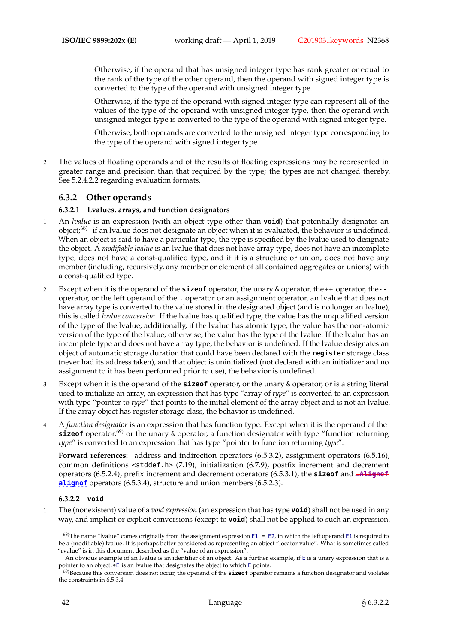Otherwise, if the operand that has unsigned integer type has rank greater or equal to the rank of the type of the other operand, then the operand with signed integer type is converted to the type of the operand with unsigned integer type.

Otherwise, if the type of the operand with signed integer type can represent all of the values of the type of the operand with unsigned integer type, then the operand with unsigned integer type is converted to the type of the operand with signed integer type.

Otherwise, both operands are converted to the unsigned integer type corresponding to the type of the operand with signed integer type.

2 The values of floating operands and of the results of floating expressions may be represented in greater range and precision than that required by the type; the types are not changed thereby. See 5.2.4.2.2 regarding evaluation formats.

# **6.3.2 Other operands**

# **6.3.2.1 Lvalues, arrays, and function designators**

- 1 An *lvalue* is an expression (with an object type other than **void**) that potentially designates an object;<sup>68)</sup> if an lvalue does not designate an object when it is evaluated, the behavior is undefined. When an object is said to have a particular type, the type is specified by the lvalue used to designate the object. A *modifiable lvalue* is an lvalue that does not have array type, does not have an incomplete type, does not have a const-qualified type, and if it is a structure or union, does not have any member (including, recursively, any member or element of all contained aggregates or unions) with a const-qualified type.
- 2 Except when it is the operand of the **sizeof** operator, the unary & operator, the++ operator, the- operator, or the left operand of the . operator or an assignment operator, an lvalue that does not have array type is converted to the value stored in the designated object (and is no longer an lvalue); this is called *lvalue conversion*. If the lvalue has qualified type, the value has the unqualified version of the type of the lvalue; additionally, if the lvalue has atomic type, the value has the non-atomic version of the type of the lvalue; otherwise, the value has the type of the lvalue. If the lvalue has an incomplete type and does not have array type, the behavior is undefined. If the lvalue designates an object of automatic storage duration that could have been declared with the **register** storage class (never had its address taken), and that object is uninitialized (not declared with an initializer and no assignment to it has been performed prior to use), the behavior is undefined.
- 3 Except when it is the operand of the **sizeof** operator, or the unary & operator, or is a string literal used to initialize an array, an expression that has type "array of *type*" is converted to an expression with type "pointer to *type*" that points to the initial element of the array object and is not an lvalue. If the array object has register storage class, the behavior is undefined.
- 4 A *function designator* is an expression that has function type. Except when it is the operand of the **sizeof** operator,<sup>69)</sup> or the unary & operator, a function designator with type "function returning *type*" is converted to an expression that has type "pointer to function returning *type*".

**Forward references:** address and indirection operators (6.5.3.2), assignment operators (6.5.16), common definitions <stddef.h> (7.19), initialization (6.7.9), postfix increment and decrement operators (6.5.2.4), prefix increment and decrement operators (6.5.3.1), the **sizeof** and **\_Alignof alignof** operators (6.5.3.4), structure and union members (6.5.2.3).

# **6.3.2.2 void**

1 The (nonexistent) value of a *void expression* (an expression that has type **void**) shall not be used in any way, and implicit or explicit conversions (except to **void**) shall not be applied to such an expression.

 $68$ )The name "lvalue" comes originally from the assignment expression E1 = E2, in which the left operand E1 is required to be a (modifiable) lvalue. It is perhaps better considered as representing an object "locator value". What is sometimes called "rvalue" is in this document described as the "value of an expression".

An obvious example of an lvalue is an identifier of an object. As a further example, if E is a unary expression that is a pointer to an object, \*E is an lvalue that designates the object to which E points.

<sup>69)</sup>Because this conversion does not occur, the operand of the **sizeof** operator remains a function designator and violates the constraints in 6.5.3.4.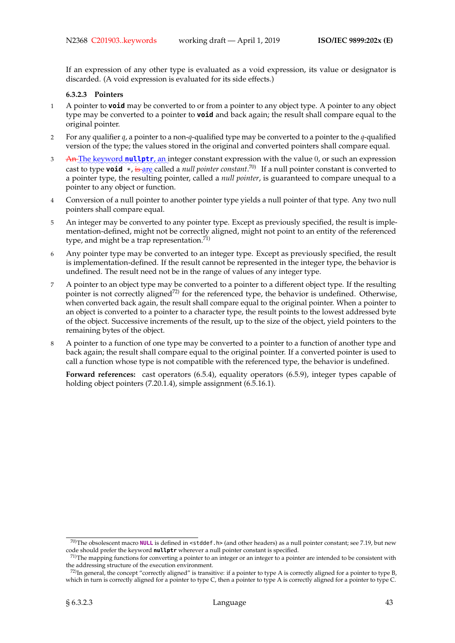If an expression of any other type is evaluated as a void expression, its value or designator is discarded. (A void expression is evaluated for its side effects.)

# **6.3.2.3 Pointers**

- 1 A pointer to **void** may be converted to or from a pointer to any object type. A pointer to any object type may be converted to a pointer to **void** and back again; the result shall compare equal to the original pointer.
- 2 For any qualifier *q*, a pointer to a non-*q*-qualified type may be converted to a pointer to the *q*-qualified version of the type; the values stored in the original and converted pointers shall compare equal.
- 3 An The keyword **nullptr**, an integer constant expression with the value 0, or such an expression cast to type **void**  $\ast$ , <del>is are</del> called a *null pointer constant*.<sup>70</sup>) If a null pointer constant is converted to a pointer type, the resulting pointer, called a *null pointer*, is guaranteed to compare unequal to a pointer to any object or function.
- 4 Conversion of a null pointer to another pointer type yields a null pointer of that type. Any two null pointers shall compare equal.
- 5 An integer may be converted to any pointer type. Except as previously specified, the result is implementation-defined, might not be correctly aligned, might not point to an entity of the referenced type, and might be a trap representation. $71$ )
- 6 Any pointer type may be converted to an integer type. Except as previously specified, the result is implementation-defined. If the result cannot be represented in the integer type, the behavior is undefined. The result need not be in the range of values of any integer type.
- 7 A pointer to an object type may be converted to a pointer to a different object type. If the resulting pointer is not correctly aligned<sup>72)</sup> for the referenced type, the behavior is undefined. Otherwise, when converted back again, the result shall compare equal to the original pointer. When a pointer to an object is converted to a pointer to a character type, the result points to the lowest addressed byte of the object. Successive increments of the result, up to the size of the object, yield pointers to the remaining bytes of the object.
- 8 A pointer to a function of one type may be converted to a pointer to a function of another type and back again; the result shall compare equal to the original pointer. If a converted pointer is used to call a function whose type is not compatible with the referenced type, the behavior is undefined.

**Forward references:** cast operators (6.5.4), equality operators (6.5.9), integer types capable of holding object pointers (7.20.1.4), simple assignment (6.5.16.1).

<sup>70)</sup>The obsolescent macro **NULL** is defined in <stddef.h> (and other headers) as a null pointer constant; see 7.19, but new code should prefer the keyword **nullptr** wherever a null pointer constant is specified.

 $11$ The mapping functions for converting a pointer to an integer or an integer to a pointer are intended to be consistent with the addressing structure of the execution environment.

 $^{72}$ In general, the concept "correctly aligned" is transitive: if a pointer to type A is correctly aligned for a pointer to type B, which in turn is correctly aligned for a pointer to type C, then a pointer to type A is correctly aligned for a pointer to type C.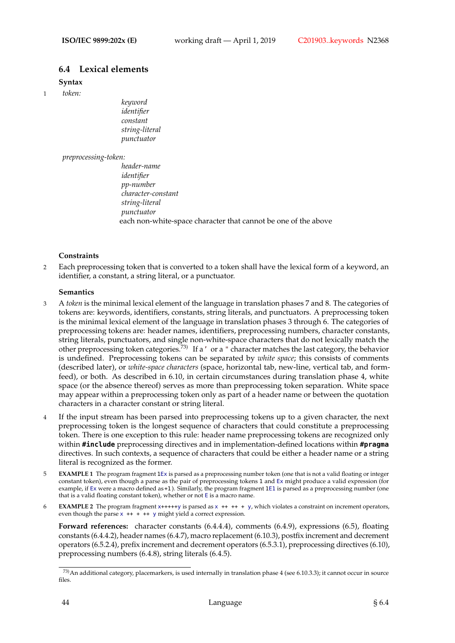# **6.4 Lexical elements**

**Syntax**

1 *token:*

*keyword identifier constant string-literal punctuator*

*preprocessing-token:*

*header-name identifier pp-number character-constant string-literal punctuator* each non-white-space character that cannot be one of the above

# **Constraints**

2 Each preprocessing token that is converted to a token shall have the lexical form of a keyword, an identifier, a constant, a string literal, or a punctuator.

# **Semantics**

- 3 A *token* is the minimal lexical element of the language in translation phases 7 and 8. The categories of tokens are: keywords, identifiers, constants, string literals, and punctuators. A preprocessing token is the minimal lexical element of the language in translation phases 3 through 6. The categories of preprocessing tokens are: header names, identifiers, preprocessing numbers, character constants, string literals, punctuators, and single non-white-space characters that do not lexically match the other preprocessing token categories.<sup>73)</sup> If a  $\prime$  or a " character matches the last category, the behavior is undefined. Preprocessing tokens can be separated by *white space*; this consists of comments (described later), or *white-space characters* (space, horizontal tab, new-line, vertical tab, and formfeed), or both. As described in 6.10, in certain circumstances during translation phase 4, white space (or the absence thereof) serves as more than preprocessing token separation. White space may appear within a preprocessing token only as part of a header name or between the quotation characters in a character constant or string literal.
- 4 If the input stream has been parsed into preprocessing tokens up to a given character, the next preprocessing token is the longest sequence of characters that could constitute a preprocessing token. There is one exception to this rule: header name preprocessing tokens are recognized only within **#include** preprocessing directives and in implementation-defined locations within **#pragma** directives. In such contexts, a sequence of characters that could be either a header name or a string literal is recognized as the former.
- 5 **EXAMPLE 1** The program fragment 1Ex is parsed as a preprocessing number token (one that is not a valid floating or integer constant token), even though a parse as the pair of preprocessing tokens 1 and Ex might produce a valid expression (for example, if Ex were a macro defined as+1). Similarly, the program fragment 1E1 is parsed as a preprocessing number (one that is a valid floating constant token), whether or not E is a macro name.
- 6 **EXAMPLE 2** The program fragment x+++++y is parsed as x ++ ++ + y, which violates a constraint on increment operators, even though the parse  $x$  ++ + + + y might yield a correct expression.

**Forward references:** character constants (6.4.4.4), comments (6.4.9), expressions (6.5), floating constants (6.4.4.2), header names (6.4.7), macro replacement (6.10.3), postfix increment and decrement operators (6.5.2.4), prefix increment and decrement operators (6.5.3.1), preprocessing directives (6.10), preprocessing numbers (6.4.8), string literals (6.4.5).

<sup>73)</sup>An additional category, placemarkers, is used internally in translation phase 4 (see 6.10.3.3); it cannot occur in source files.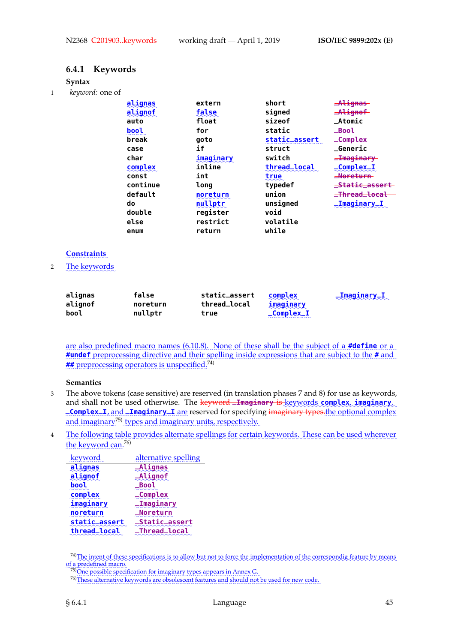# **6.4.1 Keywords**

# **Syntax**

1 *keyword:* one of

| alignas          | extern    | short         | $Alignas$                                                   |
|------------------|-----------|---------------|-------------------------------------------------------------|
| alignof          | false     | signed        | $Alignof$                                                   |
| auto             | float     | sizeof        | _Atomic                                                     |
| $\frac{bool}{2}$ | for       | static        | $\equiv$ Bool                                               |
| break            | goto      | static_assert | <sub></sub> Complex                                         |
| case             | if        | struct        | <b>_Generic</b>                                             |
| char             | imaginary | switch        | <del>_Imaginary</del>                                       |
| complex          | inline    | thread_local  | $\overline{\phantom{a}}$ Complex $\overline{\phantom{a}}$ I |
| const            | int       | true          | _Noreturn                                                   |
| continue         | long      | typedef       | _Static_assert                                              |
| default          | noreturn  | union         | <del>_Thread_local</del>                                    |
| do               | nullptr   | unsigned      | $\sqrt{2}$ $\sqrt{2}$                                       |
| double           | register  | void          |                                                             |
| else             | restrict  | volatile      |                                                             |
| enum             | return    | while         |                                                             |

# ✿✿✿✿✿✿✿✿✿✿✿ **Constraints**

2 The keywords

| alignas | false    | static_assert | complex               | $\frac{1}{2}$ Imaginary $\frac{1}{2}$ |
|---------|----------|---------------|-----------------------|---------------------------------------|
| alignof | noreturn | thread_local  | imaginary             |                                       |
| bool    | nullptr  | true          | $\sqrt{\frac{1}{20}}$ |                                       |

are also predefined macro names (6.10.8). None of these shall be the subject of a **#define** or a #undef preprocessing directive and their spelling inside expressions that are subject to the # and **##** preprocessing operators is unspecified.<sup>74)</sup>

# **Semantics**

- 3 The above tokens (case sensitive) are reserved (in translation phases 7 and 8) for use as keywords, and shall not be used otherwise. The <del>keyword **\_Imaginary** is keywords **complex**, **imaginary**,</del> **\_Complex\_I**, and **\_Imaginary\_I** are reserved for specifying imaginary types.the optional complex and imaginary<sup>75</sup> types and imaginary units, respectively.
- 4 Dhe following table provides alternate spellings for certain keywords. These can be used wherever the keyword can.<sup>76)</sup>

| keyword       | alternative spelling |
|---------------|----------------------|
| alignas       | Alignas              |
| alignof       | <b>_Alignof</b>      |
| bool          | $-$ Bool             |
| complex       | _Complex             |
| imaginary     | Imaginary            |
| noreturn      | <b>Noreturn</b>      |
| static_assert | Static_assert        |
| thread_local  | <b>_Thread_local</b> |

<sup>74)</sup> The intent of these specifications is to allow but not to force the implementation of the correspondig feature by means ✿✿✿ of a predefined macro.

<sup>&</sup>lt;sup>75)</sup>One possible specification for imaginary types appears in Annex G.

<sup>76)</sup> These alternative keywords are obsolescent features and should not be used for new code.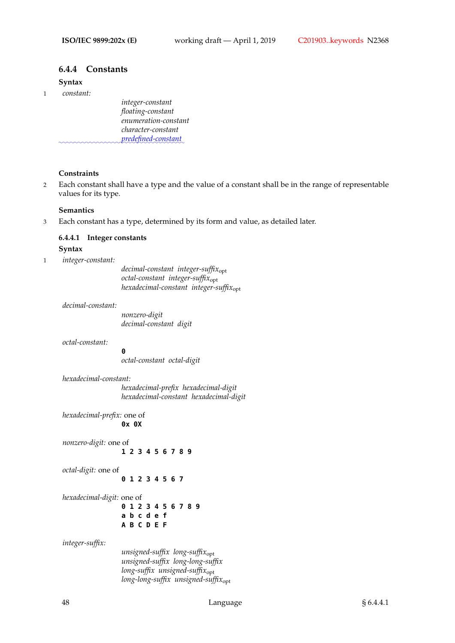# **6.4.4 Constants**

# **Syntax**

1 *constant:*

*integer-constant floating-constant enumeration-constant character-constant* ✿✿✿✿✿✿✿✿✿✿✿✿✿✿✿✿✿✿✿✿✿✿✿✿✿✿✿✿✿✿✿✿ *predefined-constant*✿

# **Constraints**

2 Each constant shall have a type and the value of a constant shall be in the range of representable values for its type.

# **Semantics**

3 Each constant has a type, determined by its form and value, as detailed later.

# **6.4.4.1 Integer constants**

# **Syntax**

1 *integer-constant:*

*decimal-constant integer-suffix*opt *octal-constant integer-suffix*opt *hexadecimal-constant integer-suffix*opt

### *decimal-constant:*

*nonzero-digit decimal-constant digit*

*octal-constant:*

**0**

*octal-constant octal-digit*

*hexadecimal-constant: hexadecimal-prefix hexadecimal-digit hexadecimal-constant hexadecimal-digit*

*hexadecimal-prefix:* one of **0x 0X**

*nonzero-digit:* one of **1 2 3 4 5 6 7 8 9**

*octal-digit:* one of

**0 1 2 3 4 5 6 7**

*hexadecimal-digit:* one of **0 1 2 3 4 5 6 7 8 9 a b c d e f A B C D E F**

*integer-suffix:*

*unsigned-suffix long-suffix*opt *unsigned-suffix long-long-suffix long-suffix unsigned-suffix*opt *long-long-suffix unsigned-suffix*opt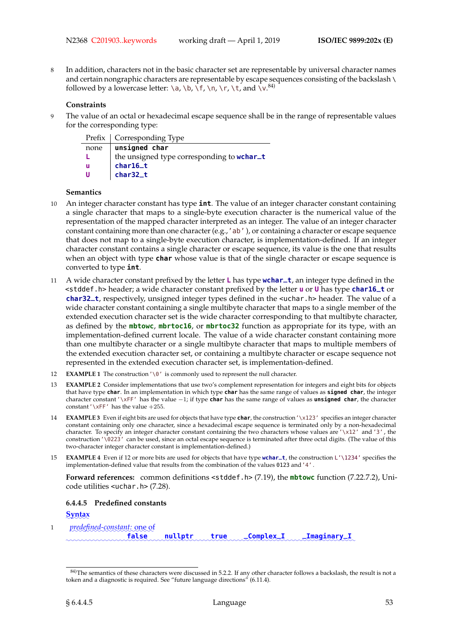8 In addition, characters not in the basic character set are representable by universal character names and certain nongraphic characters are representable by escape sequences consisting of the backslash \ followed by a lowercase letter:  $\a, \b, \f, \n, \r, \t, \and \v.^{84}$ 

# **Constraints**

9 The value of an octal or hexadecimal escape sequence shall be in the range of representable values for the corresponding type:

|      | Prefix   Corresponding Type                |
|------|--------------------------------------------|
| none | unsigned char                              |
|      | the unsigned type corresponding to wchar_t |
| -u   | $char16_t$                                 |
| -U   | char32_t                                   |

#### **Semantics**

- 10 An integer character constant has type **int**. The value of an integer character constant containing a single character that maps to a single-byte execution character is the numerical value of the representation of the mapped character interpreted as an integer. The value of an integer character constant containing more than one character  $(e.g.,'ab')$ , or containing a character or escape sequence that does not map to a single-byte execution character, is implementation-defined. If an integer character constant contains a single character or escape sequence, its value is the one that results when an object with type **char** whose value is that of the single character or escape sequence is converted to type **int**.
- <sup>11</sup> A wide character constant prefixed by the letter **L** has type **wchar\_t**, an integer type defined in the <stddef.h> header; a wide character constant prefixed by the letter **u** or **U** has type **char16\_t** or **char32\_t**, respectively, unsigned integer types defined in the <uchar.h> header. The value of a wide character constant containing a single multibyte character that maps to a single member of the extended execution character set is the wide character corresponding to that multibyte character, as defined by the **mbtowc**, **mbrtoc16**, or **mbrtoc32** function as appropriate for its type, with an implementation-defined current locale. The value of a wide character constant containing more than one multibyte character or a single multibyte character that maps to multiple members of the extended execution character set, or containing a multibyte character or escape sequence not represented in the extended execution character set, is implementation-defined.
- 12 **EXAMPLE 1** The construction '\0' is commonly used to represent the null character.
- 13 **EXAMPLE 2** Consider implementations that use two's complement representation for integers and eight bits for objects that have type **char**. In an implementation in which type **char** has the same range of values as **signed char**, the integer character constant'\xFF' has the value −1; if type **char** has the same range of values as **unsigned char**, the character constant '\xFF' has the value  $+255$ .
- 14 **EXAMPLE 3** Even if eight bits are used for objects that have type **char**, the construction'\x123' specifies an integer character constant containing only one character, since a hexadecimal escape sequence is terminated only by a non-hexadecimal character. To specify an integer character constant containing the two characters whose values are '\x12' and'3' , the construction '\0223' can be used, since an octal escape sequence is terminated after three octal digits. (The value of this two-character integer character constant is implementation-defined.)
- 15 **EXAMPLE 4** Even if 12 or more bits are used for objects that have type **wchar\_t**, the construction L'\1234' specifies the implementation-defined value that results from the combination of the values 0123 and'4' .

**Forward references:** common definitions <stddef.h> (7.19), the **mbtowc** function (7.22.7.2), Unicode utilities <uchar.h> (7.28).

#### **6.4.4.5 Predefined constants**

# ✿✿✿✿✿✿ **Syntax**

1 *predefined-constant:* one of ✿✿✿✿✿✿✿✿✿✿✿✿✿✿✿✿✿✿✿✿✿✿ false<sub>menullptr</sub> true true **\_Complex\_I**  $\text{\_Complex\_I}\quad\text{\_Imaginary\_I}$ 

 $84$ )The semantics of these characters were discussed in 5.2.2. If any other character follows a backslash, the result is not a token and a diagnostic is required. See "future language directions" (6.11.4).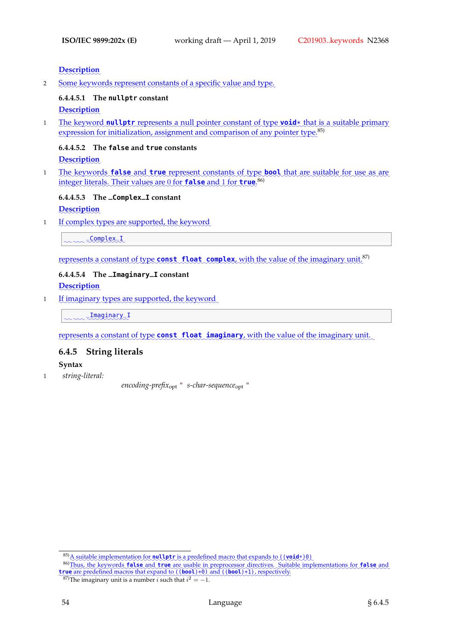# **Description**

2 Some keywords represent constants of a specific value and type.

**6.4.4.5.1 The nullptr constant Description** 

1 The keyword **nullptr** represents a null pointer constant of type **void**\* that is a suitable primary expression for initialization, assignment and comparison of any pointer type.<sup>85)</sup>

**6.4.4.5.2 The false and true constants Description** 

1 Lee keywords **false** and **true** represent constants of type **bool** that are suitable for use as are integer literals. Their values are 0 for **false** and 1 for **true**.<sup>86)</sup>

**6.4.4.5.3 The \_Complex\_I constant**

✿✿✿✿✿✿✿✿✿✿✿ **Description**

1 If complex types are supported, the keyword

www<del>.complex\_I</del>

represents a constant of type **const float complex**, with the value of the imaginary unit.<sup>87)</sup>

# **6.4.4.5.4 The \_Imaginary\_I constant** ✿✿✿✿✿✿✿✿✿✿✿ **Description**

1 If imaginary types are supported, the keyword

www.<del>Imaginary\_I</del>

represents a constant of type **const float imaginary**, with the value of the imaginary unit.

# **6.4.5 String literals**

# **Syntax**

1 *string-literal:*

*encoding-prefix*opt " *s-char-sequence*opt "

<sup>85)</sup> A suitable implementation for **nullptr** is a predefined macro that expands to ((**void**\*)0)

<sup>86)</sup> Thus, the keywords **false** and **true** are usable in preprocessor directives. Suitable implementations for **false** and **true** are predefined macros that expand to  $((\text{bool}) + 0)$  and  $((\text{bool}) + 1)$ , respectively.

<sup>&</sup>lt;sup>87)</sup>The imaginary unit is a number *i* such that  $i^2 = -1$ .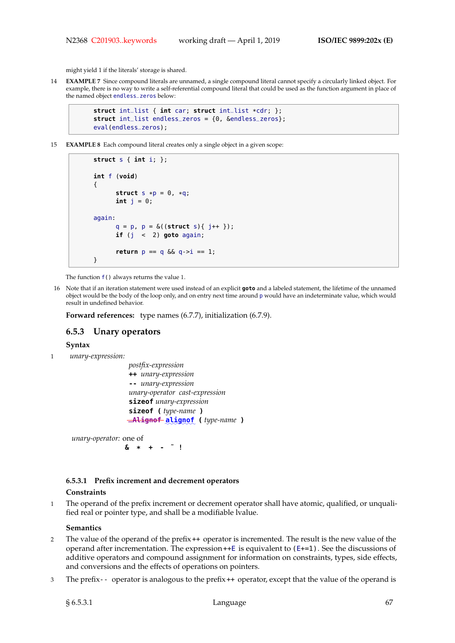might yield 1 if the literals' storage is shared.

14 **EXAMPLE 7** Since compound literals are unnamed, a single compound literal cannot specify a circularly linked object. For example, there is no way to write a self-referential compound literal that could be used as the function argument in place of the named object endless\_zeros below:

```
struct int_list { int car; struct int_list *cdr; };
struct int_list endless_zeros = {0, &endless_zeros};
eval(endless_zeros);
```
15 **EXAMPLE 8** Each compound literal creates only a single object in a given scope:

```
struct s { int i; };
int f (void)
{
      struct s *p = 0, *q;int \ \mathbf{i} = 0;again:
      q = p, p = &((struct s){ j++ });
      if (j < 2) goto again;
      return p == q & & q-> i == 1;}
```
The function f() always returns the value 1.

16 Note that if an iteration statement were used instead of an explicit **goto** and a labeled statement, the lifetime of the unnamed object would be the body of the loop only, and on entry next time around p would have an indeterminate value, which would result in undefined behavior.

**Forward references:** type names (6.7.7), initialization (6.7.9).

# **6.5.3 Unary operators**

#### **Syntax**

```
1 unary-expression:
```
*postfix-expression* **++** *unary-expression* **--** *unary-expression unary-operator cast-expression* **sizeof** *unary-expression* **sizeof (** *type-name* **)**  $\equiv$ Alignof ( *type-name* )

```
unary-operator: one of
              & * + - ˜ !
```
# **6.5.3.1 Prefix increment and decrement operators**

#### **Constraints**

1 The operand of the prefix increment or decrement operator shall have atomic, qualified, or unqualified real or pointer type, and shall be a modifiable lvalue.

#### **Semantics**

- 2 The value of the operand of the prefix++ operator is incremented. The result is the new value of the operand after incrementation. The expression  $++E$  is equivalent to  $(E+=1)$ . See the discussions of additive operators and compound assignment for information on constraints, types, side effects, and conversions and the effects of operations on pointers.
- 3 The prefix-- operator is analogous to the prefix++ operator, except that the value of the operand is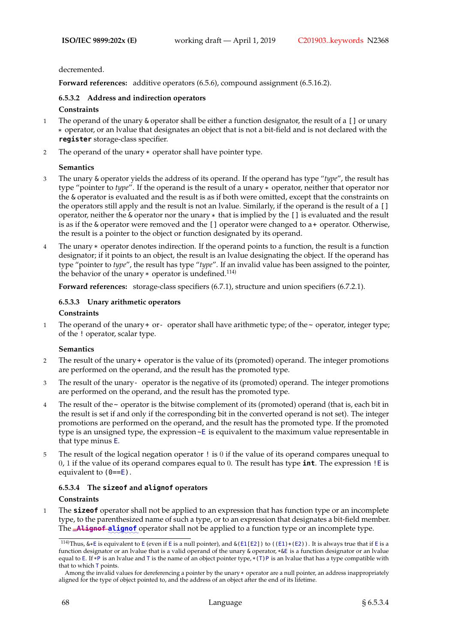### decremented.

**Forward references:** additive operators (6.5.6), compound assignment (6.5.16.2).

# **6.5.3.2 Address and indirection operators Constraints**

- 1 The operand of the unary & operator shall be either a function designator, the result of a [] or unary \* operator, or an lvalue that designates an object that is not a bit-field and is not declared with the **register** storage-class specifier.
- 2 The operand of the unary \* operator shall have pointer type.

# **Semantics**

- 3 The unary & operator yields the address of its operand. If the operand has type "*type*", the result has type "pointer to *type*". If the operand is the result of a unary \* operator, neither that operator nor the & operator is evaluated and the result is as if both were omitted, except that the constraints on the operators still apply and the result is not an lvalue. Similarly, if the operand is the result of a [] operator, neither the  $\&$  operator nor the unary  $*$  that is implied by the [] is evaluated and the result is as if the & operator were removed and the [] operator were changed to a+ operator. Otherwise, the result is a pointer to the object or function designated by its operand.
- 4 The unary \* operator denotes indirection. If the operand points to a function, the result is a function designator; if it points to an object, the result is an lvalue designating the object. If the operand has type "pointer to *type*", the result has type "*type*". If an invalid value has been assigned to the pointer, the behavior of the unary  $*$  operator is undefined.<sup>114)</sup>

**Forward references:** storage-class specifiers (6.7.1), structure and union specifiers (6.7.2.1).

# **6.5.3.3 Unary arithmetic operators**

# **Constraints**

1 The operand of the unary+ or- operator shall have arithmetic type; of the ~ operator, integer type; of the ! operator, scalar type.

# **Semantics**

- 2 The result of the unary+ operator is the value of its (promoted) operand. The integer promotions are performed on the operand, and the result has the promoted type.
- 3 The result of the unary- operator is the negative of its (promoted) operand. The integer promotions are performed on the operand, and the result has the promoted type.
- 4 The result of the ~ operator is the bitwise complement of its (promoted) operand (that is, each bit in the result is set if and only if the corresponding bit in the converted operand is not set). The integer promotions are performed on the operand, and the result has the promoted type. If the promoted type is an unsigned type, the expression ~E is equivalent to the maximum value representable in that type minus E.
- 5 The result of the logical negation operator ! is 0 if the value of its operand compares unequal to 0, 1 if the value of its operand compares equal to 0. The result has type **int**. The expression !E is equivalent to  $(0 == E)$ .

# **6.5.3.4 The sizeof and alignof operators**

# **Constraints**

1 The **sizeof** operator shall not be applied to an expression that has function type or an incomplete type, to the parenthesized name of such a type, or to an expression that designates a bit-field member. The **\_Alignof** alignof operator shall not be applied to a function type or an incomplete type.

<sup>114)</sup>Thus,  $\&\neq$  is equivalent to E (even if E is a null pointer), and  $\&(E1[E2])$  to ((E1)+(E2)). It is always true that if E is a function designator or an lvalue that is a valid operand of the unary & operator, \*&E is a function designator or an lvalue equal to E. If  $*P$  is an lvalue and T is the name of an object pointer type,  $*(T)P$  is an lvalue that has a type compatible with that to which T points.

Among the invalid values for dereferencing a pointer by the unary  $*$  operator are a null pointer, an address inappropriately aligned for the type of object pointed to, and the address of an object after the end of its lifetime.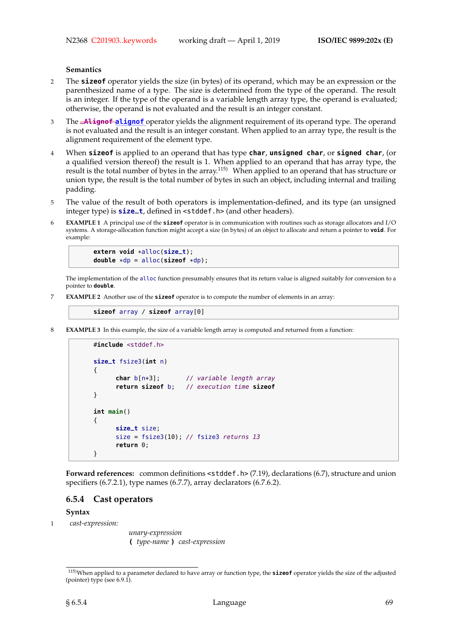#### **Semantics**

- 2 The **sizeof** operator yields the size (in bytes) of its operand, which may be an expression or the parenthesized name of a type. The size is determined from the type of the operand. The result is an integer. If the type of the operand is a variable length array type, the operand is evaluated; otherwise, the operand is not evaluated and the result is an integer constant.
- 3 The **\_Alignof** alignof operator yields the alignment requirement of its operand type. The operand is not evaluated and the result is an integer constant. When applied to an array type, the result is the alignment requirement of the element type.
- 4 When **sizeof** is applied to an operand that has type **char**, **unsigned char**, or **signed char**, (or a qualified version thereof) the result is 1. When applied to an operand that has array type, the result is the total number of bytes in the array.<sup>115)</sup> When applied to an operand that has structure or union type, the result is the total number of bytes in such an object, including internal and trailing padding.
- 5 The value of the result of both operators is implementation-defined, and its type (an unsigned integer type) is **size\_t**, defined in <stddef.h> (and other headers).
- 6 **EXAMPLE 1** A principal use of the **sizeof** operator is in communication with routines such as storage allocators and I/O systems. A storage-allocation function might accept a size (in bytes) of an object to allocate and return a pointer to **void**. For example:

```
extern void *alloc(size_t);
double *dp = alloc(sizeof *dp);
```
The implementation of the alloc function presumably ensures that its return value is aligned suitably for conversion to a pointer to **double**.

7 **EXAMPLE 2** Another use of the **sizeof** operator is to compute the number of elements in an array:

**sizeof** array / **sizeof** array[0]

8 **EXAMPLE 3** In this example, the size of a variable length array is computed and returned from a function:

```
#include <stddef.h>
size_t fsize3(int n)
{
      char b[n+3]; // variable length array
      return sizeof b; // execution time sizeof
}
int main()
{
      size_t size;
      size = fsize3(10); // fsize3 returns 13
      return 0;
}
```
**Forward references:** common definitions <stddef.h> (7.19), declarations (6.7), structure and union specifiers (6.7.2.1), type names (6.7.7), array declarators (6.7.6.2).

# **6.5.4 Cast operators**

# **Syntax**

- 1 *cast-expression:*
- *unary-expression* **(** *type-name* **)** *cast-expression*

<sup>115)</sup>When applied to a parameter declared to have array or function type, the **sizeof** operator yields the size of the adjusted (pointer) type (see 6.9.1).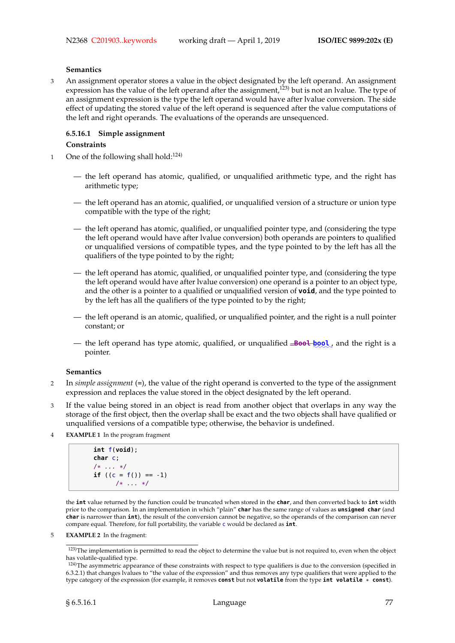#### **Semantics**

3 An assignment operator stores a value in the object designated by the left operand. An assignment expression has the value of the left operand after the assignment, $^{123)}$  but is not an lvalue. The type of an assignment expression is the type the left operand would have after lvalue conversion. The side effect of updating the stored value of the left operand is sequenced after the value computations of the left and right operands. The evaluations of the operands are unsequenced.

### **6.5.16.1 Simple assignment**

### **Constraints**

- 1 One of the following shall hold: $124$ )
	- the left operand has atomic, qualified, or unqualified arithmetic type, and the right has arithmetic type;
	- the left operand has an atomic, qualified, or unqualified version of a structure or union type compatible with the type of the right;
	- the left operand has atomic, qualified, or unqualified pointer type, and (considering the type the left operand would have after lvalue conversion) both operands are pointers to qualified or unqualified versions of compatible types, and the type pointed to by the left has all the qualifiers of the type pointed to by the right;
	- the left operand has atomic, qualified, or unqualified pointer type, and (considering the type the left operand would have after lvalue conversion) one operand is a pointer to an object type, and the other is a pointer to a qualified or unqualified version of **void**, and the type pointed to by the left has all the qualifiers of the type pointed to by the right;
	- the left operand is an atomic, qualified, or unqualified pointer, and the right is a null pointer constant; or
	- the left operand has type atomic, qualified, or unqualified **\_Bool\_bool**, and the right is a pointer.

#### **Semantics**

- 2 In *simple assignment* (=), the value of the right operand is converted to the type of the assignment expression and replaces the value stored in the object designated by the left operand.
- 3 If the value being stored in an object is read from another object that overlaps in any way the storage of the first object, then the overlap shall be exact and the two objects shall have qualified or unqualified versions of a compatible type; otherwise, the behavior is undefined.
- 4 **EXAMPLE 1** In the program fragment

```
int f(void);
char c;
/* ... */
if ((c = f()) == -1)/* ... */
```
the **int** value returned by the function could be truncated when stored in the **char**, and then converted back to **int** width prior to the comparison. In an implementation in which "plain" **char** has the same range of values as **unsigned char** (and **char** is narrower than **int**), the result of the conversion cannot be negative, so the operands of the comparison can never compare equal. Therefore, for full portability, the variable c would be declared as **int**.

5 **EXAMPLE 2** In the fragment:

<sup>&</sup>lt;sup>123)</sup>The implementation is permitted to read the object to determine the value but is not required to, even when the object has volatile-qualified type.

 $124$ )The asymmetric appearance of these constraints with respect to type qualifiers is due to the conversion (specified in 6.3.2.1) that changes lvalues to "the value of the expression" and thus removes any type qualifiers that were applied to the type category of the expression (for example, it removes **const** but not **volatile** from the type **int volatile** \* **const**).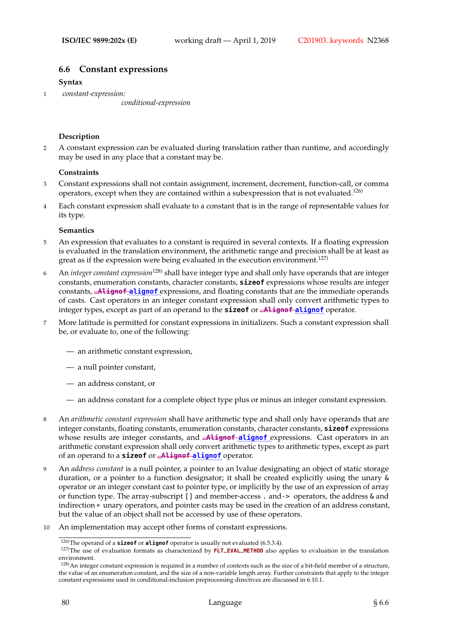# **6.6 Constant expressions**

# **Syntax**

1 *constant-expression:*

*conditional-expression*

# **Description**

2 A constant expression can be evaluated during translation rather than runtime, and accordingly may be used in any place that a constant may be.

# **Constraints**

- 3 Constant expressions shall not contain assignment, increment, decrement, function-call, or comma operators, except when they are contained within a subexpression that is not evaluated.<sup>126)</sup>
- 4 Each constant expression shall evaluate to a constant that is in the range of representable values for its type.

# **Semantics**

- 5 An expression that evaluates to a constant is required in several contexts. If a floating expression is evaluated in the translation environment, the arithmetic range and precision shall be at least as great as if the expression were being evaluated in the execution environment.<sup>127)</sup>
- <sup>6</sup> An *integer constant expression*128) shall have integer type and shall only have operands that are integer constants, enumeration constants, character constants, **sizeof** expressions whose results are integer constants, **\_Alignof** alignof expressions, and floating constants that are the immediate operands of casts. Cast operators in an integer constant expression shall only convert arithmetic types to integer types, except as part of an operand to the **sizeof** or **\_Alignof** alignof operator.
- 7 More latitude is permitted for constant expressions in initializers. Such a constant expression shall be, or evaluate to, one of the following:
	- an arithmetic constant expression,
	- a null pointer constant,
	- an address constant, or
	- an address constant for a complete object type plus or minus an integer constant expression.
- 8 An *arithmetic constant expression* shall have arithmetic type and shall only have operands that are integer constants, floating constants, enumeration constants, character constants, **sizeof** expressions whose results are integer constants, and **\_Alignof** alignof expressions. Cast operators in an arithmetic constant expression shall only convert arithmetic types to arithmetic types, except as part of an operand to a **sizeof** or **\_A<del>lignof</del>\_alignof** operator.
- 9 An *address constant* is a null pointer, a pointer to an lvalue designating an object of static storage duration, or a pointer to a function designator; it shall be created explicitly using the unary & operator or an integer constant cast to pointer type, or implicitly by the use of an expression of array or function type. The array-subscript [] and member-access . and-> operators, the address & and indirection  $*$  unary operators, and pointer casts may be used in the creation of an address constant, but the value of an object shall not be accessed by use of these operators.
- 10 An implementation may accept other forms of constant expressions.

<sup>126)</sup>The operand of a **sizeof** or **alignof** operator is usually not evaluated (6.5.3.4).

<sup>127)</sup>The use of evaluation formats as characterized by **FLT\_EVAL\_METHOD** also applies to evaluation in the translation environment.

 $128$ )An integer constant expression is required in a number of contexts such as the size of a bit-field member of a structure, the value of an enumeration constant, and the size of a non-variable length array. Further constraints that apply to the integer constant expressions used in conditional-inclusion preprocessing directives are discussed in 6.10.1.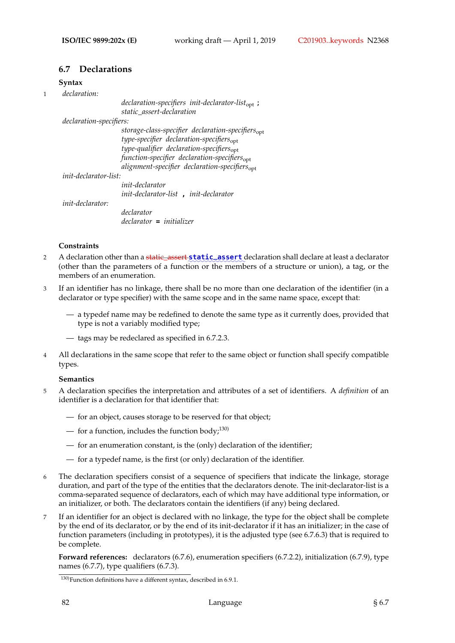# **6.7 Declarations**

# **Syntax**

| 1 | declaration:            |                                                                     |  |  |
|---|-------------------------|---------------------------------------------------------------------|--|--|
|   |                         | $\alpha$ declaration-specifiers init-declarator-list <sub>opt</sub> |  |  |
|   |                         | static assert-declaration                                           |  |  |
|   | declaration-specifiers: |                                                                     |  |  |
|   |                         | storage-class-specifier declaration-specifiers <sub>opt</sub>       |  |  |
|   |                         | type-specifier declaration-specifiers <sub>opt</sub>                |  |  |
|   |                         | type-qualifier declaration-specifiers <sub>opt</sub>                |  |  |
|   |                         | function-specifier declaration-specifiers <sub>opt</sub>            |  |  |
|   |                         | alignment-specifier declaration-specifiers <sub>opt</sub>           |  |  |
|   |                         | <i>init-declarator-list:</i>                                        |  |  |
|   |                         | init-declarator                                                     |  |  |
|   |                         | init-declarator-list, init-declarator                               |  |  |
|   | <i>init-declarator:</i> |                                                                     |  |  |
|   |                         | declarator                                                          |  |  |
|   |                         | $declarator = initializer$                                          |  |  |
|   |                         |                                                                     |  |  |

# **Constraints**

- 2 A declaration other than a static\_assert\_static\_assert\_declaration shall declare at least a declarator (other than the parameters of a function or the members of a structure or union), a tag, or the members of an enumeration.
- 3 If an identifier has no linkage, there shall be no more than one declaration of the identifier (in a declarator or type specifier) with the same scope and in the same name space, except that:
	- a typedef name may be redefined to denote the same type as it currently does, provided that type is not a variably modified type;
	- tags may be redeclared as specified in 6.7.2.3.
- 4 All declarations in the same scope that refer to the same object or function shall specify compatible types.

# **Semantics**

- 5 A declaration specifies the interpretation and attributes of a set of identifiers. A *definition* of an identifier is a declaration for that identifier that:
	- for an object, causes storage to be reserved for that object;
	- for a function, includes the function body; $^{130}$ )
	- for an enumeration constant, is the (only) declaration of the identifier;
	- for a typedef name, is the first (or only) declaration of the identifier.
- 6 The declaration specifiers consist of a sequence of specifiers that indicate the linkage, storage duration, and part of the type of the entities that the declarators denote. The init-declarator-list is a comma-separated sequence of declarators, each of which may have additional type information, or an initializer, or both. The declarators contain the identifiers (if any) being declared.
- 7 If an identifier for an object is declared with no linkage, the type for the object shall be complete by the end of its declarator, or by the end of its init-declarator if it has an initializer; in the case of function parameters (including in prototypes), it is the adjusted type (see 6.7.6.3) that is required to be complete.

**Forward references:** declarators (6.7.6), enumeration specifiers (6.7.2.2), initialization (6.7.9), type names (6.7.7), type qualifiers (6.7.3).

<sup>130)</sup>Function definitions have a different syntax, described in 6.9.1.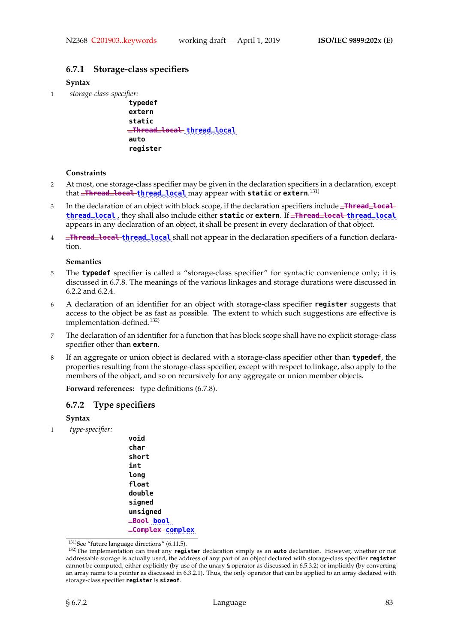# **6.7.1 Storage-class specifiers**

# **Syntax**

1 *storage-class-specifier:*

```
typedef
extern
static
\equivThread\equivlocal\equivauto
register
```
# **Constraints**

- 2 At most, one storage-class specifier may be given in the declaration specifiers in a declaration, except  ${\sf that}$  \_<del>Thread\_local <code>thread\_local</code> may appear with <code>static</code> or <code>extern. $^{131)}$ </code></del>
- <sup>3</sup> In the declaration of an object with block scope, if the declaration specifiers include **\_Thread\_local**  $t$ **hread\_local**, they shall also include either **static** or **extern**. If <del>\_Thread\_local thread\_local</del> appears in any declaration of an object, it shall be present in every declaration of that object.
- 4 **\_<del>Thread\_local thread\_local</del>** shall not appear in the declaration specifiers of a function declaration.

# **Semantics**

- 5 The **typedef** specifier is called a "storage-class specifier" for syntactic convenience only; it is discussed in 6.7.8. The meanings of the various linkages and storage durations were discussed in 6.2.2 and 6.2.4.
- 6 A declaration of an identifier for an object with storage-class specifier **register** suggests that access to the object be as fast as possible. The extent to which such suggestions are effective is implementation-defined.132)
- 7 The declaration of an identifier for a function that has block scope shall have no explicit storage-class specifier other than **extern**.
- 8 If an aggregate or union object is declared with a storage-class specifier other than **typedef**, the properties resulting from the storage-class specifier, except with respect to linkage, also apply to the members of the object, and so on recursively for any aggregate or union member objects.

**Forward references:** type definitions (6.7.8).

# **6.7.2 Type specifiers**

# **Syntax**

1 *type-specifier:*

| void                   |
|------------------------|
| char                   |
| short                  |
| int                    |
| lonq                   |
| float                  |
| doubl e                |
| signed                 |
| unsigned               |
| <del>_Bool b</del> ool |
| -Complex comp<br>l ex  |
|                        |

<sup>131)</sup>See "future language directions" (6.11.5).

<sup>132)</sup>The implementation can treat any **register** declaration simply as an **auto** declaration. However, whether or not addressable storage is actually used, the address of any part of an object declared with storage-class specifier **register** cannot be computed, either explicitly (by use of the unary & operator as discussed in 6.5.3.2) or implicitly (by converting an array name to a pointer as discussed in 6.3.2.1). Thus, the only operator that can be applied to an array declared with storage-class specifier **register** is **sizeof**.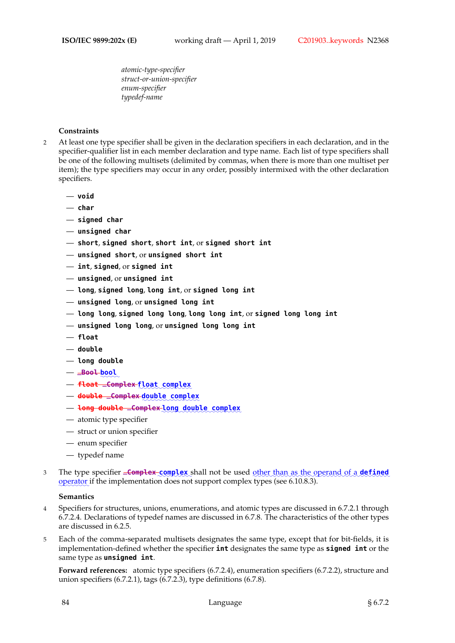*atomic-type-specifier struct-or-union-specifier enum-specifier typedef-name*

# **Constraints**

- 2 At least one type specifier shall be given in the declaration specifiers in each declaration, and in the specifier-qualifier list in each member declaration and type name. Each list of type specifiers shall be one of the following multisets (delimited by commas, when there is more than one multiset per item); the type specifiers may occur in any order, possibly intermixed with the other declaration specifiers.
	- **void**
	- **char**
	- **signed char**
	- **unsigned char**
	- **short**, **signed short**, **short int**, or **signed short int**
	- **unsigned short**, or **unsigned short int**
	- **int**, **signed**, or **signed int**
	- **unsigned**, or **unsigned int**
	- **long**, **signed long**, **long int**, or **signed long int**
	- **unsigned long**, or **unsigned long int**
	- **long long**, **signed long long**, **long long int**, or **signed long long int**
	- **unsigned long long**, or **unsigned long long int**
	- **float**
	- **double**
	- **long double**
	- <mark>\_Bool <u>bool</u></mark>
	- $-$  <del>float \_Complex</del> float complex
	- **double \_Complex** ✿✿✿✿✿✿✿✿✿✿✿✿✿✿✿ **double complex**
	- $-$  <del>long double \_Complex</del> long double complex
	- atomic type specifier
	- struct or union specifier
	- enum specifier
	- typedef name
- 3 The type specifier **=Complex** complex shall not be used other than as the operand of a **defined** operator if the implementation does not support complex types (see 6.10.8.3).

### **Semantics**

- 4 Specifiers for structures, unions, enumerations, and atomic types are discussed in 6.7.2.1 through 6.7.2.4. Declarations of typedef names are discussed in 6.7.8. The characteristics of the other types are discussed in 6.2.5.
- 5 Each of the comma-separated multisets designates the same type, except that for bit-fields, it is implementation-defined whether the specifier **int** designates the same type as **signed int** or the same type as **unsigned int**.

**Forward references:** atomic type specifiers (6.7.2.4), enumeration specifiers (6.7.2.2), structure and union specifiers (6.7.2.1), tags (6.7.2.3), type definitions (6.7.8).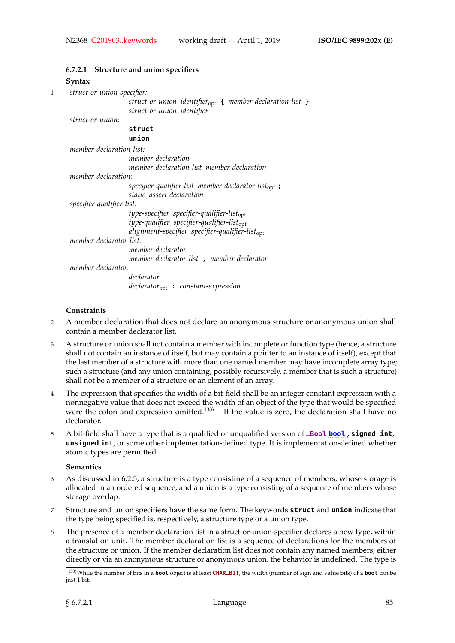### **6.7.2.1 Structure and union specifiers**

#### **Syntax**

1 *struct-or-union-specifier:*

*struct-or-union identifier*opt **{** *member-declaration-list* **}** *struct-or-union identifier*

*struct-or-union:*

#### **struct union**

*member-declaration-list: member-declaration member-declaration-list member-declaration member-declaration: specifier-qualifier-list member-declarator-list*opt **;** *static\_assert-declaration specifier-qualifier-list: type-specifier specifier-qualifier-list*opt *type-qualifier specifier-qualifier-list*opt *alignment-specifier specifier-qualifier-list*opt *member-declarator-list: member-declarator member-declarator-list* **,** *member-declarator member-declarator: declarator declarator*opt **:** *constant-expression*

### **Constraints**

- 2 A member declaration that does not declare an anonymous structure or anonymous union shall contain a member declarator list.
- 3 A structure or union shall not contain a member with incomplete or function type (hence, a structure shall not contain an instance of itself, but may contain a pointer to an instance of itself), except that the last member of a structure with more than one named member may have incomplete array type; such a structure (and any union containing, possibly recursively, a member that is such a structure) shall not be a member of a structure or an element of an array.
- 4 The expression that specifies the width of a bit-field shall be an integer constant expression with a nonnegative value that does not exceed the width of an object of the type that would be specified were the colon and expression omitted.<sup>133)</sup> If the value is zero, the declaration shall have no declarator.
- 5 A bit-field shall have a type that is a qualified or unqualified version of **\_Bool** bool , **signed int**, **unsigned int**, or some other implementation-defined type. It is implementation-defined whether atomic types are permitted.

#### **Semantics**

- 6 As discussed in 6.2.5, a structure is a type consisting of a sequence of members, whose storage is allocated in an ordered sequence, and a union is a type consisting of a sequence of members whose storage overlap.
- 7 Structure and union specifiers have the same form. The keywords **struct** and **union** indicate that the type being specified is, respectively, a structure type or a union type.
- 8 The presence of a member declaration list in a struct-or-union-specifier declares a new type, within a translation unit. The member declaration list is a sequence of declarations for the members of the structure or union. If the member declaration list does not contain any named members, either directly or via an anonymous structure or anonymous union, the behavior is undefined. The type is

<sup>133)</sup>While the number of bits in a **bool** object is at least **CHAR\_BIT**, the width (number of sign and value bits) of a **bool** can be just 1 bit.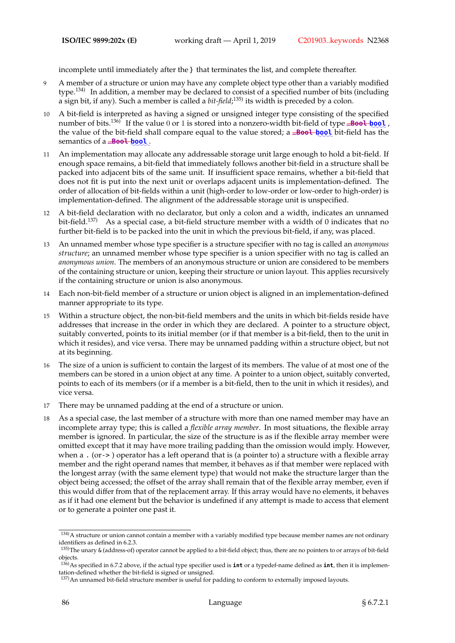incomplete until immediately after the } that terminates the list, and complete thereafter.

- 9 A member of a structure or union may have any complete object type other than a variably modified type.<sup>134)</sup> In addition, a member may be declared to consist of a specified number of bits (including a sign bit, if any). Such a member is called a *bit-field*; 135) its width is preceded by a colon.
- 10 A bit-field is interpreted as having a signed or unsigned integer type consisting of the specified number of bits.<sup>136)</sup> If the value 0 or 1 is stored into a nonzero-width bit-field of type **\_Bool** bool the value of the bit-field shall compare equal to the value stored; a **-Bool-bool** bit-field has the semantics of a **\_Bool** bool
- 11 An implementation may allocate any addressable storage unit large enough to hold a bit-field. If enough space remains, a bit-field that immediately follows another bit-field in a structure shall be packed into adjacent bits of the same unit. If insufficient space remains, whether a bit-field that does not fit is put into the next unit or overlaps adjacent units is implementation-defined. The order of allocation of bit-fields within a unit (high-order to low-order or low-order to high-order) is implementation-defined. The alignment of the addressable storage unit is unspecified.
- 12 A bit-field declaration with no declarator, but only a colon and a width, indicates an unnamed bit-field.<sup>137)</sup> As a special case, a bit-field structure member with a width of 0 indicates that no further bit-field is to be packed into the unit in which the previous bit-field, if any, was placed.
- 13 An unnamed member whose type specifier is a structure specifier with no tag is called an *anonymous structure*; an unnamed member whose type specifier is a union specifier with no tag is called an *anonymous union*. The members of an anonymous structure or union are considered to be members of the containing structure or union, keeping their structure or union layout. This applies recursively if the containing structure or union is also anonymous.
- 14 Each non-bit-field member of a structure or union object is aligned in an implementation-defined manner appropriate to its type.
- 15 Within a structure object, the non-bit-field members and the units in which bit-fields reside have addresses that increase in the order in which they are declared. A pointer to a structure object, suitably converted, points to its initial member (or if that member is a bit-field, then to the unit in which it resides), and vice versa. There may be unnamed padding within a structure object, but not at its beginning.
- 16 The size of a union is sufficient to contain the largest of its members. The value of at most one of the members can be stored in a union object at any time. A pointer to a union object, suitably converted, points to each of its members (or if a member is a bit-field, then to the unit in which it resides), and vice versa.
- 17 There may be unnamed padding at the end of a structure or union.
- 18 As a special case, the last member of a structure with more than one named member may have an incomplete array type; this is called a *flexible array member*. In most situations, the flexible array member is ignored. In particular, the size of the structure is as if the flexible array member were omitted except that it may have more trailing padding than the omission would imply. However, when a . (or-> ) operator has a left operand that is (a pointer to) a structure with a flexible array member and the right operand names that member, it behaves as if that member were replaced with the longest array (with the same element type) that would not make the structure larger than the object being accessed; the offset of the array shall remain that of the flexible array member, even if this would differ from that of the replacement array. If this array would have no elements, it behaves as if it had one element but the behavior is undefined if any attempt is made to access that element or to generate a pointer one past it.

<sup>&</sup>lt;sup>134)</sup>A structure or union cannot contain a member with a variably modified type because member names are not ordinary identifiers as defined in 6.2.3.

<sup>135)</sup>The unary & (address-of) operator cannot be applied to a bit-field object; thus, there are no pointers to or arrays of bit-field objects.

<sup>136)</sup>As specified in 6.7.2 above, if the actual type specifier used is **int** or a typedef-name defined as **int**, then it is implementation-defined whether the bit-field is signed or unsigned.

<sup>137)</sup> An unnamed bit-field structure member is useful for padding to conform to externally imposed layouts.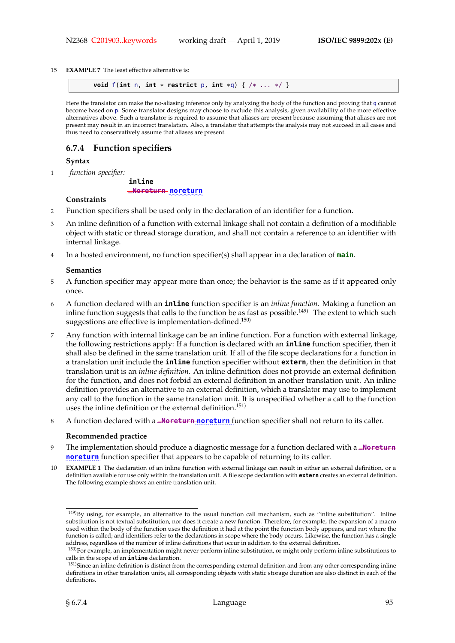15 **EXAMPLE 7** The least effective alternative is:

**void** f(**int** n, **int** \* **restrict** p, **int** \*q) { /\* ... \*/ }

Here the translator can make the no-aliasing inference only by analyzing the body of the function and proving that q cannot become based on p. Some translator designs may choose to exclude this analysis, given availability of the more effective alternatives above. Such a translator is required to assume that aliases are present because assuming that aliases are not present may result in an incorrect translation. Also, a translator that attempts the analysis may not succeed in all cases and thus need to conservatively assume that aliases are present.

# **6.7.4 Function specifiers**

### **Syntax**

1 *function-specifier:*

# **inline**

# **\_Noreturn** ✿✿✿✿✿✿✿✿✿ **noreturn**

#### **Constraints**

- 2 Function specifiers shall be used only in the declaration of an identifier for a function.
- 3 An inline definition of a function with external linkage shall not contain a definition of a modifiable object with static or thread storage duration, and shall not contain a reference to an identifier with internal linkage.
- 4 In a hosted environment, no function specifier(s) shall appear in a declaration of **main**.

### **Semantics**

- 5 A function specifier may appear more than once; the behavior is the same as if it appeared only once.
- 6 A function declared with an **inline** function specifier is an *inline function*. Making a function an inline function suggests that calls to the function be as fast as possible.<sup>149)</sup> The extent to which such suggestions are effective is implementation-defined.150)
- 7 Any function with internal linkage can be an inline function. For a function with external linkage, the following restrictions apply: If a function is declared with an **inline** function specifier, then it shall also be defined in the same translation unit. If all of the file scope declarations for a function in a translation unit include the **inline** function specifier without **extern**, then the definition in that translation unit is an *inline definition*. An inline definition does not provide an external definition for the function, and does not forbid an external definition in another translation unit. An inline definition provides an alternative to an external definition, which a translator may use to implement any call to the function in the same translation unit. It is unspecified whether a call to the function uses the inline definition or the external definition.<sup>151)</sup>
- 8 A function declared with a <del>\_Noreturn\_noreturn</del> function specifier shall not return to its caller.

# **Recommended practice**

- 9 The implementation should produce a diagnostic message for a function declared with a **\_Noreturn noreturn** function specifier that appears to be capable of returning to its caller.
- 10 **EXAMPLE 1** The declaration of an inline function with external linkage can result in either an external definition, or a definition available for use only within the translation unit. A file scope declaration with **extern** creates an external definition. The following example shows an entire translation unit.

 $149$ )By using, for example, an alternative to the usual function call mechanism, such as "inline substitution". Inline substitution is not textual substitution, nor does it create a new function. Therefore, for example, the expansion of a macro used within the body of the function uses the definition it had at the point the function body appears, and not where the function is called; and identifiers refer to the declarations in scope where the body occurs. Likewise, the function has a single address, regardless of the number of inline definitions that occur in addition to the external definition.

 $150$ )For example, an implementation might never perform inline substitution, or might only perform inline substitutions to calls in the scope of an **inline** declaration.

<sup>&</sup>lt;sup>151)</sup>Since an inline definition is distinct from the corresponding external definition and from any other corresponding inline definitions in other translation units, all corresponding objects with static storage duration are also distinct in each of the definitions.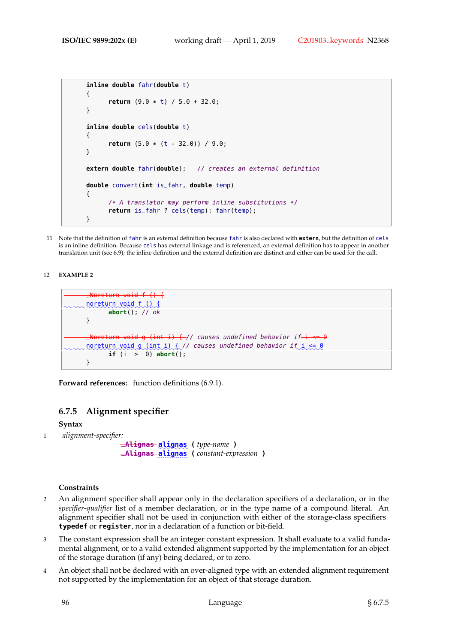```
inline double fahr(double t)
{
      return (9.0 * t) / 5.0 + 32.0;
}
inline double cels(double t)
{
      return (5.0 * (t - 32.0)) / 9.0;
}
extern double fahr(double); // creates an external definition
double convert(int is_fahr, double temp)
{
      /* A translator may perform inline substitutions */
      return is_fahr ? cels(temp): fahr(temp);
}
```
11 Note that the definition of fahr is an external definition because fahr is also declared with **extern**, but the definition of cels is an inline definition. Because cels has external linkage and is referenced, an external definition has to appear in another translation unit (see 6.9); the inline definition and the external definition are distinct and either can be used for the call.

12 **EXAMPLE 2**

```
_Noreturn void f () {
noreturn void f
                               abort(); // ok
               }
                 \frac{1}{\sqrt{1-\frac{1}{\sqrt{1-\frac{1}{\sqrt{1-\frac{1}{\sqrt{1-\frac{1}{\sqrt{1-\frac{1}{\sqrt{1-\frac{1}{\sqrt{1-\frac{1}{\sqrt{1-\frac{1}{\sqrt{1-\frac{1}{\sqrt{1-\frac{1}{\sqrt{1-\frac{1}{\sqrt{1-\frac{1}{\sqrt{1-\frac{1}{\sqrt{1-\frac{1}{\sqrt{1-\frac{1}{\sqrt{1-\frac{1}{\sqrt{1-\frac{1}{\sqrt{1-\frac{1}{\sqrt{1-\frac{1}{\sqrt{1-\frac{1}{\sqrt{1-\frac{1}{\sqrt{1-\frac{1}{\sqrt{1-\frac{1}{\sqrt{1-\frac{1✿✿ ✿✿✿ ✿✿✿✿✿✿✿✿
noreturn ✿✿✿✿
void✿✿
g✿✿
(✿✿✿
int✿✿
i✿
)✿✿
{✿
// causes undefined behavior if✿✿
i✿✿✿
<=✿✿
0
                               if (i > 0) abort();
               }
```
**Forward references:** function definitions (6.9.1).

# **6.7.5 Alignment specifier**

**Syntax**

```
1 alignment-specifier:
                        \frac{1}{2}A<del>lignas</del> ( type-name )
                        \equiv Alignas (constant-expression)
```
# **Constraints**

- 2 An alignment specifier shall appear only in the declaration specifiers of a declaration, or in the *specifier-qualifier* list of a member declaration, or in the type name of a compound literal. An alignment specifier shall not be used in conjunction with either of the storage-class specifiers **typedef** or **register**, nor in a declaration of a function or bit-field.
- 3 The constant expression shall be an integer constant expression. It shall evaluate to a valid fundamental alignment, or to a valid extended alignment supported by the implementation for an object of the storage duration (if any) being declared, or to zero.
- 4 An object shall not be declared with an over-aligned type with an extended alignment requirement not supported by the implementation for an object of that storage duration.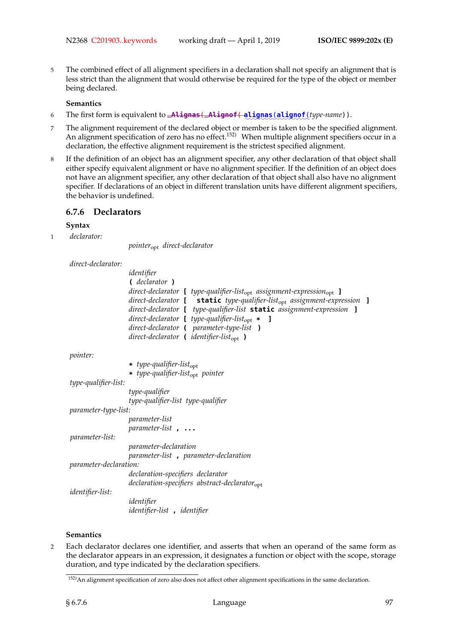5 The combined effect of all alignment specifiers in a declaration shall not specify an alignment that is less strict than the alignment that would otherwise be required for the type of the object or member being declared.

### **Semantics**

- <sup>6</sup> The first form is equivalent to **\_Alignas**(**\_Alignof**( ✿✿✿✿✿✿✿✿✿✿✿✿✿✿✿✿✿ **alignas**(**alignof**(*type-name*)).
- 7 The alignment requirement of the declared object or member is taken to be the specified alignment. An alignment specification of zero has no effect.<sup>152)</sup> When multiple alignment specifiers occur in a declaration, the effective alignment requirement is the strictest specified alignment.
- 8 If the definition of an object has an alignment specifier, any other declaration of that object shall either specify equivalent alignment or have no alignment specifier. If the definition of an object does not have an alignment specifier, any other declaration of that object shall also have no alignment specifier. If declarations of an object in different translation units have different alignment specifiers, the behavior is undefined.

# **6.7.6 Declarators**

# **Syntax**

1 *declarator:*

*pointer*opt *direct-declarator*

*direct-declarator:*

|                               | identifier                                                                                                                         |
|-------------------------------|------------------------------------------------------------------------------------------------------------------------------------|
|                               | ( declarator )                                                                                                                     |
|                               | direct-declarator $\blacksquare$ type-qualifier-list <sub>opt</sub> assignment-expression <sub>opt</sub> $\blacksquare$            |
|                               | direct-declarator [ static type-qualifier-list <sub>opt</sub> assignment-expression ]                                              |
|                               | direct-declarator [ type-qualifier-list static assignment-expression ]                                                             |
|                               | direct-declarator $\blacksquare$ type-qualifier-list <sub>opt</sub> *<br>$\mathbf{I}$<br>direct-declarator ( parameter-type-list ) |
|                               | direct-declarator (identifier-list <sub>opt</sub> )                                                                                |
| <i>pointer:</i>               |                                                                                                                                    |
|                               | $*$ type-qualifier-list <sub>opt</sub>                                                                                             |
|                               | * type-qualifier-list <sub>opt</sub> pointer                                                                                       |
| type-qualifier-list:          |                                                                                                                                    |
|                               | type-qualifier                                                                                                                     |
|                               | type-qualifier-list type-qualifier                                                                                                 |
| parameter-type-list:          |                                                                                                                                    |
|                               | <i>parameter-list</i>                                                                                                              |
|                               | parameter-list $, \ldots$                                                                                                          |
| parameter-list:               |                                                                                                                                    |
|                               | parameter-declaration                                                                                                              |
|                               | parameter-list, parameter-declaration                                                                                              |
| <i>parameter-declaration:</i> |                                                                                                                                    |
|                               | declaration-specifiers declarator                                                                                                  |
|                               | declaration-specifiers abstract-declarator <sub>opt</sub>                                                                          |
| <i>identifier-list:</i>       |                                                                                                                                    |
|                               | identifier                                                                                                                         |
|                               | identifier-list, identifier                                                                                                        |
|                               |                                                                                                                                    |

### **Semantics**

2 Each declarator declares one identifier, and asserts that when an operand of the same form as the declarator appears in an expression, it designates a function or object with the scope, storage duration, and type indicated by the declaration specifiers.

<sup>152)</sup>An alignment specification of zero also does not affect other alignment specifications in the same declaration.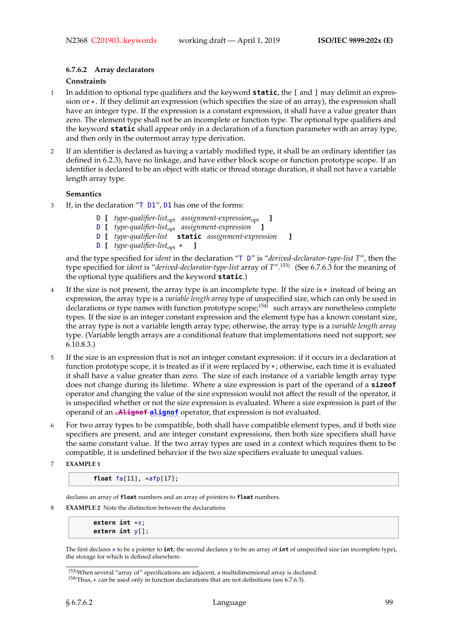#### **6.7.6.2 Array declarators**

### **Constraints**

- 1 In addition to optional type qualifiers and the keyword **static**, the [ and ] may delimit an expression or \*. If they delimit an expression (which specifies the size of an array), the expression shall have an integer type. If the expression is a constant expression, it shall have a value greater than zero. The element type shall not be an incomplete or function type. The optional type qualifiers and the keyword **static** shall appear only in a declaration of a function parameter with an array type, and then only in the outermost array type derivation.
- 2 If an identifier is declared as having a variably modified type, it shall be an ordinary identifier (as defined in 6.2.3), have no linkage, and have either block scope or function prototype scope. If an identifier is declared to be an object with static or thread storage duration, it shall not have a variable length array type.

### **Semantics**

- 3 If, in the declaration "T D1", D1 has one of the forms:
	- D **[** *type-qualifier-list*opt *assignment-expression*opt **]**
	- D **[** *type-qualifier-list*opt *assignment-expression* **]**
	- D **[** *type-qualifier-list* **static** *assignment-expression* **]**
	- D **[** *type-qualifier-list*opt \* **]**

and the type specified for *ident* in the declaration "T D" is "*derived-declarator-type-list T*", then the type specified for *ident* is "*derived-declarator-type-list* array of *T*".153) (See 6.7.6.3 for the meaning of the optional type qualifiers and the keyword **static**.)

- <sup>4</sup> If the size is not present, the array type is an incomplete type. If the size is \* instead of being an expression, the array type is a *variable length array* type of unspecified size, which can only be used in declarations or type names with function prototype scope;154) such arrays are nonetheless complete types. If the size is an integer constant expression and the element type has a known constant size, the array type is not a variable length array type; otherwise, the array type is a *variable length array* type. (Variable length arrays are a conditional feature that implementations need not support; see 6.10.8.3.)
- 5 If the size is an expression that is not an integer constant expression: if it occurs in a declaration at function prototype scope, it is treated as if it were replaced by \*; otherwise, each time it is evaluated it shall have a value greater than zero. The size of each instance of a variable length array type does not change during its lifetime. Where a size expression is part of the operand of a **sizeof** operator and changing the value of the size expression would not affect the result of the operator, it is unspecified whether or not the size expression is evaluated. Where a size expression is part of the operand of an **\_A<del>lignof</del>\_alignof** operator, that expression is not evaluated.
- 6 For two array types to be compatible, both shall have compatible element types, and if both size specifiers are present, and are integer constant expressions, then both size specifiers shall have the same constant value. If the two array types are used in a context which requires them to be compatible, it is undefined behavior if the two size specifiers evaluate to unequal values.
- 7 **EXAMPLE 1**

```
float fa[11], *afp[17];
```
declares an array of **float** numbers and an array of pointers to **float** numbers.

8 **EXAMPLE 2** Note the distinction between the declarations

```
extern int *x;
extern int y[];
```
The first declares x to be a pointer to **int**; the second declares y to be an array of **int** of unspecified size (an incomplete type), the storage for which is defined elsewhere.

<sup>153)</sup>When several "array of" specifications are adjacent, a multidimensional array is declared.

<sup>154)</sup>Thus, \* can be used only in function declarations that are not definitions (see 6.7.6.3).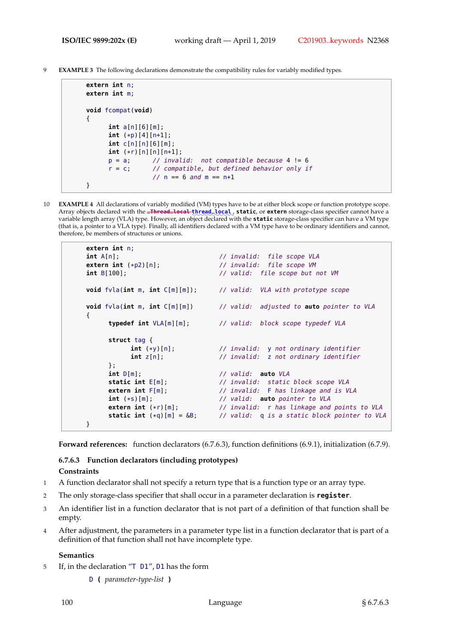9 **EXAMPLE 3** The following declarations demonstrate the compatibility rules for variably modified types.

```
extern int n;
extern int m;
void fcompat(void)
{
     int a[n][6][m];
     int (*p)[4][n+1];
     int c[n][n][6][m];
     int (*r)[n][n][n+1];
     p = a; // invalid: not compatible because 4 != 6
      r = c; // compatible, but defined behavior only if
                 // n == 6 and m == n+1}
```
10 **EXAMPLE 4** All declarations of variably modified (VM) types have to be at either block scope or function prototype scope. Array objects declared with the **\_Thread\_local** thread\_local, static, or extern storage-class specifier cannot have a variable length array (VLA) type. However, an object declared with the **static** storage-class specifier can have a VM type (that is, a pointer to a VLA type). Finally, all identifiers declared with a VM type have to be ordinary identifiers and cannot, therefore, be members of structures or unions.

```
extern int n;
int A[n]; // invalid: file scope VLA
extern int (*p2)[n]; // invalid: file scope VM
int B[100]; \frac{1}{2} // valid: file scope but not VM
void fvla(int m, int C[m][m]); // valid: VLA with prototype scope
void fvla(int m, int C[m][m]) // valid: adjusted to auto pointer to VLA
{
      typedef int VLA[m][m]; // valid: block scope typedef VLA
      struct tag {
            int (*y)[n]; // invalid: y not ordinary identifier<br>int z[n]; // invalid: z not ordinary identifier
                                     // invalid: z not ordinary identifier
      };
      int D[m]; // valid: auto VLA
      static int E[m]; <br>extern int F[m]; <br>// invalid: F has linkage and is V
                                   // invalid: F has linkage and is VLA
      int (*s)[m]; <br>extern int (*r)[m]; <br>// invalid: r has linkage and
      extern int (*r)[m]; <br> // invalid: r has linkage and points to VLA<br>static int (*q)[m] = \&B; // valid: q is a static block pointer to VLA
                                    // valid: q is a static block pointer to VLA
}
```
**Forward references:** function declarators (6.7.6.3), function definitions (6.9.1), initialization (6.7.9).

# **6.7.6.3 Function declarators (including prototypes) Constraints**

- 1 A function declarator shall not specify a return type that is a function type or an array type.
- 2 The only storage-class specifier that shall occur in a parameter declaration is **register**.
- 3 An identifier list in a function declarator that is not part of a definition of that function shall be empty.
- 4 After adjustment, the parameters in a parameter type list in a function declarator that is part of a definition of that function shall not have incomplete type.

# **Semantics**

5 If, in the declaration "T D1", D1 has the form

D **(** *parameter-type-list* **)**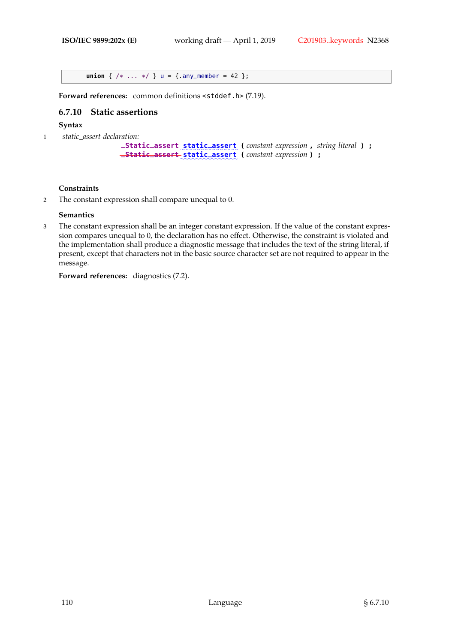**union**  $\{ / * ... * / }$  **u** =  $\{ .any\_member = 42 \}$ ;

Forward references: common definitions <stddef.h>(7.19).

# **6.7.10 Static assertions**

# **Syntax**

1 *static\_assert-declaration:*

```
\textbf{Static\_assert\_static\_assert} ( \textit{constant-expression} , \textit{string-literal} ) ;
\textcolor{red}{\textbf{\textcolor{blue}{\bf -State\_assert\_static\_assert (}} \text{constant-expression ()}
```
# **Constraints**

2 The constant expression shall compare unequal to 0.

# **Semantics**

3 The constant expression shall be an integer constant expression. If the value of the constant expression compares unequal to 0, the declaration has no effect. Otherwise, the constraint is violated and the implementation shall produce a diagnostic message that includes the text of the string literal, if present, except that characters not in the basic source character set are not required to appear in the message.

**Forward references:** diagnostics (7.2).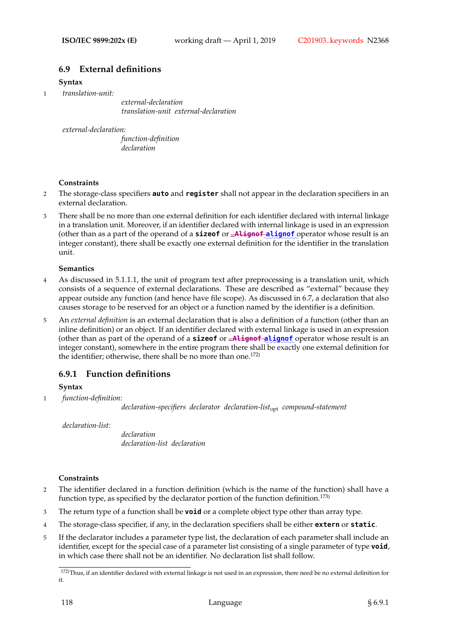# **6.9 External definitions**

# **Syntax**

1 *translation-unit:*

*external-declaration translation-unit external-declaration*

*external-declaration:*

*function-definition declaration*

# **Constraints**

- 2 The storage-class specifiers **auto** and **register** shall not appear in the declaration specifiers in an external declaration.
- 3 There shall be no more than one external definition for each identifier declared with internal linkage in a translation unit. Moreover, if an identifier declared with internal linkage is used in an expression (other than as a part of the operand of a **sizeof** or **\_Alignof** alignof operator whose result is an integer constant), there shall be exactly one external definition for the identifier in the translation unit.

# **Semantics**

- 4 As discussed in 5.1.1.1, the unit of program text after preprocessing is a translation unit, which consists of a sequence of external declarations. These are described as "external" because they appear outside any function (and hence have file scope). As discussed in 6.7, a declaration that also causes storage to be reserved for an object or a function named by the identifier is a definition.
- 5 An *external definition* is an external declaration that is also a definition of a function (other than an inline definition) or an object. If an identifier declared with external linkage is used in an expression (other than as part of the operand of a **sizeof** or **\_Alignof** alignof operator whose result is an integer constant), somewhere in the entire program there shall be exactly one external definition for the identifier; otherwise, there shall be no more than one.<sup>172)</sup>

# **6.9.1 Function definitions**

# **Syntax**

1 *function-definition:*

*declaration-specifiers declarator declaration-list*opt *compound-statement*

*declaration-list:*

*declaration declaration-list declaration*

# **Constraints**

- 2 The identifier declared in a function definition (which is the name of the function) shall have a function type, as specified by the declarator portion of the function definition.<sup>173)</sup>
- 3 The return type of a function shall be **void** or a complete object type other than array type.
- 4 The storage-class specifier, if any, in the declaration specifiers shall be either **extern** or **static**.
- 5 If the declarator includes a parameter type list, the declaration of each parameter shall include an identifier, except for the special case of a parameter list consisting of a single parameter of type **void**, in which case there shall not be an identifier. No declaration list shall follow.

<sup>&</sup>lt;sup>172)</sup>Thus, if an identifier declared with external linkage is not used in an expression, there need be no external definition for it.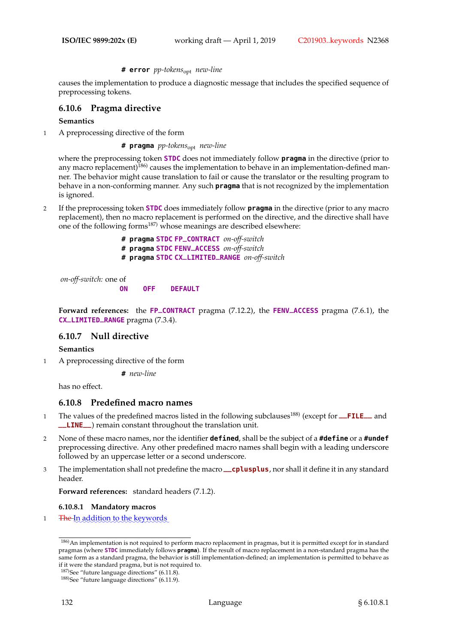#### **# error** *pp-tokens*opt *new-line*

causes the implementation to produce a diagnostic message that includes the specified sequence of preprocessing tokens.

# **6.10.6 Pragma directive**

### **Semantics**

1 A preprocessing directive of the form

**# pragma** *pp-tokens*opt *new-line*

where the preprocessing token **STDC** does not immediately follow **pragma** in the directive (prior to any macro replacement)<sup>186)</sup> causes the implementation to behave in an implementation-defined manner. The behavior might cause translation to fail or cause the translator or the resulting program to behave in a non-conforming manner. Any such **pragma** that is not recognized by the implementation is ignored.

2 If the preprocessing token **STDC** does immediately follow **pragma** in the directive (prior to any macro replacement), then no macro replacement is performed on the directive, and the directive shall have one of the following forms<sup>187)</sup> whose meanings are described elsewhere:

**# pragma STDC FP\_CONTRACT** *on-off-switch*

- **# pragma STDC FENV\_ACCESS** *on-off-switch*
- **# pragma STDC CX\_LIMITED\_RANGE** *on-off-switch*

*on-off-switch:* one of

**ON OFF DEFAULT**

**Forward references:** the **FP\_CONTRACT** pragma (7.12.2), the **FENV\_ACCESS** pragma (7.6.1), the **CX\_LIMITED\_RANGE** pragma (7.3.4).

# **6.10.7 Null directive**

#### **Semantics**

1 A preprocessing directive of the form

**#** *new-line*

has no effect.

# **6.10.8 Predefined macro names**

- 1 The values of the predefined macros listed in the following subclauses<sup>188)</sup> (except for **\_\_FILE** and **\_\_LINE\_\_**) remain constant throughout the translation unit.
- 2 None of these macro names, nor the identifier **defined**, shall be the subject of a **#define** or a **#undef** preprocessing directive. Any other predefined macro names shall begin with a leading underscore followed by an uppercase letter or a second underscore.
- <sup>3</sup> The implementation shall not predefine the macro **\_\_cplusplus**, nor shall it define it in any standard header.

**Forward references:** standard headers (7.1.2).

**6.10.8.1 Mandatory macros**

1 The In addition to the keywords

<sup>186)</sup>An implementation is not required to perform macro replacement in pragmas, but it is permitted except for in standard pragmas (where **STDC** immediately follows **pragma**). If the result of macro replacement in a non-standard pragma has the same form as a standard pragma, the behavior is still implementation-defined; an implementation is permitted to behave as if it were the standard pragma, but is not required to.

<sup>187)</sup>See "future language directions" (6.11.8).

<sup>188)</sup>See "future language directions" (6.11.9).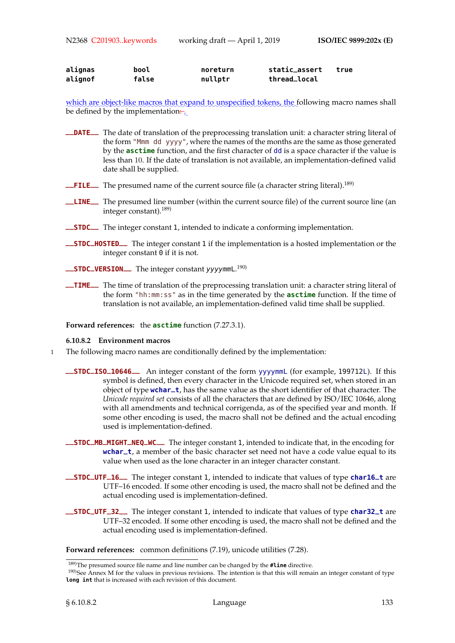| alignas | bool  | noreturn | static_assert | true |
|---------|-------|----------|---------------|------|
| alignof | false | nullptr  | thread_local  |      |

which are object-like macros that expand to unspecified tokens, the following macro names shall be defined by the implementation<del>:</del>

**\_\_DATE\_\_** The date of translation of the preprocessing translation unit: a character string literal of the form "Mmm dd yyyy", where the names of the months are the same as those generated by the **asctime** function, and the first character of dd is a space character if the value is less than 10. If the date of translation is not available, an implementation-defined valid date shall be supplied.

- **\_\_FILE\_\_** The presumed name of the current source file (a character string literal).189)
- **\_\_LINE\_\_** The presumed line number (within the current source file) of the current source line (an integer constant).189)
- **\_\_STDC\_\_** The integer constant 1, intended to indicate a conforming implementation.
- **\_\_STDC\_HOSTED\_\_** The integer constant 1 if the implementation is a hosted implementation or the integer constant 0 if it is not.
- **\_\_STDC\_VERSION\_\_** The integer constant yyyymmL. 190)
- **\_\_TIME\_\_** The time of translation of the preprocessing translation unit: a character string literal of the form "hh:mm:ss" as in the time generated by the **asctime** function. If the time of translation is not available, an implementation-defined valid time shall be supplied.

#### **Forward references:** the **asctime** function (7.27.3.1).

#### **6.10.8.2 Environment macros**

- 1 The following macro names are conditionally defined by the implementation:
	- **\_\_STDC\_ISO\_10646\_\_** An integer constant of the form yyyymmL (for example, 199712L). If this symbol is defined, then every character in the Unicode required set, when stored in an object of type **wchar\_t**, has the same value as the short identifier of that character. The *Unicode required set* consists of all the characters that are defined by ISO/IEC 10646, along with all amendments and technical corrigenda, as of the specified year and month. If some other encoding is used, the macro shall not be defined and the actual encoding used is implementation-defined.
	- **\_\_STDC\_MB\_MIGHT\_NEQ\_WC\_\_** The integer constant 1, intended to indicate that, in the encoding for **wchar\_t**, a member of the basic character set need not have a code value equal to its value when used as the lone character in an integer character constant.
	- **\_\_STDC\_UTF\_16\_\_** The integer constant 1, intended to indicate that values of type **char16\_t** are UTF–16 encoded. If some other encoding is used, the macro shall not be defined and the actual encoding used is implementation-defined.
	- **\_\_STDC\_UTF\_32\_\_** The integer constant 1, intended to indicate that values of type **char32\_t** are UTF–32 encoded. If some other encoding is used, the macro shall not be defined and the actual encoding used is implementation-defined.

**Forward references:** common definitions (7.19), unicode utilities (7.28).

<sup>190)</sup>See Annex M for the values in previous revisions. The intention is that this will remain an integer constant of type **long int** that is increased with each revision of this document.

<sup>189)</sup>The presumed source file name and line number can be changed by the **#line** directive.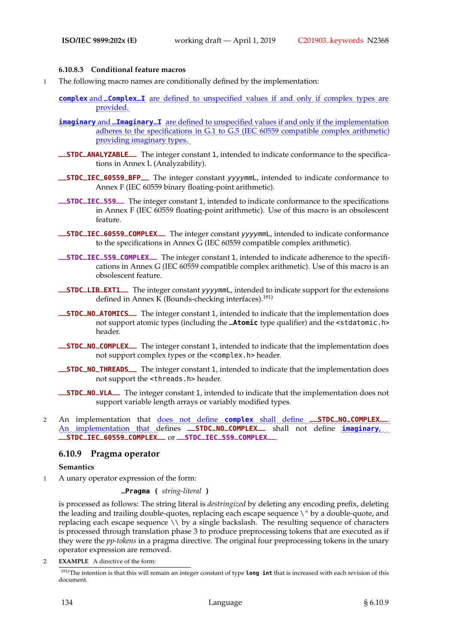#### **6.10.8.3 Conditional feature macros**

- 1 The following macro names are conditionally defined by the implementation:
	- complex and **\_Complex\_I** are defined to unspecified values if and only if complex types are provided.
	- imaginary and **\_Imaginary\_I** are defined to unspecified values if and only if the implementation ✿✿✿✿✿✿✿ adheres to the specifications in G.1 to G.5 (IEC 60559 compatible complex arithmetic) providing imaginary types.
	- **\_\_STDC\_ANALYZABLE\_\_** The integer constant 1, intended to indicate conformance to the specifications in Annex L (Analyzability).
	- **\_\_STDC\_IEC\_60559\_BFP\_\_** The integer constant yyyymmL, intended to indicate conformance to Annex F (IEC 60559 binary floating-point arithmetic).
	- **\_\_STDC\_IEC\_559\_\_** The integer constant 1, intended to indicate conformance to the specifications in Annex F (IEC 60559 floating-point arithmetic). Use of this macro is an obsolescent feature.
	- **\_\_STDC\_IEC\_60559\_COMPLEX\_\_** The integer constant yyyymmL, intended to indicate conformance to the specifications in Annex G (IEC 60559 compatible complex arithmetic).
	- **\_\_STDC\_IEC\_559\_COMPLEX\_\_** The integer constant 1, intended to indicate adherence to the specifications in Annex G (IEC 60559 compatible complex arithmetic). Use of this macro is an obsolescent feature.
	- **\_\_STDC\_LIB\_EXT1\_\_** The integer constant yyyymmL, intended to indicate support for the extensions defined in Annex K (Bounds-checking interfaces).<sup>191)</sup>
	- **\_\_STDC\_NO\_ATOMICS\_\_** The integer constant 1, intended to indicate that the implementation does not support atomic types (including the **\_Atomic** type qualifier) and the <stdatomic.h> header.
	- **\_\_STDC\_NO\_COMPLEX\_\_** The integer constant 1, intended to indicate that the implementation does not support complex types or the <complex.h> header.
	- **\_\_STDC\_NO\_THREADS\_\_** The integer constant 1, intended to indicate that the implementation does not support the <threads.h> header.
	- **\_\_STDC\_NO\_VLA\_\_** The integer constant 1, intended to indicate that the implementation does not support variable length arrays or variably modified types.
- 2 An implementation that <u>does not define complex shall define</u> STDC\_NO\_COMPLEX\_\_\_.  $\Delta$ n implementation that defines **\_\_STDC\_NO\_COMPLEX**\_\_ shall not define  $\frac{$ **imaginary**, **\_\_STDC\_IEC\_60559\_COMPLEX\_\_** or **\_\_STDC\_IEC\_559\_COMPLEX\_\_**.

## **6.10.9 Pragma operator**

## **Semantics**

1 A unary operator expression of the form:

#### **\_Pragma (** *string-literal* **)**

is processed as follows: The string literal is *destringized* by deleting any encoding prefix, deleting the leading and trailing double-quotes, replacing each escape sequence \" by a double-quote, and replacing each escape sequence  $\setminus \setminus$  by a single backslash. The resulting sequence of characters is processed through translation phase 3 to produce preprocessing tokens that are executed as if they were the *pp-tokens* in a pragma directive. The original four preprocessing tokens in the unary operator expression are removed.

2 **EXAMPLE** A directive of the form:

<sup>191)</sup>The intention is that this will remain an integer constant of type **long int** that is increased with each revision of this document.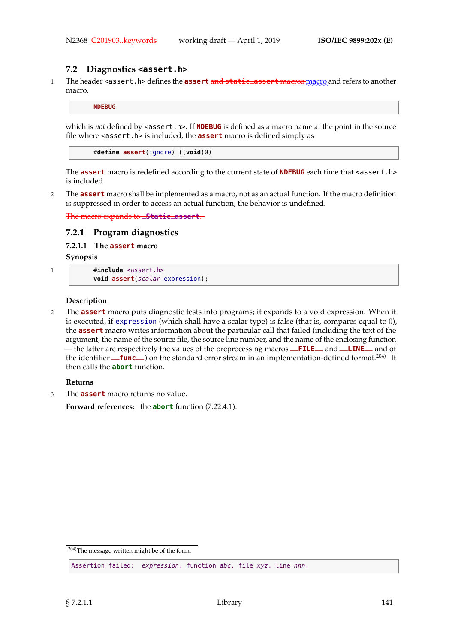## **7.2 Diagnostics <assert.h>**

1 The header <assert.h> defines the **assert** and **static\_assert** macros macro and refers to another macro,

**NDEBUG**

which is *not* defined by <assert.h>. If **NDEBUG** is defined as a macro name at the point in the source file where <assert.h> is included, the **assert** macro is defined simply as

#**define assert**(ignore) ((**void**)0)

The **assert** macro is redefined according to the current state of **NDEBUG** each time that <assert.h> is included.

2 The **assert** macro shall be implemented as a macro, not as an actual function. If the macro definition is suppressed in order to access an actual function, the behavior is undefined.

The macro expands to **\_Static\_assert**.

## **7.2.1 Program diagnostics**

**7.2.1.1 The assert macro**

**Synopsis**

1 **#include** <assert.h>

**void assert**(scalar expression);

#### **Description**

2 The **assert** macro puts diagnostic tests into programs; it expands to a void expression. When it is executed, if expression (which shall have a scalar type) is false (that is, compares equal to 0), the **assert** macro writes information about the particular call that failed (including the text of the argument, the name of the source file, the source line number, and the name of the enclosing function — the latter are respectively the values of the preprocessing macros **\_\_FILE\_\_** and **\_\_LINE\_\_** and of the identifier **\_\_func** ) on the standard error stream in an implementation-defined format.<sup>204)</sup> It then calls the **abort** function.

## **Returns**

3 The **assert** macro returns no value.

**Forward references:** the **abort** function (7.22.4.1).

<sup>204)</sup>The message written might be of the form:

Assertion failed: expression, function abc, file xyz, line nnn.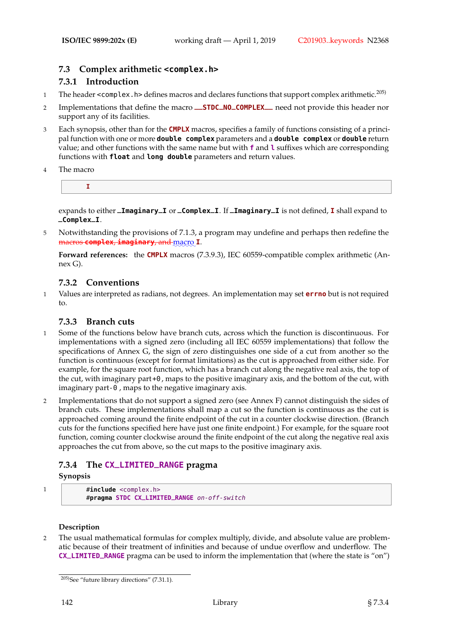# **7.3 Complex arithmetic <complex.h>**

# **7.3.1 Introduction**

- 1 The header <complex.h> defines macros and declares functions that support complex arithmetic.<sup>205)</sup>
- <sup>2</sup> Implementations that define the macro **\_\_STDC\_NO\_COMPLEX\_\_** need not provide this header nor support any of its facilities.
- 3 Each synopsis, other than for the **CMPLX** macros, specifies a family of functions consisting of a principal function with one or more **double complex** parameters and a **double complex** or **double** return value; and other functions with the same name but with **f** and **l** suffixes which are corresponding functions with **float** and **long double** parameters and return values.
- 4 The macro

expands to either **\_Imaginary\_I** or **\_Complex\_I**. If **\_Imaginary\_I** is not defined, **I** shall expand to **\_Complex\_I**.

5 Notwithstanding the provisions of 7.1.3, a program may undefine and perhaps then redefine the macros **complex**, **imaginary**, and macro **I**.

**Forward references:** the **CMPLX** macros (7.3.9.3), IEC 60559-compatible complex arithmetic (Annex G).

# **7.3.2 Conventions**

1 Values are interpreted as radians, not degrees. An implementation may set **errno** but is not required to.

# **7.3.3 Branch cuts**

- 1 Some of the functions below have branch cuts, across which the function is discontinuous. For implementations with a signed zero (including all IEC 60559 implementations) that follow the specifications of Annex G, the sign of zero distinguishes one side of a cut from another so the function is continuous (except for format limitations) as the cut is approached from either side. For example, for the square root function, which has a branch cut along the negative real axis, the top of the cut, with imaginary part+0, maps to the positive imaginary axis, and the bottom of the cut, with imaginary part-0 , maps to the negative imaginary axis.
- 2 Implementations that do not support a signed zero (see Annex F) cannot distinguish the sides of branch cuts. These implementations shall map a cut so the function is continuous as the cut is approached coming around the finite endpoint of the cut in a counter clockwise direction. (Branch cuts for the functions specified here have just one finite endpoint.) For example, for the square root function, coming counter clockwise around the finite endpoint of the cut along the negative real axis approaches the cut from above, so the cut maps to the positive imaginary axis.

# **7.3.4 The CX\_LIMITED\_RANGE pragma**

## **Synopsis**

1 **#include** <complex.h> #**pragma STDC CX\_LIMITED\_RANGE** on-off-switch

# **Description**

2 The usual mathematical formulas for complex multiply, divide, and absolute value are problematic because of their treatment of infinities and because of undue overflow and underflow. The **CX\_LIMITED\_RANGE** pragma can be used to inform the implementation that (where the state is "on")

<sup>205)</sup>See "future library directions" (7.31.1).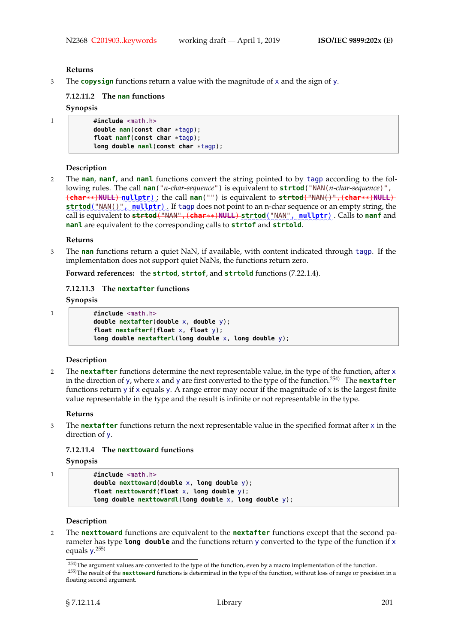#### **Returns**

3 The **copysign** functions return a value with the magnitude of x and the sign of y.

**7.12.11.2 The nan functions Synopsis**

```
1 #include <math.h>
          double nan(const char *tagp);
           float nanf(const char *tagp);
          long double nanl(const char *tagp);
```
#### **Description**

2 The **nan**, **nanf**, and **nanl** functions convert the string pointed to by tagp according to the following rules. The call **nan**("*n-char-sequence*") is equivalent to **strtod**("NAN(*n-char-sequence*)", (**char**\*\*)**NULL**) ✿✿✿✿✿✿✿✿✿ **nullptr**) ; the call **nan**("") is equivalent to **strtod**("NAN()",(**char**\*\*)**NULL**) **strtod**("NAN()", nullptr). If tagp does not point to an n-char sequence or an empty string, the call is equivalent to **strtod**("NAN",(**char**\*\*)**NULL**) ✿✿✿✿✿✿✿✿✿✿✿✿✿✿✿✿✿✿✿✿✿✿✿✿ **strtod**("NAN", **nullptr**) . Calls to **nanf** and **nanl** are equivalent to the corresponding calls to **strtof** and **strtold**.

#### **Returns**

3 The **nan** functions return a quiet NaN, if available, with content indicated through tagp. If the implementation does not support quiet NaNs, the functions return zero.

**Forward references:** the **strtod**, **strtof**, and **strtold** functions (7.22.1.4).

#### **7.12.11.3 The nextafter functions**

#### **Synopsis**

```
1 #include <math.h>
          double nextafter(double x, double y);
           float nextafterf(float x, float y);
           long double nextafterl(long double x, long double y);
```
#### **Description**

2 The **nextafter** functions determine the next representable value, in the type of the function, after x in the direction of y, where x and y are first converted to the type of the function.254) The **nextafter** functions return y if x equals y. A range error may occur if the magnitude of x is the largest finite value representable in the type and the result is infinite or not representable in the type.

#### **Returns**

3 The **nextafter** functions return the next representable value in the specified format after x in the direction of y.

#### **7.12.11.4 The nexttoward functions**

**Synopsis**

```
1 #include <math.h>
           double nexttoward(double x, long double y);
           float nexttowardf(float x, long double y);
           long double nexttowardl(long double x, long double y);
```
## **Description**

2 The **nexttoward** functions are equivalent to the **nextafter** functions except that the second parameter has type **long double** and the functions return y converted to the type of the function if x equals y.<sup>255)</sup>

<sup>&</sup>lt;sup>254)</sup>The argument values are converted to the type of the function, even by a macro implementation of the function. 255)The result of the **nexttoward** functions is determined in the type of the function, without loss of range or precision in a floating second argument.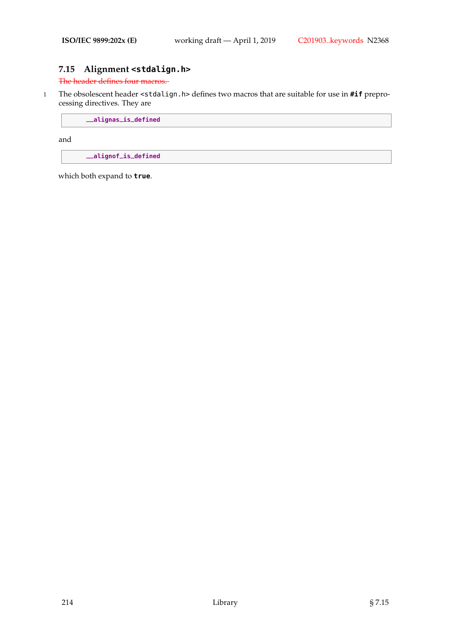# **7.15 Alignment <stdalign.h>**

The header defines four macros.

1 The obsolescent header <stdalign.h> defines two macros that are suitable for use in **#if** preprocessing directives. They are

**\_\_alignas\_is\_defined**

and

**\_\_alignof\_is\_defined**

which both expand to **true**.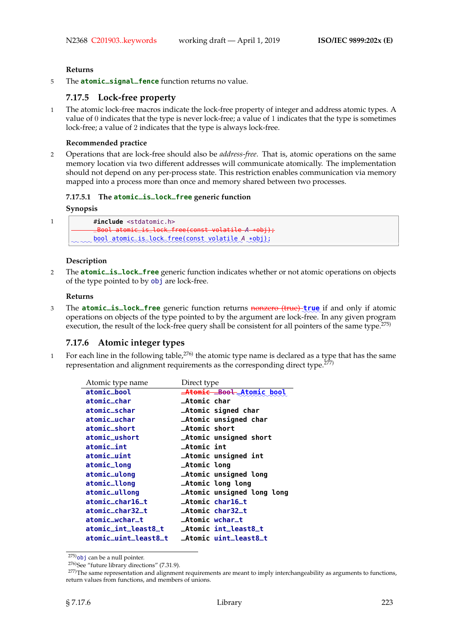#### **Returns**

<sup>5</sup> The **atomic\_signal\_fence** function returns no value.

## **7.17.5 Lock-free property**

1 The atomic lock-free macros indicate the lock-free property of integer and address atomic types. A value of 0 indicates that the type is never lock-free; a value of 1 indicates that the type is sometimes lock-free; a value of 2 indicates that the type is always lock-free.

## **Recommended practice**

2 Operations that are lock-free should also be *address-free*. That is, atomic operations on the same memory location via two different addresses will communicate atomically. The implementation should not depend on any per-process state. This restriction enables communication via memory mapped into a process more than once and memory shared between two processes.

## **7.17.5.1 The atomic\_is\_lock\_free generic function**

#### **Synopsis**

```
1 #include <stdatomic.h>
           _Bool atomic_is_lock_free(const volatile A *obj);
     www.bool.atomic_is_lock_free(const_volatile A_*obj);
```
#### **Description**

<sup>2</sup> The **atomic\_is\_lock\_free** generic function indicates whether or not atomic operations on objects of the type pointed to by obj are lock-free.

#### **Returns**

3 The **atomic\_is\_lock\_free** generic function returns nonzero (true) **true** if and only if atomic operations on objects of the type pointed to by the argument are lock-free. In any given program execution, the result of the lock-free query shall be consistent for all pointers of the same type.<sup>275)</sup>

## **7.17.6 Atomic integer types**

1 For each line in the following table, $276$  the atomic type name is declared as a type that has the same representation and alignment requirements as the corresponding direct type. $277$ )

| Atomic type name     | Direct type                  |
|----------------------|------------------------------|
| atomic_bool          | Atomic Bool-Atomic bool      |
| atomic_char          | <b>_Atomic char</b>          |
| atomic_schar         | _Atomic signed char          |
| atomic_uchar         | _Atomic unsigned char        |
| atomic_short         | <b>_Atomic short</b>         |
| atomic_ushort        | _Atomic unsigned short       |
| atomic_int           | _Atomic int                  |
| atomic_uint          | _Atomic unsigned int         |
| atomic_long          | _Atomic long                 |
| atomic_ulong         | _Atomic unsigned long        |
| atomic_llong         | _Atomic long long            |
| atomic_ullong        | _Atomic unsigned long long   |
| atomic_char16_t      | <b>_Atomic char16_t</b>      |
| atomic_char32_t      | <b>_Atomic char32_t</b>      |
| atomic_wchar_t       | $-$ Atomic wchar $-$ t       |
| atomic_int_least8_t  | <b>_Atomic_int_least8_t</b>  |
| atomic_uint_least8_t | <b>_Atomic uint_least8_t</b> |

 $\sqrt{275}$ <sub>0</sub>b<sub>j</sub> can be a null pointer.

<sup>276)</sup>See "future library directions" (7.31.9).

<sup>&</sup>lt;sup>277)</sup>The same representation and alignment requirements are meant to imply interchangeability as arguments to functions, return values from functions, and members of unions.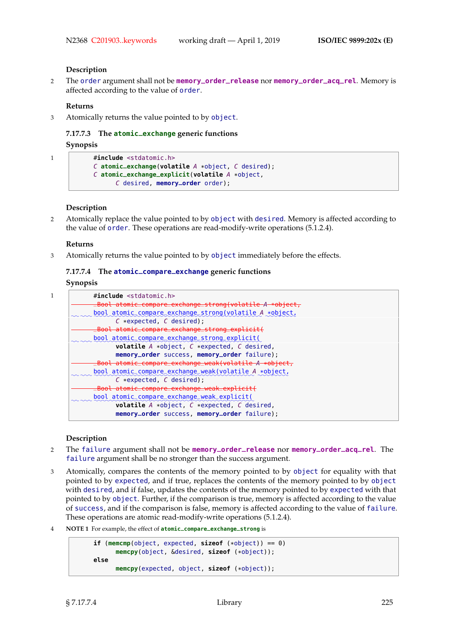#### **Description**

<sup>2</sup> The order argument shall not be **memory\_order\_release** nor **memory\_order\_acq\_rel**. Memory is affected according to the value of order.

#### **Returns**

3 Atomically returns the value pointed to by object.

**7.17.7.3 The atomic\_exchange generic functions**

**Synopsis**

```
1 #include <stdatomic.h>
          C atomic_exchange(volatile A *object, C desired);
           C atomic_exchange_explicit(volatile A *object,
                C desired, memory_order order);
```
#### **Description**

2 Atomically replace the value pointed to by object with desired. Memory is affected according to the value of order. These operations are read-modify-write operations (5.1.2.4).

#### **Returns**

3 Atomically returns the value pointed to by object immediately before the effects.

## **7.17.7.4 The atomic\_compare\_exchange generic functions Synopsis**

| <del>_Bool atomic_compare_exchange_strong(volatile A *object,</del> |
|---------------------------------------------------------------------|
| bool atomic compare exchange strong (volatile A *object,            |
| $C$ *expected, $C$ desired);                                        |
|                                                                     |
| Bool atomic_compare_exchange_strong_explicit(                       |
| bool atomic_compare_exchange_strong_explicit(                       |
| <b>volatile</b> $A * object, C * expected, C desired,$              |
| memory_order success, memory_order failure);                        |
| =Bool atomic_compare_exchange_weak(volatile A-*object,              |
| bool_atomic_compare_exchange_weak(volatile A *object,               |
| $C$ *expected, $C$ desired);                                        |
| Bool atomic_compare_exchange_weak_explicit(                         |
| bool_atomic_compare_exchange_weak_explicit(                         |
| <b>volatile</b> $A * object, C * expected, C desired,$              |
| memory_order success, memory_order failure);                        |

## **Description**

- <sup>2</sup> The failure argument shall not be **memory\_order\_release** nor **memory\_order\_acq\_rel**. The failure argument shall be no stronger than the success argument.
- 3 Atomically, compares the contents of the memory pointed to by object for equality with that pointed to by expected, and if true, replaces the contents of the memory pointed to by object with desired, and if false, updates the contents of the memory pointed to by expected with that pointed to by object. Further, if the comparison is true, memory is affected according to the value of success, and if the comparison is false, memory is affected according to the value of failure. These operations are atomic read-modify-write operations (5.1.2.4).
- 4 **NOTE 1** For example, the effect of **atomic\_compare\_exchange\_strong** is

```
if (memcmp(object, expected, sizeof (*object)) == 0)
      memcpy(object, &desired, sizeof (*object));
else
     memcpy(expected, object, sizeof (*object));
```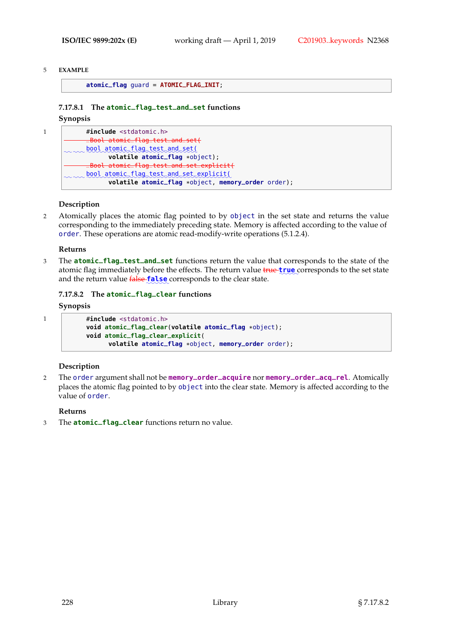#### 5 **EXAMPLE**

```
atomic_flag guard = ATOMIC_FLAG_INIT;
```
## **7.17.8.1 The atomic\_flag\_test\_and\_set functions**

**Synopsis**

```
1 #include <stdatomic.h>
           _Bool atomic_flag_test_and_set(
     men bool atomic_flag_test_and_set(
                volatile atomic_flag *object);
            _Bool atomic_flag_test_and_set_explicit(
     man bool atomic_flag_test_and_set_explicit(
                 volatile atomic_flag *object, memory_order order);
```
#### **Description**

2 Atomically places the atomic flag pointed to by object in the set state and returns the value corresponding to the immediately preceding state. Memory is affected according to the value of order. These operations are atomic read-modify-write operations (5.1.2.4).

#### **Returns**

<sup>3</sup> The **atomic\_flag\_test\_and\_set** functions return the value that corresponds to the state of the atomic flag immediately before the effects. The return value true true corresponds to the set state and the return value <mark>false f**alse** corresponds to the clear state</mark>.

#### **7.17.8.2 The atomic\_flag\_clear functions**

**Synopsis**

```
1 #include <stdatomic.h>
           void atomic_flag_clear(volatile atomic_flag *object);
           void atomic_flag_clear_explicit(
                volatile atomic_flag *object, memory_order order);
```
#### **Description**

<sup>2</sup> The order argument shall not be **memory\_order\_acquire** nor **memory\_order\_acq\_rel**. Atomically places the atomic flag pointed to by object into the clear state. Memory is affected according to the value of order.

#### **Returns**

<sup>3</sup> The **atomic\_flag\_clear** functions return no value.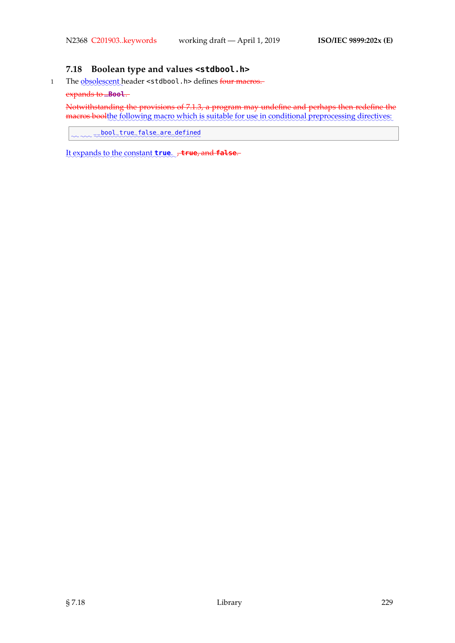# **7.18 Boolean type and values <stdbool.h>**

1 The <u>obsolescent</u> header <stdbool . h> defines <del>four macros.</del>

## expands to **\_Bool**.

Notwithstanding the provisions of 7.1.3, a program may undefine and perhaps then redefine the macros boolthe following macro which is suitable for use in conditional preprocessing directives:

✿✿ ✿✿✿ ✿✿✿✿✿✿✿✿✿✿✿✿✿✿✿✿✿✿✿✿✿✿✿✿✿✿✿✿ \_\_bool\_true\_false\_are\_defined

It expands to the constant  $true$ ,  $\tau$  true, and false.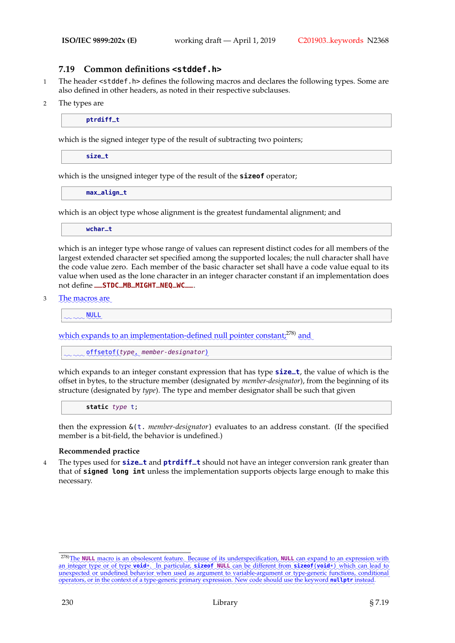## **7.19 Common definitions <stddef.h>**

- 1 The header <stddef.h> defines the following macros and declares the following types. Some are also defined in other headers, as noted in their respective subclauses.
- 2 The types are

**ptrdiff\_t**

which is the signed integer type of the result of subtracting two pointers;

**size\_t**

which is the unsigned integer type of the result of the **sizeof** operator;

**max\_align\_t**

which is an object type whose alignment is the greatest fundamental alignment; and

**wchar\_t**

which is an integer type whose range of values can represent distinct codes for all members of the largest extended character set specified among the supported locales; the null character shall have the code value zero. Each member of the basic character set shall have a code value equal to its value when used as the lone character in an integer character constant if an implementation does not define **\_\_STDC\_MB\_MIGHT\_NEQ\_WC\_\_**.

3 The macros are

 $\sim$  ~~~ ~~~~ NULL

which expands to an implementation-defined null pointer constant;<sup>278)</sup> and

 $\sim$   $\sim$  offsetof(type, member-designator)

which expands to an integer constant expression that has type **size\_t**, the value of which is the offset in bytes, to the structure member (designated by *member-designator*), from the beginning of its structure (designated by *type*). The type and member designator shall be such that given

static type t;

then the expression &(t. *member-designator*) evaluates to an address constant. (If the specified member is a bit-field, the behavior is undefined.)

#### **Recommended practice**

<sup>4</sup> The types used for **size\_t** and **ptrdiff\_t** should not have an integer conversion rank greater than that of **signed long int** unless the implementation supports objects large enough to make this necessary.

<sup>278)</sup> The **NULL** macro is an obsolescent feature. Because of its underspecification, **NULL** can expand to an expression with an integer type or of type void. In particular, size of NULL can be different from size of (void.) which can lead to unexpected or undefined behavior when used as argument to variable-argument or type-generic functions, conditional operators, or in the context of a type-generic primary expression. New code should use the keyword **nullptr** instead.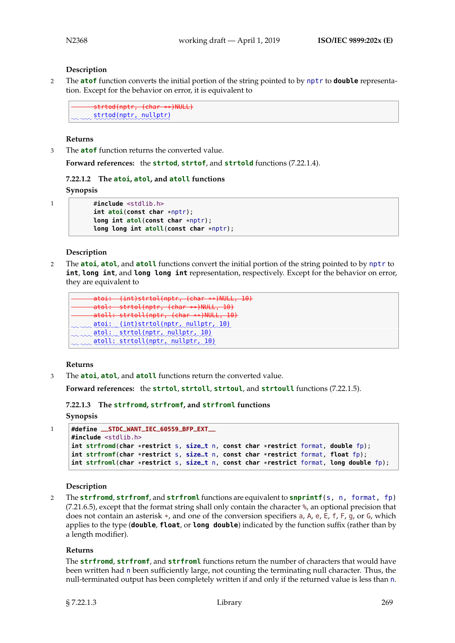#### **Description**

2 The **atof** function converts the initial portion of the string pointed to by nptr to **double** representation. Except for the behavior on error, it is equivalent to

```
strtod(nptr, (char **)NULL)
\sim \sim strtod (nptr, nullptr)
```
#### **Returns**

3 The **atof** function returns the converted value.

**Forward references:** the **strtod**, **strtof**, and **strtold** functions (7.22.1.4).

## **7.22.1.2 The atoi, atol, and atoll functions**

**Synopsis**

```
1 #include <stdlib.h>
          int atoi(const char *nptr);
          long int atol(const char *nptr);
          long long int atoll(const char *nptr);
```
**Description**

2 The **atoi**, **atol**, and **atoll** functions convert the initial portion of the string pointed to by nptr to **int**, **long int**, and **long long int** representation, respectively. Except for the behavior on error, they are equivalent to

```
atoi: (int)strtol(nptr, (char **)NULL, 10)
      atol: strtol(nptr, (char **)NULL, 10)
      atoll: strtoll(nptr, (char **)NULL, 10)
\sim atoi: (int)strtol(nptr, nullptr, 10)
mmatol: strtol(nptr, nullptr, 10)
\mu_{\rm max} atoll: strtoll(nptr\rho_{\rm min}llptr\rho_{\rm min}10)
```
**Returns**

3 The **atoi**, **atol**, and **atoll** functions return the converted value.

**Forward references:** the **strtol**, **strtoll**, **strtoul**, and **strtoull** functions (7.22.1.5).

```
7.22.1.3 The strfromd, strfromf, and strfroml functions
```
**Synopsis**

```
1 #define __STDC_WANT_IEC_60559_BFP_EXT__
     #include <stdlib.h>
     int strfromd(char *restrict s, size_t n, const char *restrict format, double fp);
     int strfromf(char *restrict s, size_t n, const char *restrict format, float fp);
     int strfroml(char *restrict s, size_t n, const char *restrict format, long double fp);
```
#### **Description**

2 The **strfromd**, **strfromf**, and **strfroml** functions are equivalent to **snprintf**(s, n, format, fp) (7.21.6.5), except that the format string shall only contain the character %, an optional precision that does not contain an asterisk \*, and one of the conversion specifiers a, A, e, E, f, F, g, or G, which applies to the type (**double**, **float**, or **long double**) indicated by the function suffix (rather than by a length modifier).

#### **Returns**

The **strfromd**, **strfromf**, and **strfroml** functions return the number of characters that would have been written had n been sufficiently large, not counting the terminating null character. Thus, the null-terminated output has been completely written if and only if the returned value is less than n.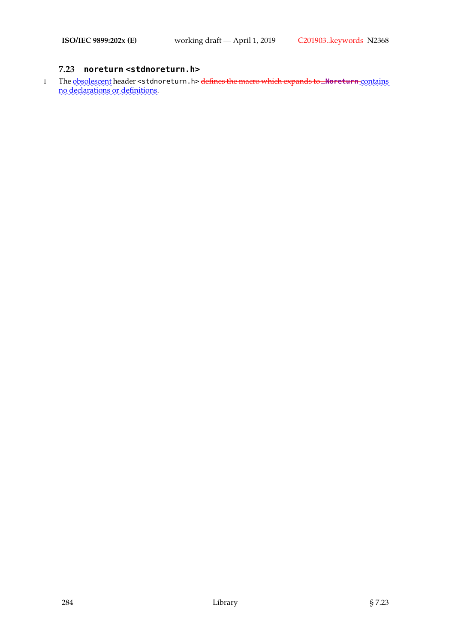# **7.23 noreturn <stdnoreturn.h>**

1 The <u>obsolescent</u> header <stdnoreturn.h> <del>defines the macro which expands to **\_Noreturn** contains</u></del> no declarations or definitions.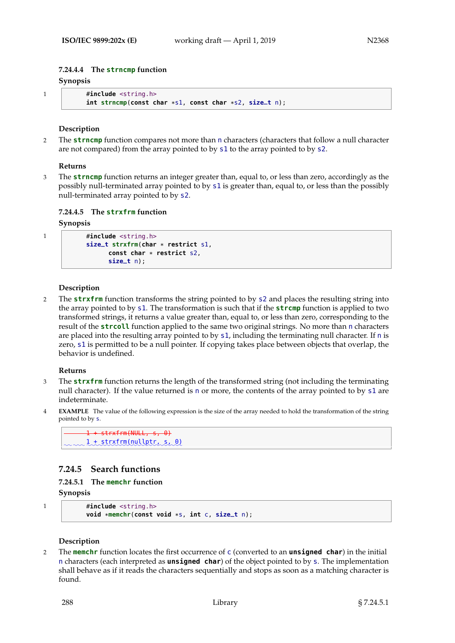#### **7.24.4.4 The strncmp function**

#### **Synopsis**

```
1 #include <string.h>
          int strncmp(const char *s1, const char *s2, size_t n);
```
## **Description**

2 The **strncmp** function compares not more than n characters (characters that follow a null character are not compared) from the array pointed to by s1 to the array pointed to by s2.

#### **Returns**

3 The **strncmp** function returns an integer greater than, equal to, or less than zero, accordingly as the possibly null-terminated array pointed to by s1 is greater than, equal to, or less than the possibly null-terminated array pointed to by s2.

## **7.24.4.5 The strxfrm function**

**Synopsis**

```
1 #include <string.h>
          size_t strxfrm(char * restrict s1,
                const char * restrict s2,
                size_t n);
```
## **Description**

2 The **strxfrm** function transforms the string pointed to by s2 and places the resulting string into the array pointed to by s1. The transformation is such that if the **strcmp** function is applied to two transformed strings, it returns a value greater than, equal to, or less than zero, corresponding to the result of the **strcoll** function applied to the same two original strings. No more than n characters are placed into the resulting array pointed to by s1, including the terminating null character. If n is zero, s1 is permitted to be a null pointer. If copying takes place between objects that overlap, the behavior is undefined.

#### **Returns**

- 3 The **strxfrm** function returns the length of the transformed string (not including the terminating null character). If the value returned is n or more, the contents of the array pointed to by s1 are indeterminate.
- 4 **EXAMPLE** The value of the following expression is the size of the array needed to hold the transformation of the string pointed to by s.

```
1 + \text{strxfrm}(\text{NULL}, s, 0)\sim ~~~ \bar{\sim}1 + strxfrm(nullptr, s, 0)
```
## **7.24.5 Search functions**

#### **7.24.5.1 The memchr function**

**Synopsis**

```
1 #include <string.h>
          void *memchr(const void *s, int c, size_t n);
```
#### **Description**

2 The **memchr** function locates the first occurrence of c (converted to an **unsigned char**) in the initial n characters (each interpreted as **unsigned char**) of the object pointed to by s. The implementation shall behave as if it reads the characters sequentially and stops as soon as a matching character is found.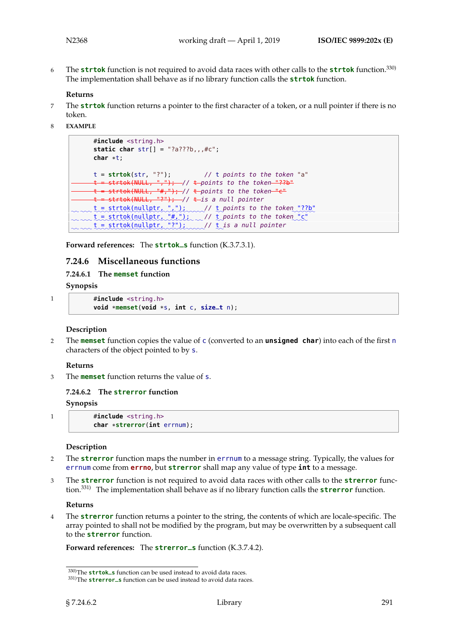6 The **strtok** function is not required to avoid data races with other calls to the **strtok** function.330) The implementation shall behave as if no library function calls the **strtok** function.

#### **Returns**

- 7 The **strtok** function returns a pointer to the first character of a token, or a null pointer if there is no token.
- 8 **EXAMPLE**

```
#include <string.h>
       static char str[] = "?a???b,,,#c";
       char *t;
       t = strtok(str, "?"); // t points to the token "a"
       t = strtok(NULL, ","); // t points to the token "??b"
       t <del>= strtok(NULL, "#,");</del> // t—points to the token—<del>"c"</del>
       t = strtok(NULL, "?"); // t is a null pointer
✿✿ ✿✿✿ ✿
t ✿✿
= ✿✿✿✿✿✿✿
strtok ✿
( ✿✿✿✿✿✿
nullptr✿
,✿✿✿✿✿
",")✿
;✿✿✿✿✿
// ✿
t✿
points to the token✿✿✿✿
"??✿
b✿
"
✿✿ ✿✿✿ ✿
t ✿✿
= ✿✿✿✿✿✿✿
strtok ✿
( ✿✿✿✿✿✿
nullptr✿
,✿✿✿✿✿✿
"#,")✿
;✿ ✿✿
// ✿
t✿
points to the token✿✿
"✿
c✿
"
✿✿ ✿✿✿ ✿
t ✿✿
= ✿✿✿✿✿✿✿
strtok ✿
( ✿✿✿✿✿✿
nullptr✿
,✿✿✿✿✿
"?")✿
;✿✿✿✿✿
// ✿
t✿
is a null pointer
```
**Forward references:** The **strtok\_s** function (K.3.7.3.1).

## **7.24.6 Miscellaneous functions**

**7.24.6.1 The memset function**

**Synopsis**

```
1 #include <string.h>
          void *memset(void *s, int c, size_t n);
```
#### **Description**

2 The **memset** function copies the value of c (converted to an **unsigned char**) into each of the first n characters of the object pointed to by s.

#### **Returns**

3 The **memset** function returns the value of s.

#### **7.24.6.2 The strerror function**

#### **Synopsis**

1 **#include** <string.h>

**char** \***strerror**(**int** errnum);

#### **Description**

- 2 The **strerror** function maps the number in errnum to a message string. Typically, the values for errnum come from **errno**, but **strerror** shall map any value of type **int** to a message.
- 3 The **strerror** function is not required to avoid data races with other calls to the **strerror** function.331) The implementation shall behave as if no library function calls the **strerror** function.

#### **Returns**

4 The **strerror** function returns a pointer to the string, the contents of which are locale-specific. The array pointed to shall not be modified by the program, but may be overwritten by a subsequent call to the **strerror** function.

**Forward references:** The **strerror\_s** function (K.3.7.4.2).

<sup>330)</sup>The **strtok\_s** function can be used instead to avoid data races.

<sup>331)</sup>The **strerror\_s** function can be used instead to avoid data races.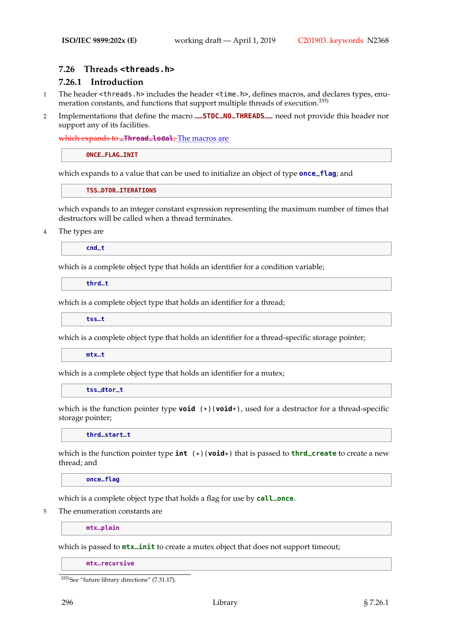## **7.26 Threads <threads.h>**

## **7.26.1 Introduction**

- 1 The header <threads.h> includes the header <time.h>, defines macros, and declares types, enumeration constants, and functions that support multiple threads of execution.<sup>335)</sup>
- <sup>2</sup> Implementations that define the macro **\_\_STDC\_NO\_THREADS\_\_** need not provide this header nor support any of its facilities.

which expands to **\_Thread\_local**; The macros are

**ONCE\_FLAG\_INIT**

which expands to a value that can be used to initialize an object of type **once\_flag**; and

**TSS\_DTOR\_ITERATIONS**

which expands to an integer constant expression representing the maximum number of times that destructors will be called when a thread terminates.

4 The types are

**cnd\_t**

which is a complete object type that holds an identifier for a condition variable;

**thrd\_t**

which is a complete object type that holds an identifier for a thread;

**tss\_t**

which is a complete object type that holds an identifier for a thread-specific storage pointer;

**mtx\_t**

which is a complete object type that holds an identifier for a mutex;

**tss\_dtor\_t**

which is the function pointer type **void** (\*)(**void**\*), used for a destructor for a thread-specific storage pointer;

**thrd\_start\_t**

which is the function pointer type **int** (\*)(**void**\*) that is passed to **thrd\_create** to create a new thread; and

**once\_flag**

which is a complete object type that holds a flag for use by **call\_once**.

5 The enumeration constants are

**mtx\_plain**

which is passed to **mtx\_init** to create a mutex object that does not support timeout;

**mtx\_recursive**

<sup>335)</sup>See "future library directions" (7.31.17).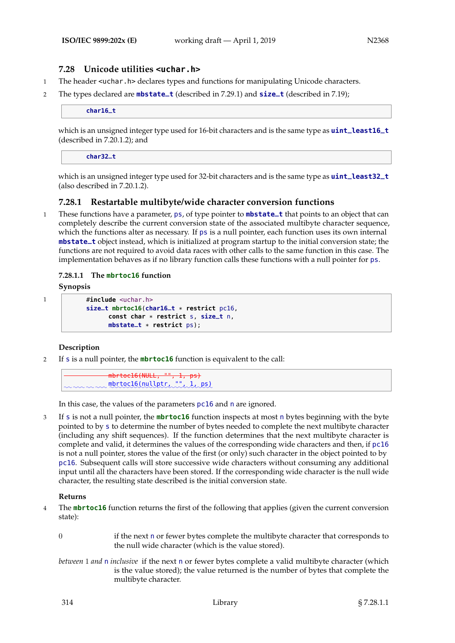## **7.28 Unicode utilities <uchar.h>**

- 1 The header <uchar.h> declares types and functions for manipulating Unicode characters.
- <sup>2</sup> The types declared are **mbstate\_t** (described in 7.29.1) and **size\_t** (described in 7.19);

**char16\_t**

which is an unsigned integer type used for 16-bit characters and is the same type as **uint\_least16\_t** (described in 7.20.1.2); and

**char32\_t**

which is an unsigned integer type used for 32-bit characters and is the same type as **uint\_least32\_t** (also described in 7.20.1.2).

## **7.28.1 Restartable multibyte/wide character conversion functions**

<sup>1</sup> These functions have a parameter, ps, of type pointer to **mbstate\_t** that points to an object that can completely describe the current conversion state of the associated multibyte character sequence, which the functions alter as necessary. If ps is a null pointer, each function uses its own internal **mbstate\_t** object instead, which is initialized at program startup to the initial conversion state; the functions are not required to avoid data races with other calls to the same function in this case. The implementation behaves as if no library function calls these functions with a null pointer for ps.

## **7.28.1.1 The mbrtoc16 function**

**Synopsis**

```
1 #include <uchar.h>
           size_t mbrtoc16(char16_t * restrict pc16,
                const char * restrict s, size_t n,
                mbstate_t * restrict ps);
```
## **Description**

2 If s is a null pointer, the **mbrtoc16** function is equivalent to the call:

```
mbrtoc16(NULL, "", 1, ps)
mmmmmmtoc16(nullptrammatik)
```
In this case, the values of the parameters pc16 and n are ignored.

3 If s is not a null pointer, the **mbrtoc16** function inspects at most n bytes beginning with the byte pointed to by s to determine the number of bytes needed to complete the next multibyte character (including any shift sequences). If the function determines that the next multibyte character is complete and valid, it determines the values of the corresponding wide characters and then, if pc16 is not a null pointer, stores the value of the first (or only) such character in the object pointed to by pc16. Subsequent calls will store successive wide characters without consuming any additional input until all the characters have been stored. If the corresponding wide character is the null wide character, the resulting state described is the initial conversion state.

#### **Returns**

- 4 The **mbrtoc16** function returns the first of the following that applies (given the current conversion state):
	- 0 if the next n or fewer bytes complete the multibyte character that corresponds to the null wide character (which is the value stored).
	- *between* 1 *and* n *inclusive* if the next n or fewer bytes complete a valid multibyte character (which is the value stored); the value returned is the number of bytes that complete the multibyte character.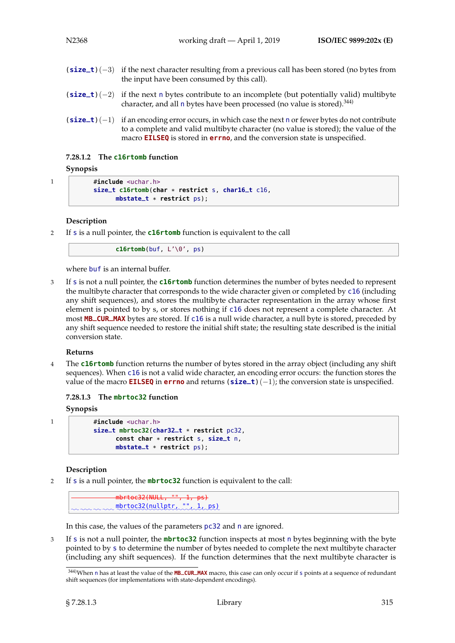- (**size\_t**)(−3) if the next character resulting from a previous call has been stored (no bytes from the input have been consumed by this call).
- (**size\_t**)(−2) if the next <sup>n</sup> bytes contribute to an incomplete (but potentially valid) multibyte character, and all n bytes have been processed (no value is stored).<sup>344)</sup>
- (**size\_t**)(−1) if an encoding error occurs, in which case the next <sup>n</sup> or fewer bytes do not contribute to a complete and valid multibyte character (no value is stored); the value of the macro **EILSEQ** is stored in **errno**, and the conversion state is unspecified.

## **7.28.1.2 The c16rtomb function**

#### **Synopsis**

```
1 #include <uchar.h>
          size_t c16rtomb(char * restrict s, char16_t c16,
                mbstate_t * restrict ps);
```
## **Description**

2 If s is a null pointer, the **c16rtomb** function is equivalent to the call

**c16rtomb**(buf, L'\0', ps)

where buf is an internal buffer.

3 If s is not a null pointer, the **c16rtomb** function determines the number of bytes needed to represent the multibyte character that corresponds to the wide character given or completed by c16 (including any shift sequences), and stores the multibyte character representation in the array whose first element is pointed to by s, or stores nothing if c16 does not represent a complete character. At most **MB\_CUR\_MAX** bytes are stored. If c16 is a null wide character, a null byte is stored, preceded by any shift sequence needed to restore the initial shift state; the resulting state described is the initial conversion state.

#### **Returns**

4 The **c16rtomb** function returns the number of bytes stored in the array object (including any shift sequences). When c16 is not a valid wide character, an encoding error occurs: the function stores the value of the macro **EILSEQ** in **errno** and returns (**size\_t**)(−1); the conversion state is unspecified.

#### **7.28.1.3 The mbrtoc32 function**

#### **Synopsis**

```
1 #include <uchar.h>
          size_t mbrtoc32(char32_t * restrict pc32,
                const char * restrict s, size_t n,
                mbstate_t * restrict ps);
```
#### **Description**

2 If s is a null pointer, the **mbrtoc32** function is equivalent to the call:

```
mbrtoc32(NULL, "", 1, ps)
nummm<mark>mbrtoc32(nullptrammentale</mark>
```
In this case, the values of the parameters pc32 and n are ignored.

3 If s is not a null pointer, the **mbrtoc32** function inspects at most n bytes beginning with the byte pointed to by s to determine the number of bytes needed to complete the next multibyte character (including any shift sequences). If the function determines that the next multibyte character is

<sup>344)</sup>When n has at least the value of the **MB\_CUR\_MAX** macro, this case can only occur if s points at a sequence of redundant shift sequences (for implementations with state-dependent encodings).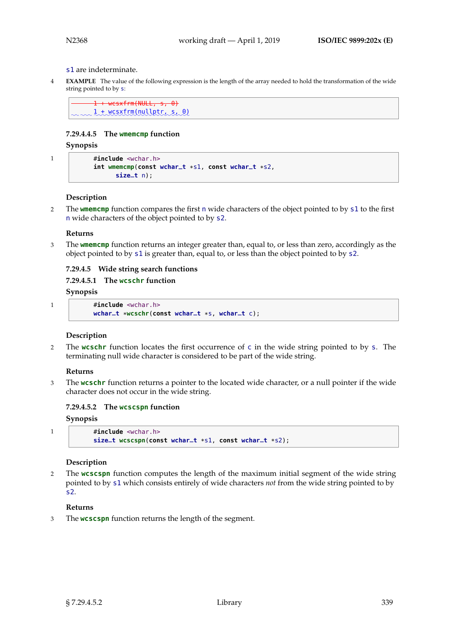#### s1 are indeterminate.

4 **EXAMPLE** The value of the following expression is the length of the array needed to hold the transformation of the wide string pointed to by s:

```
1 + \text{wcs} \text{erm}(\text{NULL}, s, \theta)www.1+wcsxfrm(nullptr, s, O)
```
#### **7.29.4.4.5 The wmemcmp function**

**Synopsis**

```
1 #include <wchar.h>
          int wmemcmp(const wchar_t *s1, const wchar_t *s2,
                size_t n);
```
## **Description**

2 The **wmemcmp** function compares the first n wide characters of the object pointed to by s1 to the first n wide characters of the object pointed to by s2.

#### **Returns**

3 The **wmemcmp** function returns an integer greater than, equal to, or less than zero, accordingly as the object pointed to by s1 is greater than, equal to, or less than the object pointed to by s2.

#### **7.29.4.5 Wide string search functions**

## **7.29.4.5.1 The wcschr function**

**Synopsis**

1 **#include** <wchar.h> **wchar\_t** \***wcschr**(**const wchar\_t** \*s, **wchar\_t** c);

#### **Description**

2 The **wcschr** function locates the first occurrence of c in the wide string pointed to by s. The terminating null wide character is considered to be part of the wide string.

#### **Returns**

3 The **wcschr** function returns a pointer to the located wide character, or a null pointer if the wide character does not occur in the wide string.

#### **7.29.4.5.2 The wcscspn function**

**Synopsis**

```
1 #include <wchar.h>
          size_t wcscspn(const wchar_t *s1, const wchar_t *s2);
```
## **Description**

2 The **wcscspn** function computes the length of the maximum initial segment of the wide string pointed to by s1 which consists entirely of wide characters *not* from the wide string pointed to by s2.

#### **Returns**

3 The **wcscspn** function returns the length of the segment.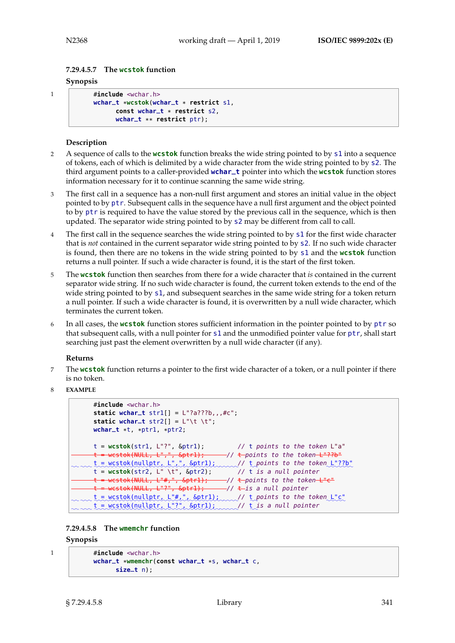## **7.29.4.5.7 The wcstok function**

#### **Synopsis**

```
1 #include <wchar.h>
          wchar_t *wcstok(wchar_t * restrict s1,
                const wchar_t * restrict s2,
                wchar_t ** restrict ptr);
```
## **Description**

- 2 A sequence of calls to the **wcstok** function breaks the wide string pointed to by s1 into a sequence of tokens, each of which is delimited by a wide character from the wide string pointed to by s2. The third argument points to a caller-provided **wchar\_t** pointer into which the **wcstok** function stores information necessary for it to continue scanning the same wide string.
- 3 The first call in a sequence has a non-null first argument and stores an initial value in the object pointed to by ptr. Subsequent calls in the sequence have a null first argument and the object pointed to by ptr is required to have the value stored by the previous call in the sequence, which is then updated. The separator wide string pointed to by s2 may be different from call to call.
- 4 The first call in the sequence searches the wide string pointed to by s1 for the first wide character that is *not* contained in the current separator wide string pointed to by s2. If no such wide character is found, then there are no tokens in the wide string pointed to by s1 and the **wcstok** function returns a null pointer. If such a wide character is found, it is the start of the first token.
- 5 The **wcstok** function then searches from there for a wide character that *is* contained in the current separator wide string. If no such wide character is found, the current token extends to the end of the wide string pointed to by s1, and subsequent searches in the same wide string for a token return a null pointer. If such a wide character is found, it is overwritten by a null wide character, which terminates the current token.
- 6 In all cases, the **wcstok** function stores sufficient information in the pointer pointed to by ptr so that subsequent calls, with a null pointer for s1 and the unmodified pointer value for ptr, shall start searching just past the element overwritten by a null wide character (if any).

#### **Returns**

- 7 The **wcstok** function returns a pointer to the first wide character of a token, or a null pointer if there is no token.
- 8 **EXAMPLE**

```
#include <wchar.h>
      static wchar_t str1[] = L"?a???b,,,#c";
      static wchar_t str2[] = L"\t \t";
      wchar_t *t, *ptr1, *ptr2;
      t = wcstok(str1, L"?", &ptr1); // t points to the token L"a"
       t = wcstok(NULL, L",", &ptr1); // t points to the token L"??b"
www.timestok(nullptr, L"u"u.Sptr1)immu// tipoints to the token L"??b"
       t = wcstok(str2, L" \t", &ptr2); // t is a null pointer
      t = wcstok(NULL, L^*#, \frac{m}{2}, \frac{m}{2}, \frac{m}{2} , \frac{m}{2} , \frac{m}{2} , \frac{m}{2} , \frac{m}{2} , \frac{m}{2}t = westok(NULL, L<sup>n</sup>?', \deltapt1); ( ) t is a null pointer
✿✿ ✿✿✿ ✿
t ✿✿
= ✿✿✿✿✿✿✿
wcstok ✿
( ✿✿✿✿✿✿
nullptr✿
,✿✿
L✿✿✿✿✿
"#,",✿✿
&✿✿✿✿
ptr1✿
)✿
;✿✿✿✿✿
// ✿
t ✿
points to the token✿✿
L✿
"✿
c✿
"
www.t.=.wcstok(nullptr, L"?", &ptr1);,,,,,,// t is a null pointer
```


## **Synopsis**

```
1 #include <wchar.h>
          wchar_t *wmemchr(const wchar_t *s, wchar_t c,
                size_t n);
```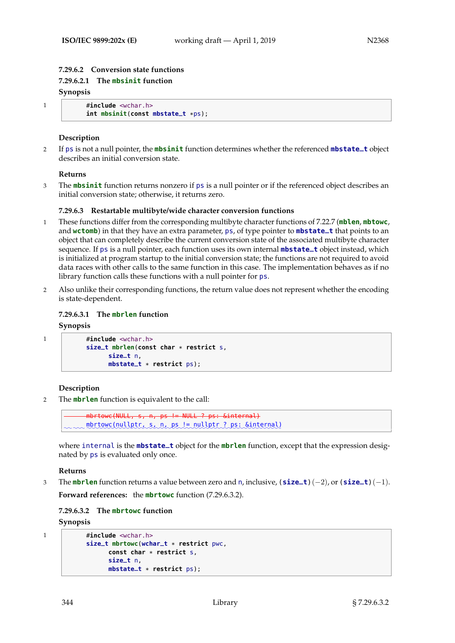#### **7.29.6.2 Conversion state functions**

```
7.29.6.2.1 The mbsinit function
```
## **Synopsis**

```
1 #include <wchar.h>
          int mbsinit(const mbstate_t *ps);
```
## **Description**

<sup>2</sup> If ps is not a null pointer, the **mbsinit** function determines whether the referenced **mbstate\_t** object describes an initial conversion state.

#### **Returns**

3 The **mbsinit** function returns nonzero if ps is a null pointer or if the referenced object describes an initial conversion state; otherwise, it returns zero.

## **7.29.6.3 Restartable multibyte/wide character conversion functions**

- 1 These functions differ from the corresponding multibyte character functions of 7.22.7 (**mblen**, **mbtowc**, and **wctomb**) in that they have an extra parameter, ps, of type pointer to **mbstate\_t** that points to an object that can completely describe the current conversion state of the associated multibyte character sequence. If ps is a null pointer, each function uses its own internal **mbstate\_t** object instead, which is initialized at program startup to the initial conversion state; the functions are not required to avoid data races with other calls to the same function in this case. The implementation behaves as if no library function calls these functions with a null pointer for ps.
- 2 Also unlike their corresponding functions, the return value does not represent whether the encoding is state-dependent.

## **7.29.6.3.1 The mbrlen function**

**Synopsis**

```
1 #include <wchar.h>
           size_t mbrlen(const char * restrict s,
                size_t n,
                mbstate_t * restrict ps);
```
#### **Description**

2 The **mbrlen** function is equivalent to the call:

```
mbrtowc(NULL, s, n, ps != NULL ? ps: &internal)
mbrtowc(nullptr, s, n, ps != nullptr ? ps: &internal)
```
where internal is the **mbstate\_t** object for the **mbrlen** function, except that the expression designated by ps is evaluated only once.

**Returns**

<sup>3</sup> The **mbrlen** function returns a value between zero and <sup>n</sup>, inclusive, (**size\_t**)(−2), or (**size\_t**)(−1). **Forward references:** the **mbrtowc** function (7.29.6.3.2).

```
7.29.6.3.2 The mbrtowc function
Synopsis
```

```
1 #include <wchar.h>
           size_t mbrtowc(wchar_t * restrict pwc,
                const char * restrict s,
                size_t n,
                mbstate_t * restrict ps);
```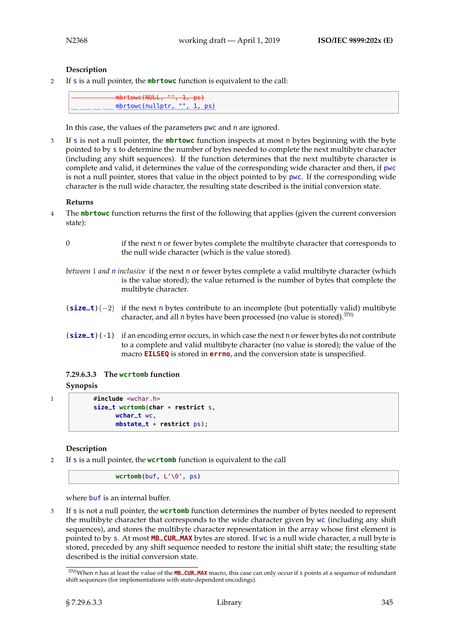## **Description**

2 If s is a null pointer, the **mbrtowc** function is equivalent to the call:

mbrtowc(NULL, "", 1, ps) nummmmmmtowc(nullptrannelledel

In this case, the values of the parameters pwc and n are ignored.

3 If s is not a null pointer, the **mbrtowc** function inspects at most n bytes beginning with the byte pointed to by s to determine the number of bytes needed to complete the next multibyte character (including any shift sequences). If the function determines that the next multibyte character is complete and valid, it determines the value of the corresponding wide character and then, if pwc is not a null pointer, stores that value in the object pointed to by pwc. If the corresponding wide character is the null wide character, the resulting state described is the initial conversion state.

#### **Returns**

- 4 The **mbrtowc** function returns the first of the following that applies (given the current conversion state):
	- 0 if the next n or fewer bytes complete the multibyte character that corresponds to the null wide character (which is the value stored).
	- *between* 1 *and* n *inclusive* if the next n or fewer bytes complete a valid multibyte character (which is the value stored); the value returned is the number of bytes that complete the multibyte character.
	- (**size\_t**)(−2) if the next <sup>n</sup> bytes contribute to an incomplete (but potentially valid) multibyte character, and all n bytes have been processed (no value is stored).<sup>370)</sup>
	- (**size\_t**)(-1) if an encoding error occurs, in which case the next n or fewer bytes do not contribute to a complete and valid multibyte character (no value is stored); the value of the macro **EILSEQ** is stored in **errno**, and the conversion state is unspecified.

# **7.29.6.3.3 The wcrtomb function**

**Synopsis**

```
1 #include <wchar.h>
          size_t wcrtomb(char * restrict s,
                wchar_t wc,
                mbstate_t * restrict ps);
```
## **Description**

2 If s is a null pointer, the **wcrtomb** function is equivalent to the call

**wcrtomb**(buf, L'\0', ps)

where buf is an internal buffer.

3 If s is not a null pointer, the **wcrtomb** function determines the number of bytes needed to represent the multibyte character that corresponds to the wide character given by wc (including any shift sequences), and stores the multibyte character representation in the array whose first element is pointed to by s. At most **MB\_CUR\_MAX** bytes are stored. If wc is a null wide character, a null byte is stored, preceded by any shift sequence needed to restore the initial shift state; the resulting state described is the initial conversion state.

<sup>370)</sup>When n has at least the value of the **MB\_CUR\_MAX** macro, this case can only occur if s points at a sequence of redundant shift sequences (for implementations with state-dependent encodings).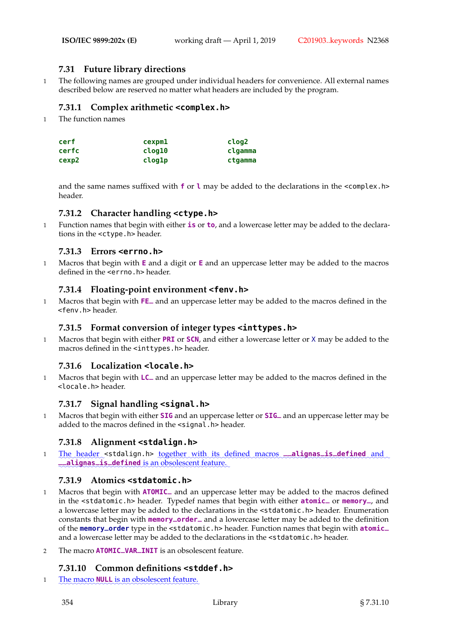## **7.31 Future library directions**

1 The following names are grouped under individual headers for convenience. All external names described below are reserved no matter what headers are included by the program.

## **7.31.1 Complex arithmetic <complex.h>**

1 The function names

| cerf  | cexpm1 | clog2   |
|-------|--------|---------|
| cerfc | clog10 | clgamma |
| cexp2 | clog1p | ctgamma |

and the same names suffixed with **f** or **l** may be added to the declarations in the <complex.h> header.

## **7.31.2 Character handling <ctype.h>**

1 Function names that begin with either **is** or **to**, and a lowercase letter may be added to the declarations in the <ctype.h> header.

## **7.31.3 Errors <errno.h>**

1 Macros that begin with **E** and a digit or **E** and an uppercase letter may be added to the macros defined in the <errno.h> header.

## **7.31.4 Floating-point environment <fenv.h>**

<sup>1</sup> Macros that begin with **FE\_** and an uppercase letter may be added to the macros defined in the <fenv.h> header.

## **7.31.5 Format conversion of integer types <inttypes.h>**

1 Macros that begin with either **PRI** or **SCN**, and either a lowercase letter or X may be added to the macros defined in the <inttypes.h> header.

## **7.31.6 Localization <locale.h>**

<sup>1</sup> Macros that begin with **LC\_** and an uppercase letter may be added to the macros defined in the <locale.h> header.

## **7.31.7 Signal handling <signal.h>**

<sup>1</sup> Macros that begin with either **SIG** and an uppercase letter or **SIG\_** and an uppercase letter may be added to the macros defined in the <signal.h> header.

## **7.31.8 Alignment <stdalign.h>**

1 The header <stdalign.h> <u>together with its defined macros</u> **\_\_alignas\_is\_defined** and **\_\_alignas\_is\_defined** is an obsolescent feature.

## **7.31.9 Atomics <stdatomic.h>**

- <sup>1</sup> Macros that begin with **ATOMIC\_** and an uppercase letter may be added to the macros defined in the <stdatomic.h> header. Typedef names that begin with either **atomic\_** or **memory\_**, and a lowercase letter may be added to the declarations in the <stdatomic.h> header. Enumeration constants that begin with **memory\_order\_** and a lowercase letter may be added to the definition of the **memory\_order** type in the <stdatomic.h> header. Function names that begin with **atomic\_** and a lowercase letter may be added to the declarations in the <stdatomic.h> header.
- <sup>2</sup> The macro **ATOMIC\_VAR\_INIT** is an obsolescent feature.

# **7.31.10 Common definitions <stddef.h>**

1 The macro **NULL** is an obsolescent feature.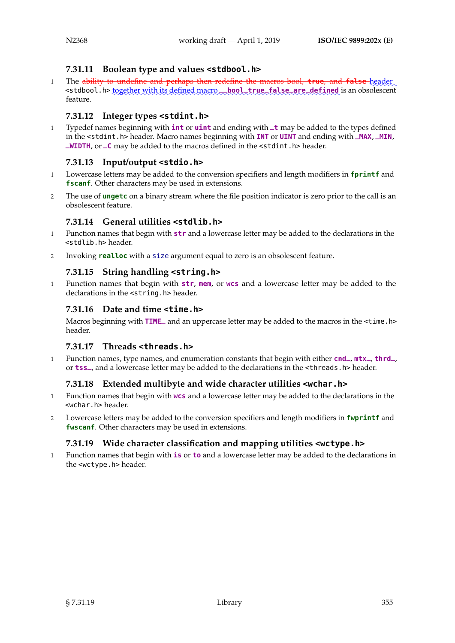# **7.31.11 Boolean type and values <stdbool.h>**

1 The a<del>bility to undefine and perhaps then redefine the macros bool, **true**, and **false** header</del> <stdbool.h> together with its defined macro **\_\_bool\_true\_false\_are\_defined** is an obsolescent feature.

# **7.31.12 Integer types <stdint.h>**

<sup>1</sup> Typedef names beginning with **int** or **uint** and ending with **\_t** may be added to the types defined in the <stdint.h> header. Macro names beginning with **INT** or **UINT** and ending with **\_MAX**, **\_MIN**, **\_WIDTH**, or **\_C** may be added to the macros defined in the <stdint.h> header.

# **7.31.13 Input/output <stdio.h>**

- 1 Lowercase letters may be added to the conversion specifiers and length modifiers in **fprintf** and **fscanf**. Other characters may be used in extensions.
- 2 The use of **ungetc** on a binary stream where the file position indicator is zero prior to the call is an obsolescent feature.

# **7.31.14 General utilities <stdlib.h>**

- 1 Function names that begin with **str** and a lowercase letter may be added to the declarations in the <stdlib.h> header.
- 2 Invoking **realloc** with a size argument equal to zero is an obsolescent feature.

# **7.31.15 String handling <string.h>**

1 Function names that begin with **str**, **mem**, or **wcs** and a lowercase letter may be added to the declarations in the <string.h> header.

# **7.31.16 Date and time <time.h>**

Macros beginning with **TIME\_** and an uppercase letter may be added to the macros in the <time.h> header.

# **7.31.17 Threads <threads.h>**

<sup>1</sup> Function names, type names, and enumeration constants that begin with either **cnd\_**, **mtx\_**, **thrd\_**, or **tss\_**, and a lowercase letter may be added to the declarations in the <threads.h> header.

# **7.31.18 Extended multibyte and wide character utilities <wchar.h>**

- 1 Function names that begin with **wcs** and a lowercase letter may be added to the declarations in the <wchar.h> header.
- 2 Lowercase letters may be added to the conversion specifiers and length modifiers in **fwprintf** and **fwscanf**. Other characters may be used in extensions.

# **7.31.19 Wide character classification and mapping utilities <wctype.h>**

1 Function names that begin with **is** or **to** and a lowercase letter may be added to the declarations in the <wctype.h> header.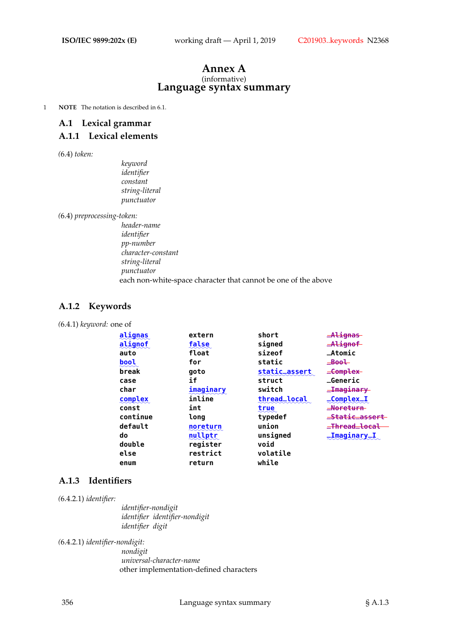## **Annex A** (informative) **Language syntax summary**

1 **NOTE** The notation is described in 6.1.

# **A.1 Lexical grammar**

# **A.1.1 Lexical elements**

*(*6.4) *token:*

*keyword identifier constant string-literal punctuator*

*(*6.4) *preprocessing-token:*

*header-name identifier pp-number character-constant string-literal punctuator* each non-white-space character that cannot be one of the above

# **A.1.2 Keywords**

*(*6.4.1) *keyword:* one of

| alignas  | extern    | short         | _Alignas                       |
|----------|-----------|---------------|--------------------------------|
| alignof  | false     | signed        | $A$ lignof                     |
| auto     | float     | sizeof        | $\_Atomic$                     |
| bool     | for       | static        | $\equiv$ Bool                  |
| break    | qoto      | static_assert | =Complex                       |
| case     | if        | struct        | <b>_Generic</b>                |
| char     | imaginary | switch        | <del>_Imaginary</del>          |
| complex  | inline    | thread_local  | $\angle$ Complex <sub>-I</sub> |
| const    | int       | true          | Noreturn                       |
| continue | long      | typedef       | =Static_assert                 |
| default  | noreturn  | union         | _Thread_local                  |
| do       | nullptr   | unsigned      | _Imaginary_I                   |
| double   | register  | void          |                                |
| else     | restrict  | volatile      |                                |
| enum     | return    | while         |                                |

# **A.1.3 Identifiers**

*(*6.4.2.1) *identifier:*

*identifier-nondigit identifier identifier-nondigit identifier digit*

*(*6.4.2.1) *identifier-nondigit:*

*nondigit universal-character-name* other implementation-defined characters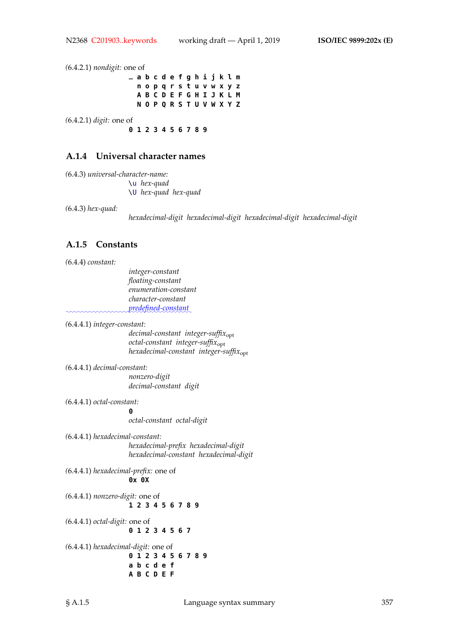*(*6.4.2.1) *nondigit:* one of **\_ a b c d e f g h i j k l m n o p q r s t u v w x y z A B C D E F G H I J K L M N O P Q R S T U V W X Y Z** *(*6.4.2.1) *digit:* one of **0 1 2 3 4 5 6 7 8 9**

## **A.1.4 Universal character names**

*(*6.4.3) *universal-character-name:* \u *hex-quad* \U *hex-quad hex-quad*

*(*6.4.3) *hex-quad:*

*hexadecimal-digit hexadecimal-digit hexadecimal-digit hexadecimal-digit*

## **A.1.5 Constants**

*(*6.4.4) *constant:*

*integer-constant floating-constant enumeration-constant character-constant* ✿✿✿✿✿✿✿✿✿✿✿✿✿✿✿✿✿✿✿✿✿✿✿✿✿✿✿✿✿✿✿✿ *predefined-constant*✿

*(*6.4.4.1) *integer-constant:*

*decimal-constant integer-suffix*<sub>opt</sub> *octal-constant integer-suffix*opt *hexadecimal-constant integer-suffix*opt

*(*6.4.4.1) *decimal-constant: nonzero-digit decimal-constant digit*

*(*6.4.4.1) *octal-constant:*

**0** *octal-constant octal-digit*

*(*6.4.4.1) *hexadecimal-constant: hexadecimal-prefix hexadecimal-digit hexadecimal-constant hexadecimal-digit*

*(*6.4.4.1) *hexadecimal-prefix:* one of **0x 0X**

*(*6.4.4.1) *nonzero-digit:* one of **1 2 3 4 5 6 7 8 9**

*(*6.4.4.1) *octal-digit:* one of **0 1 2 3 4 5 6 7**

*(*6.4.4.1) *hexadecimal-digit:* one of **0 1 2 3 4 5 6 7 8 9 a b c d e f A B C D E F**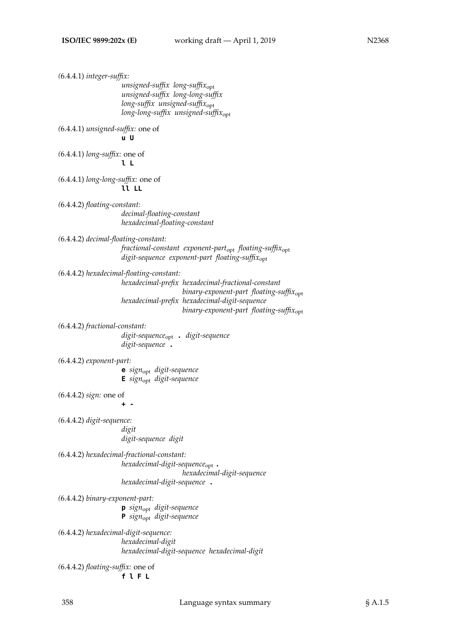*(*6.4.4.1) *integer-suffix:*

*unsigned-suffix long-suffix*opt *unsigned-suffix long-long-suffix long-suffix unsigned-suffix*opt *long-long-suffix unsigned-suffix*opt

*(*6.4.4.1) *unsigned-suffix:* one of **u U**

*(*6.4.4.1) *long-suffix:* one of **l L**

*(*6.4.4.1) *long-long-suffix:* one of **ll LL**

*(*6.4.4.2) *floating-constant: decimal-floating-constant hexadecimal-floating-constant*

*(*6.4.4.2) *decimal-floating-constant: fractional-constant exponent-part*opt *floating-suffix*opt *digit-sequence exponent-part floating-suffix*opt

*(*6.4.4.2) *hexadecimal-floating-constant: hexadecimal-prefix hexadecimal-fractional-constant binary-exponent-part floating-suffix*opt *hexadecimal-prefix hexadecimal-digit-sequence binary-exponent-part floating-suffix*opt

*(*6.4.4.2) *fractional-constant: digit-sequence*opt **.** *digit-sequence digit-sequence* **.**

*(*6.4.4.2) *exponent-part:*

**e** *sign*opt *digit-sequence*

**E** *sign*opt *digit-sequence*

*(*6.4.4.2) *sign:* one of

**+ -**

- *(*6.4.4.2) *digit-sequence: digit digit-sequence digit*
- *(*6.4.4.2) *hexadecimal-fractional-constant: hexadecimal-digit-sequence*opt **.** *hexadecimal-digit-sequence hexadecimal-digit-sequence* **.**

*(*6.4.4.2) *binary-exponent-part:*

**p** *sign*opt *digit-sequence* **P** *sign*opt *digit-sequence*

*(*6.4.4.2) *hexadecimal-digit-sequence: hexadecimal-digit hexadecimal-digit-sequence hexadecimal-digit*

*(*6.4.4.2) *floating-suffix:* one of **f l F L**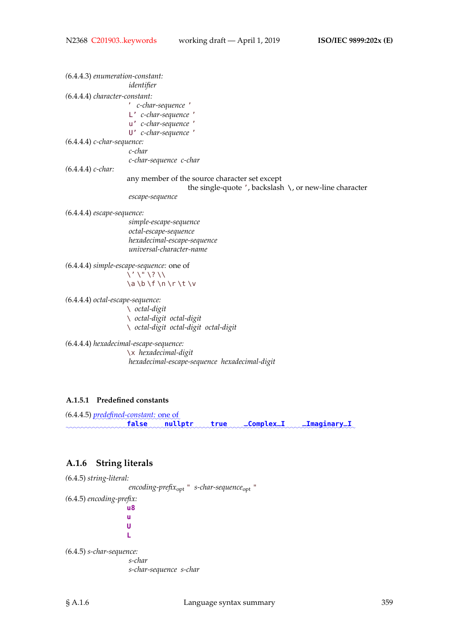*(*6.4.4.3) *enumeration-constant: identifier (*6.4.4.4) *character-constant:* ' *c-char-sequence* ' L' *c-char-sequence* ' u' *c-char-sequence* ' U' *c-char-sequence* ' *(*6.4.4.4) *c-char-sequence: c-char c-char-sequence c-char (*6.4.4.4) *c-char:* any member of the source character set except the single-quote  $'$ , backslash  $\setminus$ , or new-line character *escape-sequence (*6.4.4.4) *escape-sequence: simple-escape-sequence octal-escape-sequence hexadecimal-escape-sequence universal-character-name (*6.4.4.4) *simple-escape-sequence:* one of  $\sqrt{'} \sqrt{''} \sqrt{?} \sqrt{}$  $\a \b \f \n\right) \f \f \f \f \f$ *(*6.4.4.4) *octal-escape-sequence:* \ *octal-digit* \ *octal-digit octal-digit* \ *octal-digit octal-digit octal-digit (*6.4.4.4) *hexadecimal-escape-sequence:* \x *hexadecimal-digit hexadecimal-escape-sequence hexadecimal-digit* **A.1.5.1 Predefined constants**

(6.4.4.5) *predefined-constant:* one of ✿✿✿✿✿✿✿✿✿✿✿✿✿✿✿✿✿✿✿✿✿✿ false<sub>men</sub>ullptr<sub>nullptr</sub> **true** ✿✿✿✿✿✿✿✿✿✿✿✿✿✿✿ **\_Complex\_I** ✿✿✿✿✿✿✿✿✿✿✿✿✿✿✿✿✿✿ **\_Imaginary\_I**

# **A.1.6 String literals**

*(*6.4.5) *string-literal: encoding-prefix*opt " *s-char-sequence*opt " *(*6.4.5) *encoding-prefix:* **u8 u U L** *(*6.4.5) *s-char-sequence: s-char*

*s-char-sequence s-char*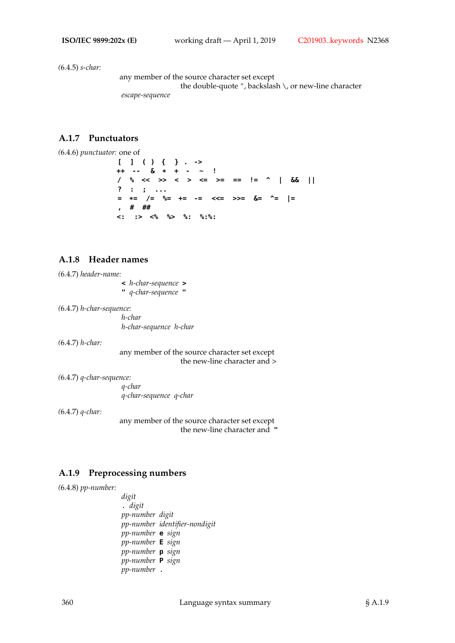*(*6.4.5) *s-char:*

any member of the source character set except

the double-quote  $\mathsf{``},$  backslash \, or new-line character *escape-sequence*

## **A.1.7 Punctuators**

```
(6.4.6) punctuator: one of
```
**[ ] ( ) { } . -> ++ -- & \* + - ~ ! / % << >> < > <= >= == != ^ | && || ? : ; ... = \*= /= %= += -= <<= >>= &= ^= |= , # ## <: :> <% %> %: %:%:**

## **A.1.8 Header names**

```
(6.4.7) header-name:
```
**<** *h-char-sequence* **> "** *q-char-sequence* **"**

*(*6.4.7) *h-char-sequence:*

*h-char h-char-sequence h-char*

*(*6.4.7) *h-char:*

any member of the source character set except the new-line character and >

```
(6.4.7) q-char-sequence:
```
*q-char q-char-sequence q-char*

*(*6.4.7) *q-char:*

any member of the source character set except the new-line character and **"**

# **A.1.9 Preprocessing numbers**

```
(6.4.8) pp-number:
```
*digit* . *digit pp-number digit pp-number identifier-nondigit pp-number* **e** *sign pp-number* **E** *sign pp-number* **p** *sign pp-number* **P** *sign pp-number* .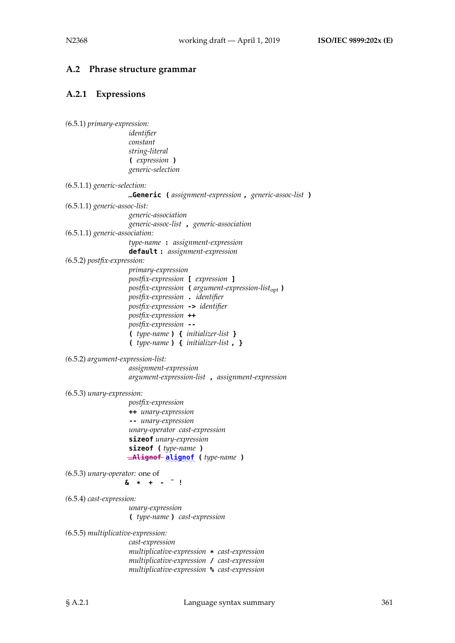## **A.2 Phrase structure grammar**

# **A.2.1 Expressions**

```
(6.5.1) primary-expression:
                   identifier
                   constant
                   string-literal
                    ( expression )
                   generic-selection
(6.5.1.1) generic-selection:
                   _Generic ( assignment-expression , generic-assoc-list )
(6.5.1.1) generic-assoc-list:
                   generic-association
                   generic-assoc-list , generic-association
(6.5.1.1) generic-association:
                    type-name : assignment-expression
                    default : assignment-expression
(6.5.2) postfix-expression:
                   primary-expression
                   postfix-expression [ expression ]
                   postfix-expression ( argument-expression-listopt )
                    postfix-expression . identifier
                   postfix-expression -> identifier
                   postfix-expression ++
                   postfix-expression --
                    ( type-name ) { initializer-list }
                    ( type-name ) { initializer-list , }
(6.5.2) argument-expression-list:
                    assignment-expression
                   argument-expression-list , assignment-expression
(6.5.3) unary-expression:
                   postfix-expression
                   ++ unary-expression
                    -- unary-expression
                   unary-operator cast-expression
                    sizeof unary-expression
                    sizeof ( type-name )
                    \frac{1}{2}Alignof ( type-name )
(6.5.3) unary-operator: one of
                  & * + - ˜ !
(6.5.4) cast-expression:
                    unary-expression
                    ( type-name ) cast-expression
(6.5.5) multiplicative-expression:
                    cast-expression
                    multiplicative-expression * cast-expression
                   multiplicative-expression / cast-expression
                    multiplicative-expression % cast-expression
```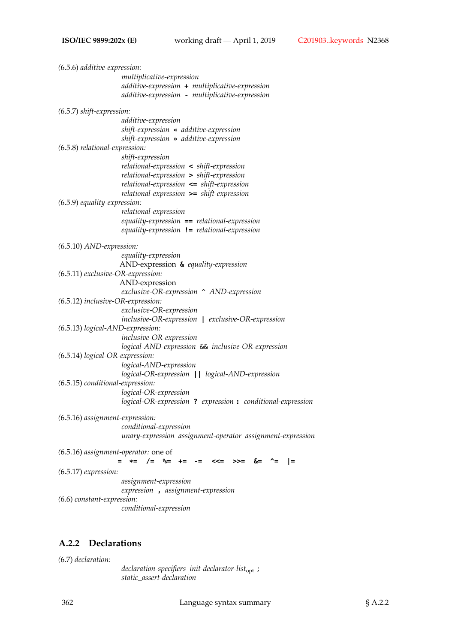*(*6.5.6) *additive-expression: multiplicative-expression additive-expression* **+** *multiplicative-expression additive-expression* **-** *multiplicative-expression (*6.5.7) *shift-expression: additive-expression shift-expression* **«** *additive-expression shift-expression* **»** *additive-expression (*6.5.8) *relational-expression: shift-expression relational-expression* **<** *shift-expression relational-expression* **>** *shift-expression relational-expression* **<=** *shift-expression relational-expression* **>=** *shift-expression (*6.5.9) *equality-expression: relational-expression equality-expression* **==** *relational-expression equality-expression* **!=** *relational-expression (*6.5.10) *AND-expression: equality-expression* AND-expression **&** *equality-expression (*6.5.11) *exclusive-OR-expression:* AND-expression *exclusive-OR-expression* ^ *AND-expression (*6.5.12) *inclusive-OR-expression: exclusive-OR-expression inclusive-OR-expression* **|** *exclusive-OR-expression (*6.5.13) *logical-AND-expression: inclusive-OR-expression logical-AND-expression* && *inclusive-OR-expression (*6.5.14) *logical-OR-expression: logical-AND-expression logical-OR-expression* **||** *logical-AND-expression (*6.5.15) *conditional-expression: logical-OR-expression logical-OR-expression* **?** *expression* **:** *conditional-expression (*6.5.16) *assignment-expression: conditional-expression unary-expression assignment-operator assignment-expression (*6.5.16) *assignment-operator:* one of **= \*= /= %= += -= <<= >>= &= ^= |=** *(*6.5.17) *expression: assignment-expression expression* **,** *assignment-expression (*6.6) *constant-expression:*

#### *conditional-expression*

# **A.2.2 Declarations**

*(*6.7) *declaration:*

*declaration-specifiers init-declarator-list*opt ; *static\_assert-declaration*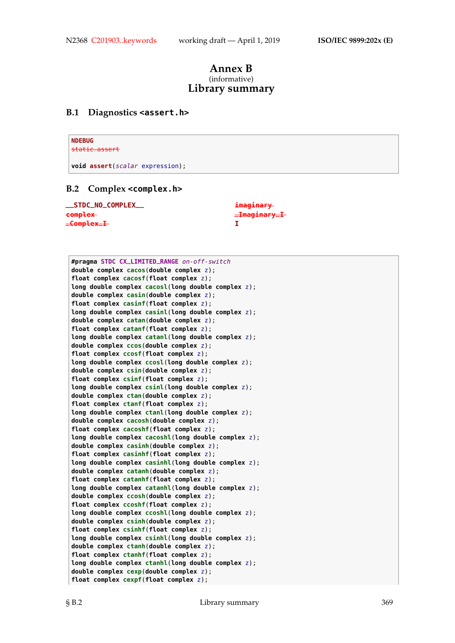## **Annex B** (informative) **Library summary**

## **B.1 Diagnostics <assert.h>**

**NDEBUG** static\_assert **void assert**(scalar expression);

#### **B.2 Complex <complex.h>**

| __STDC_NO_COMPLEX__   | imaginary    |
|-----------------------|--------------|
| complex               | =Imaginary=I |
| <del>_Complex_I</del> |              |

```
#pragma STDC CX_LIMITED_RANGE on-off-switch
double complex cacos(double complex z);
float complex cacosf(float complex z);
long double complex cacosl(long double complex z);
double complex casin(double complex z);
float complex casinf(float complex z);
long double complex casinl(long double complex z);
double complex catan(double complex z);
float complex catanf(float complex z);
long double complex catanl(long double complex z);
double complex ccos(double complex z);
float complex ccosf(float complex z);
long double complex ccosl(long double complex z);
double complex csin(double complex z);
float complex csinf(float complex z);
long double complex csinl(long double complex z);
double complex ctan(double complex z);
float complex ctanf(float complex z);
long double complex ctanl(long double complex z);
double complex cacosh(double complex z);
float complex cacoshf(float complex z);
long double complex cacoshl(long double complex z);
double complex casinh(double complex z);
float complex casinhf(float complex z);
long double complex casinhl(long double complex z);
double complex catanh(double complex z);
float complex catanhf(float complex z);
long double complex catanhl(long double complex z);
double complex ccosh(double complex z);
float complex ccoshf(float complex z);
long double complex ccoshl(long double complex z);
double complex csinh(double complex z);
float complex csinhf(float complex z);
long double complex csinhl(long double complex z);
double complex ctanh(double complex z);
float complex ctanhf(float complex z);
long double complex ctanhl(long double complex z);
double complex cexp(double complex z);
float complex cexpf(float complex z);
```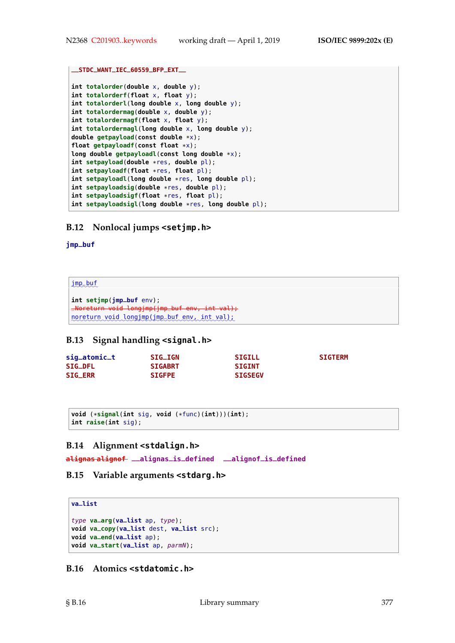```
__STDC_WANT_IEC_60559_BFP_EXT__
```

```
int totalorder(double x, double y);
int totalorderf(float x, float y);
int totalorderl(long double x, long double y);
int totalordermag(double x, double y);
int totalordermagf(float x, float y);
int totalordermagl(long double x, long double y);
double getpayload(const double *x);
float getpayloadf(const float *x);
long double getpayloadl(const long double *x);
int setpayload(double *res, double pl);
int setpayloadf(float *res, float pl);
int setpayloadl(long double *res, long double pl);
int setpayloadsig(double *res, double pl);
int setpayloadsigf(float *res, float pl);
int setpayloadsigl(long double *res, long double pl);
```
## **B.12 Nonlocal jumps <setjmp.h>**

#### **jmp\_buf**

jmp\_buf **int setjmp**(**jmp\_buf** env); \_Noreturn void longjmp(jmp\_buf env, int val); noreturn void longjmp(jmp\_buf\_env,\_int\_val);

## **B.13 Signal handling <signal.h>**

| sig_atomic_t   | <b>SIG_IGN</b> | <b>SIGILL</b>  | <b>SIGTERM</b> |
|----------------|----------------|----------------|----------------|
| <b>SIG_DFL</b> | <b>SIGABRT</b> | <b>SIGINT</b>  |                |
| <b>SIG_ERR</b> | <b>SIGFPE</b>  | <b>SIGSEGV</b> |                |

```
void (*signal(int sig, void (*func)(int)))(int);
int raise(int sig);
```
## **B.14 Alignment <stdalign.h>**

**alignas alignof \_\_alignas\_is\_defined \_\_alignof\_is\_defined**

## **B.15 Variable arguments <stdarg.h>**

```
va_list
type va_arg(va_list ap, type);
void va_copy(va_list dest, va_list src);
void va_end(va_list ap);
void va_start(va_list ap, parmN);
```
## **B.16 Atomics <stdatomic.h>**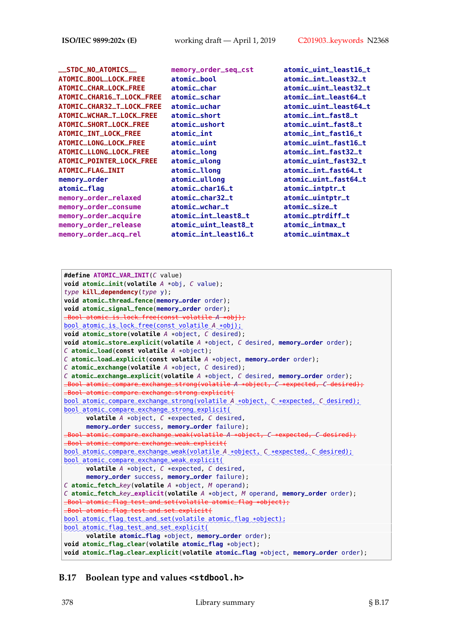**\_\_STDC\_NO\_ATOMICS\_\_ ATOMIC\_BOOL\_LOCK\_FREE ATOMIC\_CHAR\_LOCK\_FREE ATOMIC\_CHAR16\_T\_LOCK\_FREE ATOMIC\_CHAR32\_T\_LOCK\_FREE ATOMIC\_WCHAR\_T\_LOCK\_FREE ATOMIC\_SHORT\_LOCK\_FREE ATOMIC\_INT\_LOCK\_FREE ATOMIC\_LONG\_LOCK\_FREE ATOMIC\_LLONG\_LOCK\_FREE ATOMIC\_POINTER\_LOCK\_FREE ATOMIC\_FLAG\_INIT memory\_order atomic\_flag memory\_order\_relaxed memory\_order\_consume memory\_order\_acquire memory\_order\_release memory\_order\_acq\_rel**

**memory\_order\_seq\_cst atomic\_bool atomic\_char atomic\_schar atomic\_uchar atomic\_short atomic\_ushort atomic\_int atomic\_uint atomic\_long atomic\_ulong atomic\_llong atomic\_ullong atomic\_char16\_t atomic\_char32\_t atomic\_wchar\_t atomic\_int\_least8\_t atomic\_uint\_least8\_t atomic\_int\_least16\_t**

**atomic\_uint\_least16\_t atomic\_int\_least32\_t atomic\_uint\_least32\_t atomic\_int\_least64\_t atomic\_uint\_least64\_t atomic\_int\_fast8\_t atomic\_uint\_fast8\_t atomic\_int\_fast16\_t atomic\_uint\_fast16\_t atomic\_int\_fast32\_t atomic\_uint\_fast32\_t atomic\_int\_fast64\_t atomic\_uint\_fast64\_t atomic\_intptr\_t atomic\_uintptr\_t atomic\_size\_t atomic\_ptrdiff\_t atomic\_intmax\_t atomic\_uintmax\_t**

```
#define ATOMIC_VAR_INIT(C value)
void atomic_init(volatile A *obj, C value);
type kill_dependency(type y);
void atomic_thread_fence(memory_order order);
void atomic_signal_fence(memory_order order);
_Bool atomic_is_lock_free(const volatile A *obj);
bool atomic_is_lock_free(const_volatile_A_*obj);
void atomic_store(volatile A *object, C desired);
void atomic_store_explicit(volatile A *object, C desired, memory_order order);
C atomic_load(const volatile A *object);
C atomic_load_explicit(const volatile A *object, memory_order order);
C atomic_exchange(volatile A *object, C desired);
C atomic_exchange_explicit(volatile A *object, C desired, memory_order order);
_Bool atomic_compare_exchange_strong(volatile A *object, C *expected, C desired);
_Bool atomic_compare_exchange_strong_explicit(
bool atomic_compare_exchange_strong(volatile A *object, C *expected, C desired);
bool atomic_compare_exchange_strong_explicit(
     volatile A *object, C *expected, C desired,
     memory_order success, memory_order failure);
_Bool atomic_compare_exchange_weak(volatile A *object, C *expected, C desired);
_Bool atomic_compare_exchange_weak_explicit(
bool atomic_compare_exchange_weak(volatile A *object, C *expected, C desired);
bool atomic_compare_exchange_weak_explicit(
     volatile A *object, C *expected, C desired,
     memory_order success, memory_order failure);
C atomic_fetch_key(volatile A *object, M operand);
C atomic_fetch_key_explicit(volatile A *object, M operand, memory_order order);
_Bool atomic_flag_test_and_set(volatile atomic_flag *object);
_Bool atomic_flag_test_and_set_explicit(
bool atomic_flag_test_and_set(volatile_atomic_flag_*object);
bool atomic_flag_test_and_set_explicit(
      volatile atomic_flag *object, memory_order order);
void atomic_flag_clear(volatile atomic_flag *object);
void atomic_flag_clear_explicit(volatile atomic_flag *object, memory_order order);
```
## **B.17 Boolean type and values <stdbool.h>**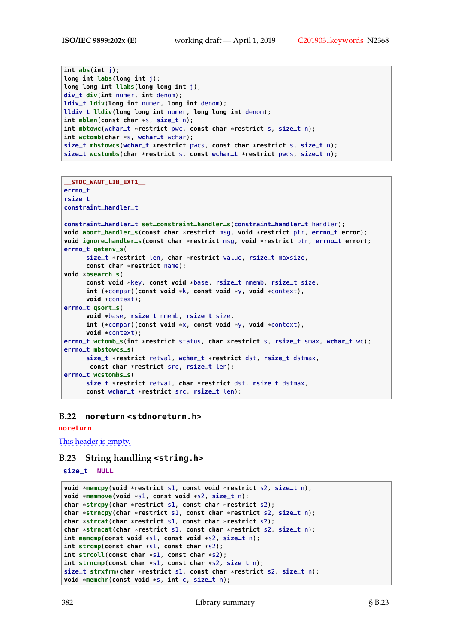```
int abs(int j);
long int labs(long int j);
long long int llabs(long long int j);
div_t div(int numer, int denom);
ldiv_t ldiv(long int numer, long int denom);
lldiv_t lldiv(long long int numer, long long int denom);
int mblen(const char *s, size_t n);
int mbtowc(wchar_t *restrict pwc, const char *restrict s, size_t n);
int wctomb(char *s, wchar_t wchar);
size_t mbstowcs(wchar_t *restrict pwcs, const char *restrict s, size_t n);
size_t wcstombs(char *restrict s, const wchar_t *restrict pwcs, size_t n);
```

```
__STDC_WANT_LIB_EXT1__
errno_t
rsize_t
constraint_handler_t
constraint_handler_t set_constraint_handler_s(constraint_handler_t handler);
void abort_handler_s(const char *restrict msg, void *restrict ptr, errno_t error);
void ignore_handler_s(const char *restrict msg, void *restrict ptr, errno_t error);
errno_t getenv_s(
     size_t *restrict len, char *restrict value, rsize_t maxsize,
      const char *restrict name);
void *bsearch_s(
      const void *key, const void *base, rsize_t nmemb, rsize_t size,
      int (*compar)(const void *k, const void *y, void *context),
     void *context);
errno_t qsort_s(
     void *base, rsize_t nmemb, rsize_t size,
     int (*compar)(const void *x, const void *y, void *context),
     void *context);
errno_t wctomb_s(int *restrict status, char *restrict s, rsize_t smax, wchar_t wc);
errno_t mbstowcs_s(
     size_t *restrict retval, wchar_t *restrict dst, rsize_t dstmax,
      const char *restrict src, rsize_t len);
errno_t wcstombs_s(
     size_t *restrict retval, char *restrict dst, rsize_t dstmax,
     const wchar_t *restrict src, rsize_t len);
```
#### **B.22 noreturn <stdnoreturn.h>**

**noreturn**

This header is empty.

#### **B.23 String handling <string.h>**

**size\_t NULL**

```
void *memcpy(void *restrict s1, const void *restrict s2, size_t n);
void *memmove(void *s1, const void *s2, size_t n);
char *strcpy(char *restrict s1, const char *restrict s2);
char *strncpy(char *restrict s1, const char *restrict s2, size_t n);
char *strcat(char *restrict s1, const char *restrict s2);
char *strncat(char *restrict s1, const char *restrict s2, size_t n);
int memcmp(const void *s1, const void *s2, size_t n);
int strcmp(const char *s1, const char *s2);
int strcoll(const char *s1, const char *s2);
int strncmp(const char *s1, const char *s2, size_t n);
size_t strxfrm(char *restrict s1, const char *restrict s2, size_t n);
void *memchr(const void *s, int c, size_t n);
```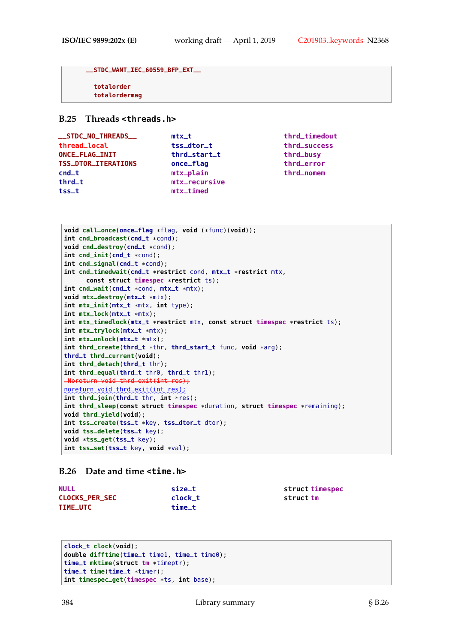```
__STDC_WANT_IEC_60559_BFP_EXT__
  totalorder
 totalordermag
```
#### **B.25 Threads <threads.h>**

| __STDC_NO_THREADS__ | $mtx_t$       | thrd_timedout |
|---------------------|---------------|---------------|
| thread local        | tss_dtor_t    | thrd_success  |
| ONCE_FLAG_INIT      | thrd_start_t  | thrd_busy     |
| TSS_DTOR_ITERATIONS | once_flag     | thrd_error    |
| $cnd_t$             | mtx_plain     | thrd_nomem    |
| thrd_t              | mtx_recursive |               |
| tss_t               | mtx_timed     |               |
|                     |               |               |

```
void call_once(once_flag *flag, void (*func)(void));
int cnd_broadcast(cnd_t *cond);
void cnd_destroy(cnd_t *cond);
int cnd_init(cnd_t *cond);
int cnd_signal(cnd_t *cond);
int cnd_timedwait(cnd_t *restrict cond, mtx_t *restrict mtx,
      const struct timespec *restrict ts);
int cnd_wait(cnd_t *cond, mtx_t *mtx);
void mtx_destroy(mtx_t *mtx);
int mtx_init(mtx_t *mtx, int type);
int mtx_lock(mtx_t *mtx);
int mtx_timedlock(mtx_t *restrict mtx, const struct timespec *restrict ts);
int mtx_trylock(mtx_t *mtx);
int mtx_unlock(mtx_t *mtx);
int thrd_create(thrd_t *thr, thrd_start_t func, void *arg);
thrd_t thrd_current(void);
int thrd_detach(thrd_t thr);
int thrd_equal(thrd_t thr0, thrd_t thr1);
_Noreturn void thrd_exit(int res);
noreturn void thrd_exit(int res);
int thrd_join(thrd_t thr, int *res);
int thrd_sleep(const struct timespec *duration, struct timespec *remaining);
void thrd_yield(void);
int tss_create(tss_t *key, tss_dtor_t dtor);
void tss_delete(tss_t key);
void *tss_get(tss_t key);
int tss_set(tss_t key, void *val);
```
## **B.26 Date and time <time.h>**

| <b>NULL</b>     | size_t  | struct timespec |
|-----------------|---------|-----------------|
| CLOCKS_PER_SEC  | clock_t | struct tm       |
| <b>TIME_UTC</b> | time_t  |                 |

```
clock_t clock(void);
double difftime(time_t time1, time_t time0);
time_t mktime(struct tm *timeptr);
time_t time(time_t *timer);
int timespec_get(timespec *ts, int base);
```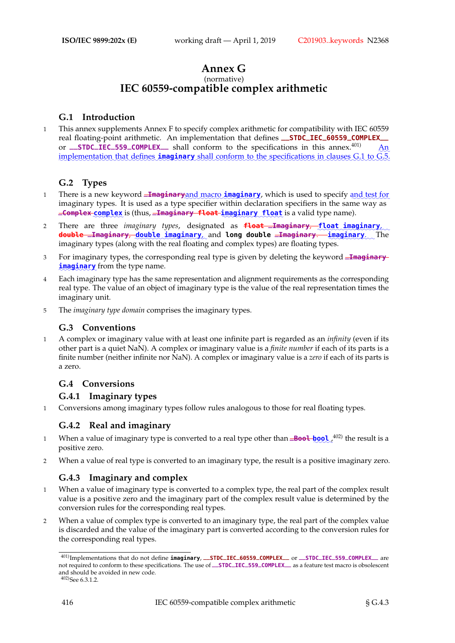# **Annex G** (normative) **IEC 60559-compatible complex arithmetic**

### **G.1 Introduction**

1 This annex supplements Annex F to specify complex arithmetic for compatibility with IEC 60559 real floating-point arithmetic. An implementation that defines **\_\_STDC\_IEC\_60559\_COMPLEX\_\_** or **\_\_STDC\_IEC\_559\_COMPLEX\_\_** shall conform to the specifications in this annex.401) ✿✿✿ An implementation that defines **imaginary** shall conform to the specifications in clauses G.1 to G.5.

# **G.2 Types**

- 1 There is a new keyword **\_Imaginary**and macro **imaginary**, which is used to specify and test for imaginary types. It is used as a type specifier within declaration specifiers in the same way as  $\equiv$  Complex complex is (thus,  $\equiv$  Imaginary **float** in a valid type name).
- 2 There are three *imaginary types*, designated as float *\_Imaginary***, float imaginary**,  $\frac{d\text{ouble}}{d\text{mapinary}}$ ,  $\frac{d\text{ouble}}{d\text{maginary}}$  and  $\text{long double}$   $\frac{d\text{puble}}{d\text{mapinary}}$ . The imaginary types (along with the real floating and complex types) are floating types.
- <sup>3</sup> For imaginary types, the corresponding real type is given by deleting the keyword **\_Imaginary <u>imaginary</u> from the type name.**
- 4 Each imaginary type has the same representation and alignment requirements as the corresponding real type. The value of an object of imaginary type is the value of the real representation times the imaginary unit.
- 5 The *imaginary type domain* comprises the imaginary types.

#### **G.3 Conventions**

1 A complex or imaginary value with at least one infinite part is regarded as an *infinity* (even if its other part is a quiet NaN). A complex or imaginary value is a *finite number* if each of its parts is a finite number (neither infinite nor NaN). A complex or imaginary value is a *zero* if each of its parts is a zero.

# **G.4 Conversions**

#### **G.4.1 Imaginary types**

1 Conversions among imaginary types follow rules analogous to those for real floating types.

# **G.4.2 Real and imaginary**

- 1 When a value of imaginary type is converted to a real type other than **\_Bool\_bool** , <sup>402)</sup> the result is a positive zero.
- 2 When a value of real type is converted to an imaginary type, the result is a positive imaginary zero.

# **G.4.3 Imaginary and complex**

- 1 When a value of imaginary type is converted to a complex type, the real part of the complex result value is a positive zero and the imaginary part of the complex result value is determined by the conversion rules for the corresponding real types.
- 2 When a value of complex type is converted to an imaginary type, the real part of the complex value is discarded and the value of the imaginary part is converted according to the conversion rules for the corresponding real types.

<sup>401)</sup>Implementations that do not define **imaginary**, **\_\_STDC\_IEC\_60559\_COMPLEX\_\_** or **\_\_STDC\_IEC\_559\_COMPLEX\_\_** are not required to conform to these specifications. The use of **\_\_STDC\_IEC\_559\_COMPLEX\_\_** as a feature test macro is obsolescent and should be avoided in new code.

<sup>402)</sup>See 6.3.1.2.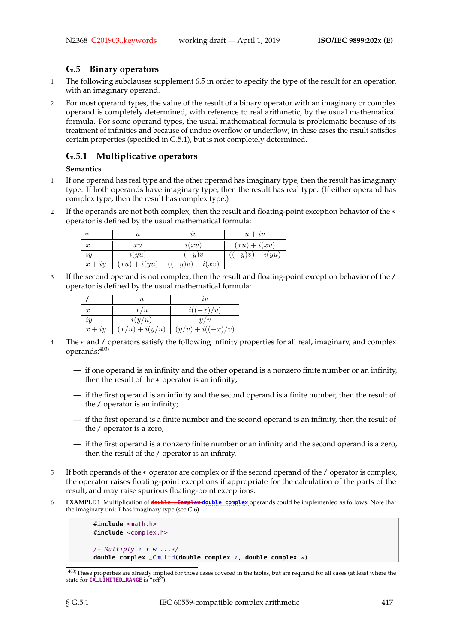### **G.5 Binary operators**

- 1 The following subclauses supplement 6.5 in order to specify the type of the result for an operation with an imaginary operand.
- 2 For most operand types, the value of the result of a binary operator with an imaginary or complex operand is completely determined, with reference to real arithmetic, by the usual mathematical formula. For some operand types, the usual mathematical formula is problematic because of its treatment of infinities and because of undue overflow or underflow; in these cases the result satisfies certain properties (specified in G.5.1), but is not completely determined.

# **G.5.1 Multiplicative operators**

#### **Semantics**

- 1 If one operand has real type and the other operand has imaginary type, then the result has imaginary type. If both operands have imaginary type, then the result has real type. (If either operand has complex type, then the result has complex type.)
- 2 If the operands are not both complex, then the result and floating-point exception behavior of the  $*$ operator is defined by the usual mathematical formula:

|                  | и              | $\imath\upsilon$  | $u + iv$         |
|------------------|----------------|-------------------|------------------|
| $\boldsymbol{x}$ | x u            | i(xv)             | $(xu) + i(xv)$   |
| $\imath y$       | i(yu)          | $-y)v$            | $-y)v$ + $i(yu)$ |
| $x + iy$         | $(xu) + i(yu)$ | $((-y)v) + i(xv)$ |                  |

3 If the second operand is not complex, then the result and floating-point exception behavior of the / operator is defined by the usual mathematical formula:

|                  | $\boldsymbol{\mathit{u}}$ | $\overline{2}$      |
|------------------|---------------------------|---------------------|
| $\boldsymbol{x}$ | x/u                       | $i((-x)/v)$         |
| iy               | i(y/u)                    | y/v                 |
| $x + iy$         | $(x/u) + i(y/u)$          | $(y/v) + i((-x)/v)$ |

- 4 The \* and / operators satisfy the following infinity properties for all real, imaginary, and complex operands:403)
	- if one operand is an infinity and the other operand is a nonzero finite number or an infinity, then the result of the  $*$  operator is an infinity;
	- if the first operand is an infinity and the second operand is a finite number, then the result of the / operator is an infinity;
	- if the first operand is a finite number and the second operand is an infinity, then the result of the / operator is a zero;
	- if the first operand is a nonzero finite number or an infinity and the second operand is a zero, then the result of the / operator is an infinity.
- 5 If both operands of the \* operator are complex or if the second operand of the / operator is complex, the operator raises floating-point exceptions if appropriate for the calculation of the parts of the result, and may raise spurious floating-point exceptions.
- **EXAMPLE 1** Multiplication of **double \_Complex** double complex operands could be implemented as follows. Note that the imaginary unit  $\hat{\mathbf{I}}$  has imaginary type (see G.6).

```
#include <math.h>
#include <complex.h>
/* Multiply z * w ...*/
double complex _Cmultd(double complex z, double complex w)
```
<sup>403)</sup>These properties are already implied for those cases covered in the tables, but are required for all cases (at least where the state for **CX\_LIMITED\_RANGE** is "off").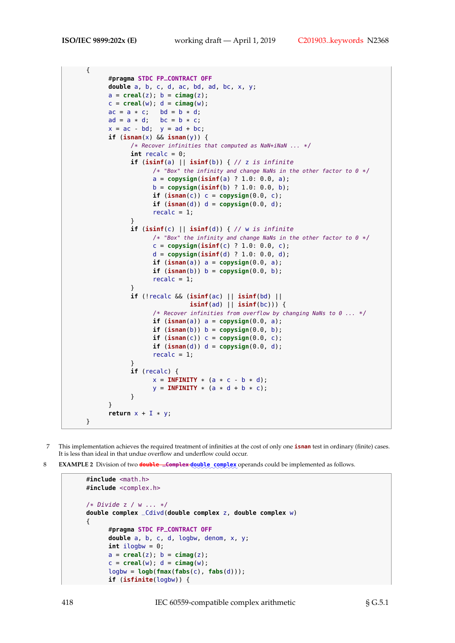```
{
      #pragma STDC FP_CONTRACT OFF
      double a, b, c, d, ac, bd, ad, bc, x, y;
      a = \text{creal}(z); b = \text{cimag}(z);
      c = \text{creal}(w); d = \text{cimag}(w);ac = a * c; bd = b * d;
      ad = a * d; bc = b * c;
      x = ac - bd; y = ad + bc;
      if (\text{isnan}(x) \&\& \text{isnan}(y)) {
             /* Recover infinities that computed as NaN+iNaN ... */
             int recalc = 0;
             if (isinf(a) || isinf(b)) { // z is infinite
                   /* "Box" the infinity and change NaNs in the other factor to 0 */
                   a = copysign(isinf(a) ? 1.0: 0.0, a);
                   b = copysign(isinf(b) ? 1.0: 0.0, b);
                   if (isan(n)) c = copysign(0.0, c);if (isnan(d)) d = copysign(0.0, d);recalc = 1;
             }
             if (isinf(c) || isinf(d)) { // w is infinite
                   /* "Box" the infinity and change NaNs in the other factor to 0 * /c = copysign(isinf(c) ? 1.0: 0.0, c);
                   d = copysign(isinf(d) ? 1.0: 0.0, d);
                   if (isanan(a)) a = copysign(0.0, a);if (isanan(b)) b = copysign(0.0, b);recalc = 1;}
             if (!recalc && (isinf(ac) || isinf(bd) ||
                              isinf(ad) || isinf(bc))) {
                   /* Recover infinities from overflow by changing NaNs to \theta ... */
                   if (isanan(a)) a = copysign(0.0, a);if (isanan(b)) b = copysign(0.0, b);if (isan(n)) c = copysign(0.0, c);if (isan(n)) d = copysign(0.0, d);recalc = 1;
             }
             if (recalc) {
                   x = \text{INFINITE} * (a * c - b * d);y = INFINITE + (a * d + b * c);}
      }
      return x + I * y;
}
```
- 7 This implementation achieves the required treatment of infinities at the cost of only one **isnan** test in ordinary (finite) cases. It is less than ideal in that undue overflow and underflow could occur.
- **EXAMPLE 2** Division of two **double \_Complex** double complex operands could be implemented as follows.

```
#include <math.h>
#include <complex.h>
/* Divide z / w ... */
double complex _Cdivd(double complex z, double complex w)
{
      #pragma STDC FP_CONTRACT OFF
      double a, b, c, d, logbw, denom, x, y;
      int ilogbw = \theta;
      a = \text{creal}(z); b = \text{cimag}(z);
      c = \text{creal}(w); d = \text{cimag}(w);logbw = logb(fmax(fabs(c), fabs(d)));
      if (isfinite(logbw)) {
```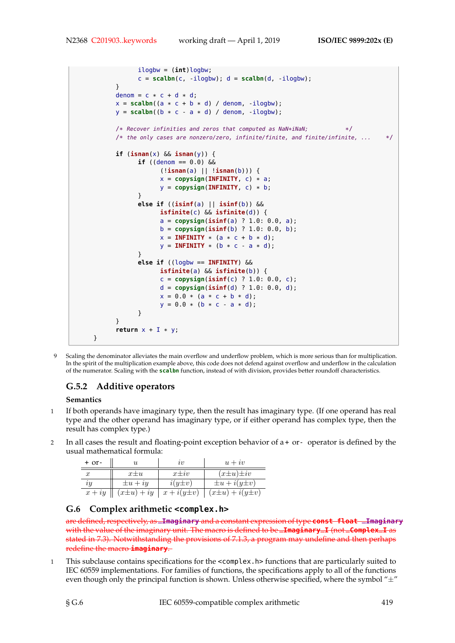```
ilogbw = (int)logbw;
             c = scalarbn(c, -ilogbw); d = scalarbn(d, -ilogbw);}
      denom = c * c + d * d;
      x = \text{scalbn}((a * c + b * d) / \text{denom}, -\text{ilogbw});y = \text{scalbn}((b * c - a * d) / \text{denom}, -\text{ilogbw});/* Recover infinities and zeros that computed as NaN+iNaN; *//* the only cases are nonzero/zero, infinite/finite, and finite/infinite, \dots */
      if (isnan(x) && isnan(y)) {
            if ((denom == 0.0) &&
                   (!isnan(a) || !isnan(b))) {
                   x = copysign(INFINITY, c) * a;
                   y = copysign(INFINITY, c) * b;
             }
            else if ((isinf(a) || isinf(b)) &&
                   isfinite(c) && isfinite(d)) {
                   a = copysign(isinf(a) ? 1.0: 0.0, a);
                   b = copysign(isinf(b) ? 1.0: 0.0, b);
                   x = INFINITY * (a * c + b * d);
                   y = INFINITY * (b * c - a * d);
             }
            else if ((logbw == INFINITY) &&
                   isfinite(a) && isfinite(b)) {
                   c = copysign(isinf(c) ? 1.0: 0.0, c);
                   d = copysign(isinf(d) ? 1.0: 0.0, d);
                   x = 0.0 * (a * c + b * d);y = 0.0 * (b * c - a * d);}
      }
      return x + I * y;
}
```
9 Scaling the denominator alleviates the main overflow and underflow problem, which is more serious than for multiplication. In the spirit of the multiplication example above, this code does not defend against overflow and underflow in the calculation of the numerator. Scaling with the **scalbn** function, instead of with division, provides better roundoff characteristics.

# **G.5.2 Additive operators**

#### **Semantics**

- 1 If both operands have imaginary type, then the result has imaginary type. (If one operand has real type and the other operand has imaginary type, or if either operand has complex type, then the result has complex type.)
- 2 In all cases the result and floating-point exception behavior of a+ or- operator is defined by the usual mathematical formula:

| $+$ or-          | $\boldsymbol{\mathit{u}}$ | w                | $u + iv$               |
|------------------|---------------------------|------------------|------------------------|
| $\boldsymbol{x}$ | $x \pm u$                 | $x\pm iv$        | $(x\pm u)\pm iv$       |
| $\imath y$       | $\pm u + iy$              | $i(y \pm v)$     | $\pm u + i(y \pm v)$   |
| $x + iy$         | $(x\pm u) + iy$           | $x + i(y \pm v)$ | $(x\pm u) + i(y\pm v)$ |

# **G.6 Complex arithmetic <complex.h>**

are defined, respectively, as **\_Imaginary** and a constant expression of type **const float \_Imaginary** with the value of the imaginary unit. The macro is defined to be **\_Imaginary\_I** (not **\_Complex\_I** as stated in 7.3). Notwithstanding the provisions of 7.1.3, a program may undefine and then perhaps redefine the macro **imaginary**.

1 This subclause contains specifications for the <complex.h> functions that are particularly suited to IEC 60559 implementations. For families of functions, the specifications apply to all of the functions even though only the principal function is shown. Unless otherwise specified, where the symbol " $\pm$ "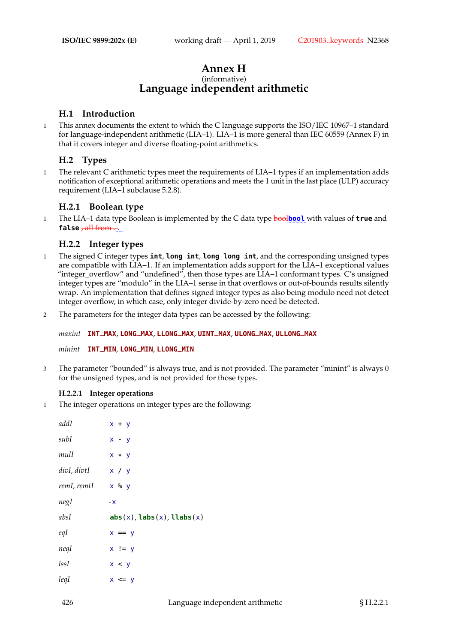# **Annex H** (informative) **Language independent arithmetic**

### **H.1 Introduction**

1 This annex documents the extent to which the C language supports the ISO/IEC 10967–1 standard for language-independent arithmetic (LIA–1). LIA–1 is more general than IEC 60559 (Annex F) in that it covers integer and diverse floating-point arithmetics.

# **H.2 Types**

1 The relevant C arithmetic types meet the requirements of LIA–1 types if an implementation adds notification of exceptional arithmetic operations and meets the 1 unit in the last place (ULP) accuracy requirement (LIA–1 subclause 5.2.8).

#### **H.2.1 Boolean type**

1 The LIA–1 data type Boolean is implemented by the C data type boolbool with values of **true** and **false** <del>, all from . </del>

#### **H.2.2 Integer types**

- 1 The signed C integer types **int**, **long int**, **long long int**, and the corresponding unsigned types are compatible with LIA–1. If an implementation adds support for the LIA–1 exceptional values "integer\_overflow" and "undefined", then those types are LIA–1 conformant types. C's unsigned integer types are "modulo" in the LIA–1 sense in that overflows or out-of-bounds results silently wrap. An implementation that defines signed integer types as also being modulo need not detect integer overflow, in which case, only integer divide-by-zero need be detected.
- 2 The parameters for the integer data types can be accessed by the following:

#### *maxint* **INT\_MAX**, **LONG\_MAX**, **LLONG\_MAX**, **UINT\_MAX**, **ULONG\_MAX**, **ULLONG\_MAX**

*minint* **INT\_MIN**, **LONG\_MIN**, **LLONG\_MIN**

3 The parameter "bounded" is always true, and is not provided. The parameter "minint" is always 0 for the unsigned types, and is not provided for those types.

#### **H.2.2.1 Integer operations**

1 The integer operations on integer types are the following:

| addI        | $x + y$                           |
|-------------|-----------------------------------|
| subI        | $x - y$                           |
| mulI        | $x * y$                           |
| divI, divtI | x / y                             |
| remI, remtI | $x \approx y$                     |
| negI        | - X                               |
|             |                                   |
| absI        | $abs(x)$ , $labs(x)$ , $llabs(x)$ |
| eqI         | $x == y$                          |
| neqI        | $x = y$                           |
| lssl        | x < y                             |
| leqI        | $x \le y$                         |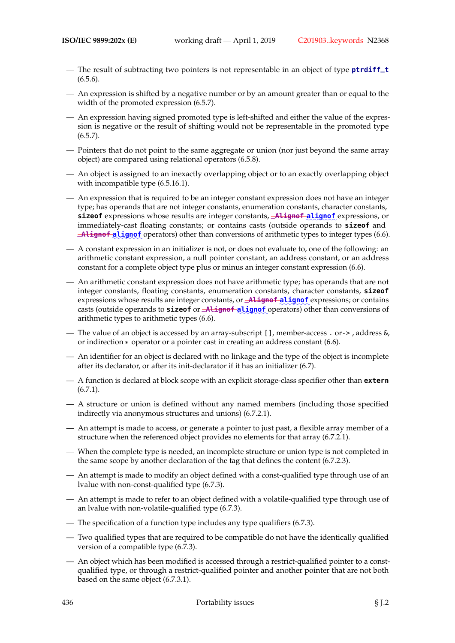- The result of subtracting two pointers is not representable in an object of type **ptrdiff\_t**  $(6.5.6)$ .
- An expression is shifted by a negative number or by an amount greater than or equal to the width of the promoted expression (6.5.7).
- An expression having signed promoted type is left-shifted and either the value of the expression is negative or the result of shifting would not be representable in the promoted type  $(6.5.7)$ .
- Pointers that do not point to the same aggregate or union (nor just beyond the same array object) are compared using relational operators (6.5.8).
- An object is assigned to an inexactly overlapping object or to an exactly overlapping object with incompatible type (6.5.16.1).
- An expression that is required to be an integer constant expression does not have an integer type; has operands that are not integer constants, enumeration constants, character constants, **sizeof** expressions whose results are integer constants,  $\exists$ Alignof expressions, or immediately-cast floating constants; or contains casts (outside operands to **sizeof** and **\_Alignof\_alignof** operators) other than conversions of arithmetic types to integer types (6.6).
- A constant expression in an initializer is not, or does not evaluate to, one of the following: an arithmetic constant expression, a null pointer constant, an address constant, or an address constant for a complete object type plus or minus an integer constant expression (6.6).
- An arithmetic constant expression does not have arithmetic type; has operands that are not integer constants, floating constants, enumeration constants, character constants, **sizeof** expressions whose results are integer constants, or **\_Alignof** alignof expressions; or contains casts (outside operands to **sizeof** or **\_Alignof** alignof operators) other than conversions of arithmetic types to arithmetic types (6.6).
- The value of an object is accessed by an array-subscript [], member-access . or-> , address &, or indirection \* operator or a pointer cast in creating an address constant (6.6).
- An identifier for an object is declared with no linkage and the type of the object is incomplete after its declarator, or after its init-declarator if it has an initializer (6.7).
- A function is declared at block scope with an explicit storage-class specifier other than **extern**  $(6.7.1)$ .
- A structure or union is defined without any named members (including those specified indirectly via anonymous structures and unions) (6.7.2.1).
- An attempt is made to access, or generate a pointer to just past, a flexible array member of a structure when the referenced object provides no elements for that array (6.7.2.1).
- When the complete type is needed, an incomplete structure or union type is not completed in the same scope by another declaration of the tag that defines the content (6.7.2.3).
- An attempt is made to modify an object defined with a const-qualified type through use of an lvalue with non-const-qualified type (6.7.3).
- An attempt is made to refer to an object defined with a volatile-qualified type through use of an lvalue with non-volatile-qualified type (6.7.3).
- The specification of a function type includes any type qualifiers (6.7.3).
- Two qualified types that are required to be compatible do not have the identically qualified version of a compatible type (6.7.3).
- An object which has been modified is accessed through a restrict-qualified pointer to a constqualified type, or through a restrict-qualified pointer and another pointer that are not both based on the same object (6.7.3.1).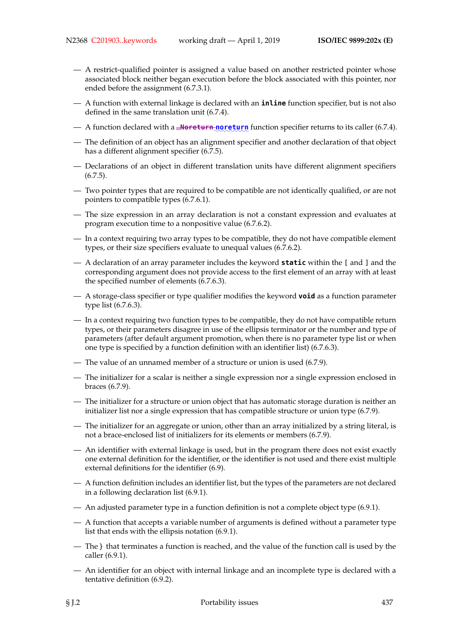- A restrict-qualified pointer is assigned a value based on another restricted pointer whose associated block neither began execution before the block associated with this pointer, nor ended before the assignment (6.7.3.1).
- A function with external linkage is declared with an **inline** function specifier, but is not also defined in the same translation unit (6.7.4).
- $-$  A function declared with a *<u>Noreturn noreturn</u>* function specifier returns to its caller (6.7.4).
- The definition of an object has an alignment specifier and another declaration of that object has a different alignment specifier (6.7.5).
- Declarations of an object in different translation units have different alignment specifiers (6.7.5).
- Two pointer types that are required to be compatible are not identically qualified, or are not pointers to compatible types (6.7.6.1).
- The size expression in an array declaration is not a constant expression and evaluates at program execution time to a nonpositive value (6.7.6.2).
- In a context requiring two array types to be compatible, they do not have compatible element types, or their size specifiers evaluate to unequal values (6.7.6.2).
- A declaration of an array parameter includes the keyword **static** within the [ and ] and the corresponding argument does not provide access to the first element of an array with at least the specified number of elements (6.7.6.3).
- A storage-class specifier or type qualifier modifies the keyword **void** as a function parameter type list (6.7.6.3).
- In a context requiring two function types to be compatible, they do not have compatible return types, or their parameters disagree in use of the ellipsis terminator or the number and type of parameters (after default argument promotion, when there is no parameter type list or when one type is specified by a function definition with an identifier list) (6.7.6.3).
- The value of an unnamed member of a structure or union is used (6.7.9).
- The initializer for a scalar is neither a single expression nor a single expression enclosed in braces (6.7.9).
- The initializer for a structure or union object that has automatic storage duration is neither an initializer list nor a single expression that has compatible structure or union type (6.7.9).
- The initializer for an aggregate or union, other than an array initialized by a string literal, is not a brace-enclosed list of initializers for its elements or members (6.7.9).
- An identifier with external linkage is used, but in the program there does not exist exactly one external definition for the identifier, or the identifier is not used and there exist multiple external definitions for the identifier (6.9).
- A function definition includes an identifier list, but the types of the parameters are not declared in a following declaration list (6.9.1).
- An adjusted parameter type in a function definition is not a complete object type (6.9.1).
- A function that accepts a variable number of arguments is defined without a parameter type list that ends with the ellipsis notation (6.9.1).
- The } that terminates a function is reached, and the value of the function call is used by the caller (6.9.1).
- An identifier for an object with internal linkage and an incomplete type is declared with a tentative definition (6.9.2).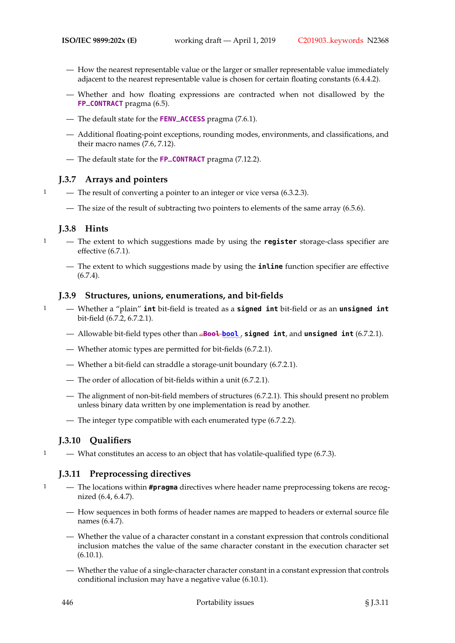- How the nearest representable value or the larger or smaller representable value immediately adjacent to the nearest representable value is chosen for certain floating constants (6.4.4.2).
- Whether and how floating expressions are contracted when not disallowed by the **FP\_CONTRACT** pragma (6.5).
- The default state for the **FENV\_ACCESS** pragma (7.6.1).
- Additional floating-point exceptions, rounding modes, environments, and classifications, and their macro names (7.6, 7.12).
- The default state for the **FP\_CONTRACT** pragma (7.12.2).

#### **J.3.7 Arrays and pointers**

- $1 -$  The result of converting a pointer to an integer or vice versa (6.3.2.3).
	- The size of the result of subtracting two pointers to elements of the same array (6.5.6).

# **J.3.8 Hints**

- 1 The extent to which suggestions made by using the **register** storage-class specifier are effective (6.7.1).
	- The extent to which suggestions made by using the **inline** function specifier are effective (6.7.4).

#### **J.3.9 Structures, unions, enumerations, and bit-fields**

- 1 Whether a "plain" **int** bit-field is treated as a **signed int** bit-field or as an **unsigned int** bit-field (6.7.2, 6.7.2.1).
	- $-$  Allowable bit-field types other than **\_Bool** <u>bool</u>, **signed int**, and **unsigned int** (6.7.2.1).
	- Whether atomic types are permitted for bit-fields (6.7.2.1).
	- Whether a bit-field can straddle a storage-unit boundary (6.7.2.1).
	- The order of allocation of bit-fields within a unit (6.7.2.1).
	- The alignment of non-bit-field members of structures (6.7.2.1). This should present no problem unless binary data written by one implementation is read by another.
	- The integer type compatible with each enumerated type (6.7.2.2).

# **J.3.10 Qualifiers**

<sup>1</sup> - What constitutes an access to an object that has volatile-qualified type (6.7.3).

# **J.3.11 Preprocessing directives**

- 1 The locations within **#pragma** directives where header name preprocessing tokens are recognized (6.4, 6.4.7).
	- How sequences in both forms of header names are mapped to headers or external source file names (6.4.7).
	- Whether the value of a character constant in a constant expression that controls conditional inclusion matches the value of the same character constant in the execution character set  $(6.10.1)$ .
	- Whether the value of a single-character character constant in a constant expression that controls conditional inclusion may have a negative value (6.10.1).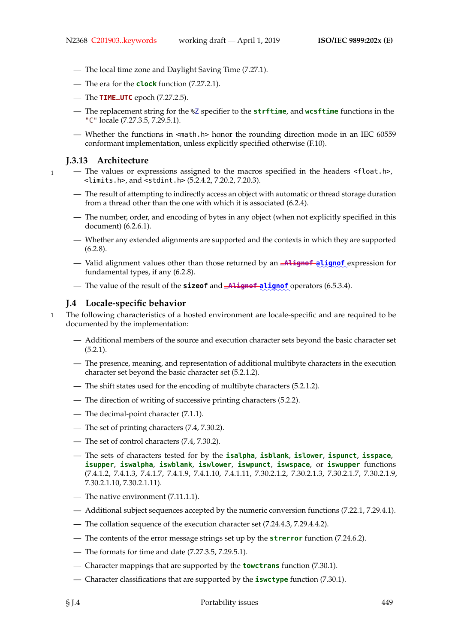- The local time zone and Daylight Saving Time (7.27.1).
- The era for the **clock** function (7.27.2.1).
- The **TIME\_UTC** epoch (7.27.2.5).
- The replacement string for the %Z specifier to the **strftime**, and **wcsftime** functions in the "C" locale (7.27.3.5, 7.29.5.1).
- Whether the functions in  $\epsilon$ math.h> honor the rounding direction mode in an IEC 60559 conformant implementation, unless explicitly specified otherwise (F.10).

#### **J.3.13 Architecture**

- 1 The values or expressions assigned to the macros specified in the headers <float.h>, <limits.h>, and <stdint.h> (5.2.4.2, 7.20.2, 7.20.3).
	- The result of attempting to indirectly access an object with automatic or thread storage duration from a thread other than the one with which it is associated (6.2.4).
	- The number, order, and encoding of bytes in any object (when not explicitly specified in this document) (6.2.6.1).
	- Whether any extended alignments are supported and the contexts in which they are supported  $(6.2.8)$ .
	- Valid alignment values other than those returned by an **\_Alignof** alignof expression for fundamental types, if any (6.2.8).
	- $-$  The value of the result of the **sizeof** and  $\frac{1}{2}$  **alignof** operators (6.5.3.4).

#### **J.4 Locale-specific behavior**

1 The following characteristics of a hosted environment are locale-specific and are required to be documented by the implementation:

- Additional members of the source and execution character sets beyond the basic character set  $(5.2.1)$ .
- The presence, meaning, and representation of additional multibyte characters in the execution character set beyond the basic character set (5.2.1.2).
- The shift states used for the encoding of multibyte characters (5.2.1.2).
- The direction of writing of successive printing characters (5.2.2).
- The decimal-point character (7.1.1).
- The set of printing characters (7.4, 7.30.2).
- The set of control characters (7.4, 7.30.2).
- The sets of characters tested for by the **isalpha**, **isblank**, **islower**, **ispunct**, **isspace**, **isupper**, **iswalpha**, **iswblank**, **iswlower**, **iswpunct**, **iswspace**, or **iswupper** functions (7.4.1.2, 7.4.1.3, 7.4.1.7, 7.4.1.9, 7.4.1.10, 7.4.1.11, 7.30.2.1.2, 7.30.2.1.3, 7.30.2.1.7, 7.30.2.1.9, 7.30.2.1.10, 7.30.2.1.11).
- The native environment (7.11.1.1).
- Additional subject sequences accepted by the numeric conversion functions (7.22.1, 7.29.4.1).
- The collation sequence of the execution character set (7.24.4.3, 7.29.4.4.2).
- The contents of the error message strings set up by the **strerror** function (7.24.6.2).
- The formats for time and date (7.27.3.5, 7.29.5.1).
- Character mappings that are supported by the **towctrans** function (7.30.1).
- Character classifications that are supported by the **iswctype** function (7.30.1).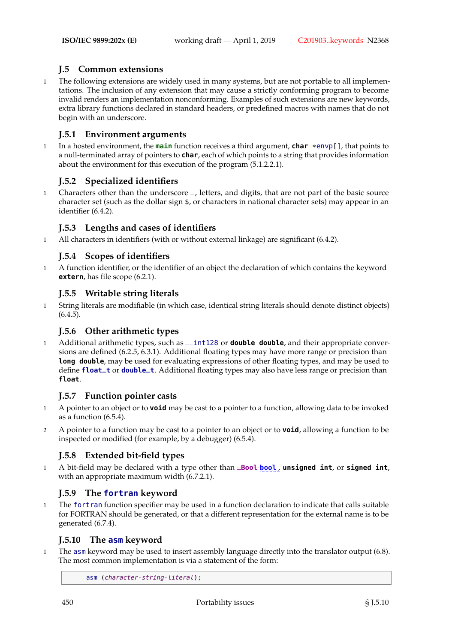#### **J.5 Common extensions**

1 The following extensions are widely used in many systems, but are not portable to all implementations. The inclusion of any extension that may cause a strictly conforming program to become invalid renders an implementation nonconforming. Examples of such extensions are new keywords, extra library functions declared in standard headers, or predefined macros with names that do not begin with an underscore.

#### **J.5.1 Environment arguments**

1 In a hosted environment, the **main** function receives a third argument, **char** \*envp[], that points to a null-terminated array of pointers to **char**, each of which points to a string that provides information about the environment for this execution of the program (5.1.2.2.1).

# **J.5.2 Specialized identifiers**

1 Characters other than the underscore  $_$ , letters, and digits, that are not part of the basic source character set (such as the dollar sign \$, or characters in national character sets) may appear in an identifier (6.4.2).

# **J.5.3 Lengths and cases of identifiers**

1 All characters in identifiers (with or without external linkage) are significant (6.4.2).

# **J.5.4 Scopes of identifiers**

1 A function identifier, or the identifier of an object the declaration of which contains the keyword **extern**, has file scope (6.2.1).

#### **J.5.5 Writable string literals**

1 String literals are modifiable (in which case, identical string literals should denote distinct objects)  $(6.4.5)$ .

# **J.5.6 Other arithmetic types**

<sup>1</sup> Additional arithmetic types, such as \_\_int128 or **double double**, and their appropriate conversions are defined (6.2.5, 6.3.1). Additional floating types may have more range or precision than **long double**, may be used for evaluating expressions of other floating types, and may be used to define **float\_t** or **double\_t**. Additional floating types may also have less range or precision than **float**.

# **J.5.7 Function pointer casts**

- 1 A pointer to an object or to **void** may be cast to a pointer to a function, allowing data to be invoked as a function (6.5.4).
- 2 A pointer to a function may be cast to a pointer to an object or to **void**, allowing a function to be inspected or modified (for example, by a debugger) (6.5.4).

# **J.5.8 Extended bit-field types**

1 A bit-field may be declared with a type other than **\_Bool\_bool**, **unsigned int**, or **signed int**, with an appropriate maximum width  $(6.7.2.1)$ .

# **J.5.9 The fortran keyword**

1 The fortran function specifier may be used in a function declaration to indicate that calls suitable for FORTRAN should be generated, or that a different representation for the external name is to be generated (6.7.4).

# **J.5.10 The asm keyword**

1 The asm keyword may be used to insert assembly language directly into the translator output (6.8). The most common implementation is via a statement of the form:

asm (character-string-literal);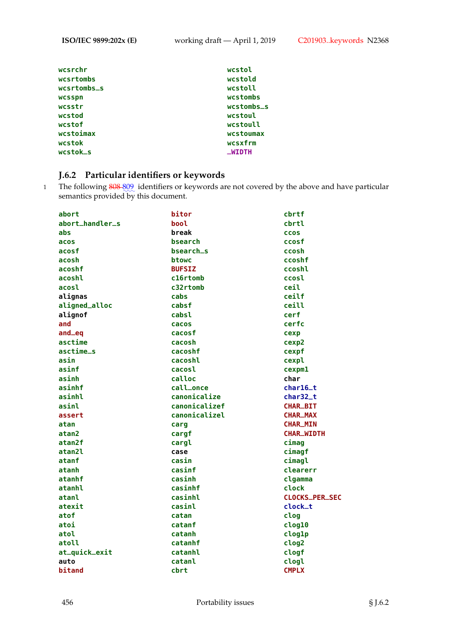| wcsrchr     | wcstol     |
|-------------|------------|
| wcsrtombs   | wcstold    |
| wcsrtombs_s | wcstoll    |
| wcsspn      | wcstombs   |
| wcsstr      | wcstombs_s |
| wcstod      | wcstoul    |
| wcstof      | wcstoull   |
| wcstoimax   | wcstoumax  |
| wcstok      | wcsxfrm    |
| wcstok_s    | $_M$       |

# **J.6.2 Particular identifiers or keywords**

1 The following  $\frac{808\cdot 809}{200}$  identifiers or keywords are not covered by the above and have particular semantics provided by this document.

| abort           | bitor         | cbrtf             |
|-----------------|---------------|-------------------|
| abort_handler_s | bool          | cbrtl             |
| abs             | break         | <b>CCOS</b>       |
| acos            | bsearch       | ccosf             |
| acosf           | bsearch_s     | ccosh             |
| acosh           | btowc         | ccoshf            |
| acoshf          | <b>BUFSIZ</b> | ccoshl            |
| acoshl          | c16rtomb      | ccosl             |
| acosl           | c32rtomb      | ceil              |
| alignas         | cabs          | ceilf             |
| aligned_alloc   | cabsf         | ceill             |
| alignof         | cabsl         | cerf              |
| and             | cacos         | cerfc             |
| and_eq          | cacosf        | cexp              |
| asctime         | cacosh        | cexp2             |
| asctime_s       | cacoshf       | cexpf             |
| asin            | cacoshl       | cexpl             |
| asinf           | cacosl        | cexpm1            |
| asinh           | calloc        | char              |
| asinhf          | call_once     | char16_t          |
| asinhl          | canonicalize  | char32_t          |
| asinl           | canonicalizef | <b>CHAR_BIT</b>   |
| assert          | canonicalizel | <b>CHAR_MAX</b>   |
| atan            | carg          | <b>CHAR_MIN</b>   |
| atan2           | cargf         | <b>CHAR_WIDTH</b> |
| atan2f          | cargl         | cimag             |
| atan2l          | case          | cimagf            |
| atanf           | casin         | cimagl            |
| atanh           | casinf        | clearerr          |
| atanhf          | casinh        | clgamma           |
| atanhl          | casinhf       | clock             |
| atanl           | casinhl       | CLOCKS_PER_SEC    |
| atexit          | casinl        | clock_t           |
| atof            | catan         | clog              |
| atoi            | catanf        | clog10            |
| atol            | catanh        | clog1p            |
| atoll           | catanhf       | clog2             |
| at_quick_exit   | catanhl       | clogf             |
| auto            | catanl        | clogl             |
| bitand          | cbrt          | <b>CMPLX</b>      |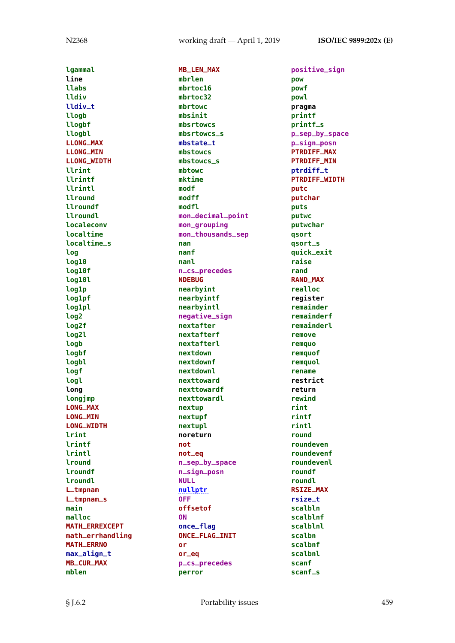**lgammal line llabs lldiv lldiv\_t llogb llogbf llogbl LLONG\_MAX LLONG\_MIN LLONG\_WIDTH llrint llrintf llrintl llround llroundf llroundl localeconv localtime localtime\_s log log10 log10f log10l log1p log1pf log1pl log2 log2f log2l logb logbf logbl logf logl long longjmp LONG\_MAX LONG\_MIN LONG\_WIDTH lrint lrintf lrintl lround lroundf lroundl L\_tmpnam L\_tmpnam\_s main malloc MATH\_ERREXCEPT math\_errhandling MATH\_ERRNO max\_align\_t MB\_CUR\_MAX mblen**

**MB\_LEN\_MAX mbrlen mbrtoc16 mbrtoc32 mbrtowc mbsinit mbsrtowcs mbsrtowcs\_s mbstate\_t mbstowcs mbstowcs\_s mbtowc mktime modf modff modfl mon\_decimal\_point mon\_grouping mon\_thousands\_sep nan nanf nanl n\_cs\_precedes NDEBUG nearbyint nearbyintf nearbyintl negative\_sign nextafter nextafterf nextafterl nextdown nextdownf nextdownl nexttoward nexttowardf nexttowardl nextup nextupf nextupl noreturn not not\_eq n\_sep\_by\_space n\_sign\_posn NULL** <u>nullptr</u> **OFF offsetof ON once\_flag ONCE\_FLAG\_INIT or or\_eq p\_cs\_precedes perror**

**positive\_sign pow powf powl pragma printf printf\_s p\_sep\_by\_space p\_sign\_posn PTRDIFF\_MAX PTRDIFF\_MIN ptrdiff\_t PTRDIFF\_WIDTH putc putchar puts putwc putwchar qsort qsort\_s quick\_exit raise rand RAND\_MAX realloc register remainder remainderf remainderl remove remquo remquof remquol rename restrict return rewind rint rintf rintl round roundeven roundevenf roundevenl roundf roundl RSIZE\_MAX rsize\_t scalbln scalblnf scalblnl scalbn scalbnf scalbnl scanf scanf\_s**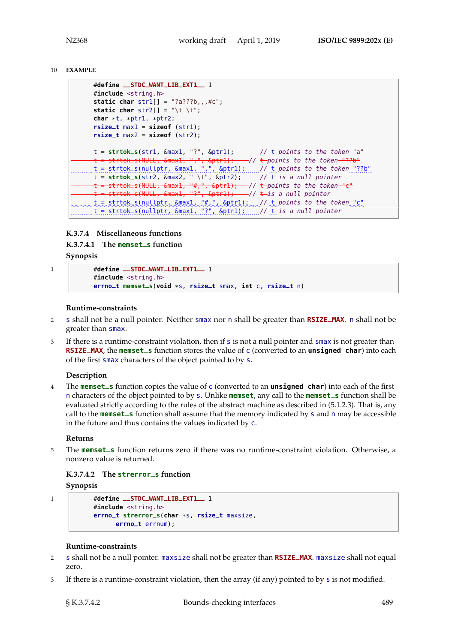#### 10 **EXAMPLE**

```
#define __STDC_WANT_LIB_EXT1__ 1
     #include <string.h>
     static char str1[] = "?a???b,,,#c";
     static char str2[] = "\t \t";
     char *t, *ptr1, *ptr2;
     rsize_t max1 = sizeof (str1);
     rsize_t max2 = sizeof (str2);
     t = strtok_s(str1, &max1, "?", &ptr1); // t points to the token "a"
     t = strtok_s(NULL, &max1, ",", &ptr1); // t points to the token "??b"
www.timitok_s(nullptr, &max1, ""," &ptr1); // t points to the token "??b"
     t = strtok_s(str2, &max2, " \t", &ptr2); // t is a null pointer
     t = strtok_s(NULL, &max1, "#,", &ptr1); // t points to the token "c"
     t = strtok_s(NULL, &max1, "?", &ptr1); // t is a null pointer
www.t.=.strtok_s(nullptr, &max1, "#,",&ptr1); // t points to the token_"c"
www.t=strtok_s(nullptr, &max1, "?", &ptr1); \/ t is a null pointer
```
#### **K.3.7.4 Miscellaneous functions**

# **K.3.7.4.1 The memset\_s function**

**Synopsis**

```
1 #define __STDC_WANT_LIB_EXT1__ 1
          #include <string.h>
          errno_t memset_s(void *s, rsize_t smax, int c, rsize_t n)
```
#### **Runtime-constraints**

- <sup>2</sup> s shall not be a null pointer. Neither smax nor n shall be greater than **RSIZE\_MAX**. n shall not be greater than smax.
- 3 If there is a runtime-constraint violation, then if s is not a null pointer and smax is not greater than **RSIZE\_MAX**, the **memset\_s** function stores the value of c (converted to an **unsigned char**) into each of the first smax characters of the object pointed to by s.

#### **Description**

<sup>4</sup> The **memset\_s** function copies the value of c (converted to an **unsigned char**) into each of the first n characters of the object pointed to by s. Unlike **memset**, any call to the **memset\_s** function shall be evaluated strictly according to the rules of the abstract machine as described in (5.1.2.3). That is, any call to the **memset\_s** function shall assume that the memory indicated by s and n may be accessible in the future and thus contains the values indicated by c.

#### **Returns**

<sup>5</sup> The **memset\_s** function returns zero if there was no runtime-constraint violation. Otherwise, a nonzero value is returned.

# **K.3.7.4.2 The strerror\_s function**

#### **Synopsis**

```
1 #define __STDC_WANT_LIB_EXT1__ 1
          #include <string.h>
          errno_t strerror_s(char *s, rsize_t maxsize,
               errno_t errnum);
```
#### **Runtime-constraints**

- <sup>2</sup> s shall not be a null pointer. maxsize shall not be greater than **RSIZE\_MAX**. maxsize shall not equal zero.
- 3 If there is a runtime-constraint violation, then the array (if any) pointed to by s is not modified.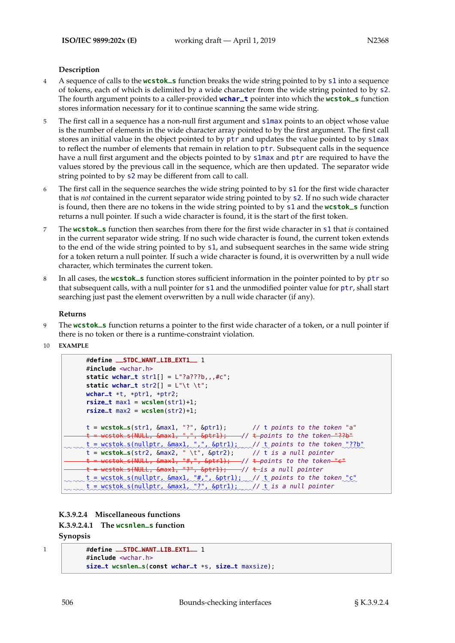#### **Description**

- <sup>4</sup> A sequence of calls to the **wcstok\_s** function breaks the wide string pointed to by s1 into a sequence of tokens, each of which is delimited by a wide character from the wide string pointed to by s2. The fourth argument points to a caller-provided **wchar\_t** pointer into which the **wcstok\_s** function stores information necessary for it to continue scanning the same wide string.
- 5 The first call in a sequence has a non-null first argument and s1max points to an object whose value is the number of elements in the wide character array pointed to by the first argument. The first call stores an initial value in the object pointed to by ptr and updates the value pointed to by s1max to reflect the number of elements that remain in relation to ptr. Subsequent calls in the sequence have a null first argument and the objects pointed to by s1max and ptr are required to have the values stored by the previous call in the sequence, which are then updated. The separator wide string pointed to by s2 may be different from call to call.
- 6 The first call in the sequence searches the wide string pointed to by s1 for the first wide character that is *not* contained in the current separator wide string pointed to by s2. If no such wide character is found, then there are no tokens in the wide string pointed to by s1 and the **wcstok\_s** function returns a null pointer. If such a wide character is found, it is the start of the first token.
- <sup>7</sup> The **wcstok\_s** function then searches from there for the first wide character in s1 that *is* contained in the current separator wide string. If no such wide character is found, the current token extends to the end of the wide string pointed to by s1, and subsequent searches in the same wide string for a token return a null pointer. If such a wide character is found, it is overwritten by a null wide character, which terminates the current token.
- <sup>8</sup> In all cases, the **wcstok\_s** function stores sufficient information in the pointer pointed to by ptr so that subsequent calls, with a null pointer for s1 and the unmodified pointer value for ptr, shall start searching just past the element overwritten by a null wide character (if any).

#### **Returns**

- <sup>9</sup> The **wcstok\_s** function returns a pointer to the first wide character of a token, or a null pointer if there is no token or there is a runtime-constraint violation.
- 10 **EXAMPLE**

```
#define __STDC_WANT_LIB_EXT1__ 1
     #include <wchar.h>
     static wchar_t str1[] = L"?a???b,,,#c";
     static wchar_t str2[] = L''\t \t";
     wchar_t *t, *ptr1, *ptr2;
     rsize_t max1 = wcslen(str1) + 1;
     rsize_t max2 = wcslen(str2)+1;t = wcstok_s(str1, &max1, "?", &ptr1); // t points to the token "a"
     t = wcstok_s(NULL, &max1, ",", &ptr1); // t points to the token "??b"
www.t.=wcstok_s(nullptr, &max1, """, &ptr1); w// t points to the token_"??b"
     t = wcstok_s(str2, &max2, " \t", &ptr2); // t is a null pointer
         wcstok_s(NULL, &max1, "#,", &ptr1); - // t points to the token "c"
     t = wcstok_s(NULL, &max1, "?", &ptr1); // t is a null pointer
\sim ~~~ ~
     t = wcstok_s(nullptr, &max1, "#,", &ptr1); // t points to the token "c"
www.t=wcstok_s(nullptr, &max1, "?", &ptr1); // t is a null pointer
```
**K.3.9.2.4 Miscellaneous functions**

```
K.3.9.2.4.1 The wcsnlen_s function
```
**Synopsis**

```
1 #define __STDC_WANT_LIB_EXT1__ 1
          #include <wchar.h>
          size_t wcsnlen_s(const wchar_t *s, size_t maxsize);
```